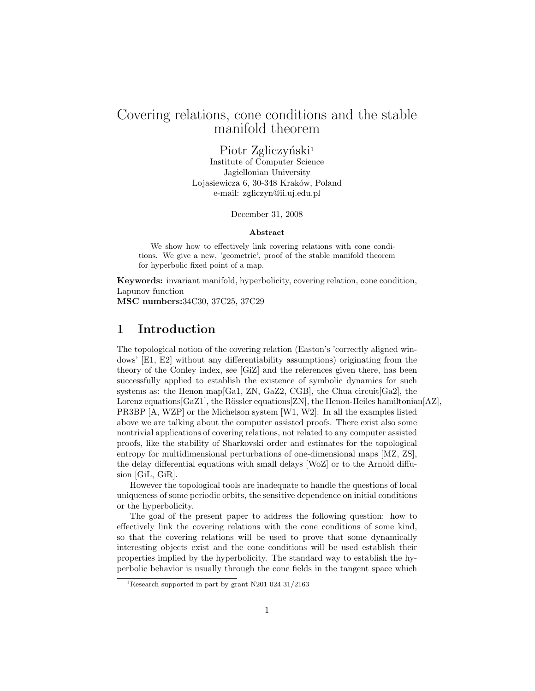## Covering relations, cone conditions and the stable manifold theorem

Piotr Zgliczyński<sup>1</sup>

Institute of Computer Science Jagiellonian University Lojasiewicza 6, 30-348 Kraków, Poland e-mail: zgliczyn@ii.uj.edu.pl

December 31, 2008

#### Abstract

We show how to effectively link covering relations with cone conditions. We give a new, 'geometric', proof of the stable manifold theorem for hyperbolic fixed point of a map.

Keywords: invariant manifold, hyperbolicity, covering relation, cone condition, Lapunov function MSC numbers:34C30, 37C25, 37C29

### 1 Introduction

The topological notion of the covering relation (Easton's 'correctly aligned windows' [E1, E2] without any differentiability assumptions) originating from the theory of the Conley index, see [GiZ] and the references given there, has been successfully applied to establish the existence of symbolic dynamics for such systems as: the Henon map  $[Ga1, ZN, GaZ2, CGB]$ , the Chua circuit  $[Ga2]$ , the Lorenz equations [GaZ1], the Rössler equations [ZN], the Henon-Heiles hamiltonian [AZ], PR3BP [A, WZP] or the Michelson system [W1, W2]. In all the examples listed above we are talking about the computer assisted proofs. There exist also some nontrivial applications of covering relations, not related to any computer assisted proofs, like the stability of Sharkovski order and estimates for the topological entropy for multidimensional perturbations of one-dimensional maps [MZ, ZS], the delay differential equations with small delays [WoZ] or to the Arnold diffusion [GiL, GiR].

However the topological tools are inadequate to handle the questions of local uniqueness of some periodic orbits, the sensitive dependence on initial conditions or the hyperbolicity.

The goal of the present paper to address the following question: how to effectively link the covering relations with the cone conditions of some kind, so that the covering relations will be used to prove that some dynamically interesting objects exist and the cone conditions will be used establish their properties implied by the hyperbolicity. The standard way to establish the hyperbolic behavior is usually through the cone fields in the tangent space which

<sup>1</sup>Research supported in part by grant N201 024 31/2163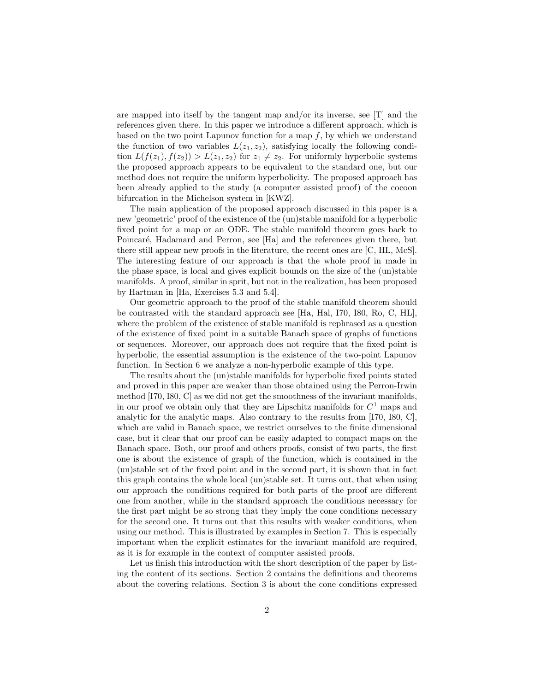are mapped into itself by the tangent map and/or its inverse, see [T] and the references given there. In this paper we introduce a different approach, which is based on the two point Lapunov function for a map  $f$ , by which we understand the function of two variables  $L(z_1, z_2)$ , satisfying locally the following condition  $L(f(z_1), f(z_2)) > L(z_1, z_2)$  for  $z_1 \neq z_2$ . For uniformly hyperbolic systems the proposed approach appears to be equivalent to the standard one, but our method does not require the uniform hyperbolicity. The proposed approach has been already applied to the study (a computer assisted proof) of the cocoon bifurcation in the Michelson system in [KWZ].

The main application of the proposed approach discussed in this paper is a new 'geometric' proof of the existence of the (un)stable manifold for a hyperbolic fixed point for a map or an ODE. The stable manifold theorem goes back to Poincaré, Hadamard and Perron, see [Ha] and the references given there, but there still appear new proofs in the literature, the recent ones are [C, HL, McS]. The interesting feature of our approach is that the whole proof in made in the phase space, is local and gives explicit bounds on the size of the (un)stable manifolds. A proof, similar in sprit, but not in the realization, has been proposed by Hartman in [Ha, Exercises 5.3 and 5.4].

Our geometric approach to the proof of the stable manifold theorem should be contrasted with the standard approach see [Ha, Hal, I70, I80, Ro, C, HL], where the problem of the existence of stable manifold is rephrased as a question of the existence of fixed point in a suitable Banach space of graphs of functions or sequences. Moreover, our approach does not require that the fixed point is hyperbolic, the essential assumption is the existence of the two-point Lapunov function. In Section 6 we analyze a non-hyperbolic example of this type.

The results about the (un)stable manifolds for hyperbolic fixed points stated and proved in this paper are weaker than those obtained using the Perron-Irwin method [I70, I80, C] as we did not get the smoothness of the invariant manifolds, in our proof we obtain only that they are Lipschitz manifolds for  $C<sup>1</sup>$  maps and analytic for the analytic maps. Also contrary to the results from [I70, I80, C], which are valid in Banach space, we restrict ourselves to the finite dimensional case, but it clear that our proof can be easily adapted to compact maps on the Banach space. Both, our proof and others proofs, consist of two parts, the first one is about the existence of graph of the function, which is contained in the (un)stable set of the fixed point and in the second part, it is shown that in fact this graph contains the whole local (un)stable set. It turns out, that when using our approach the conditions required for both parts of the proof are different one from another, while in the standard approach the conditions necessary for the first part might be so strong that they imply the cone conditions necessary for the second one. It turns out that this results with weaker conditions, when using our method. This is illustrated by examples in Section 7. This is especially important when the explicit estimates for the invariant manifold are required, as it is for example in the context of computer assisted proofs.

Let us finish this introduction with the short description of the paper by listing the content of its sections. Section 2 contains the definitions and theorems about the covering relations. Section 3 is about the cone conditions expressed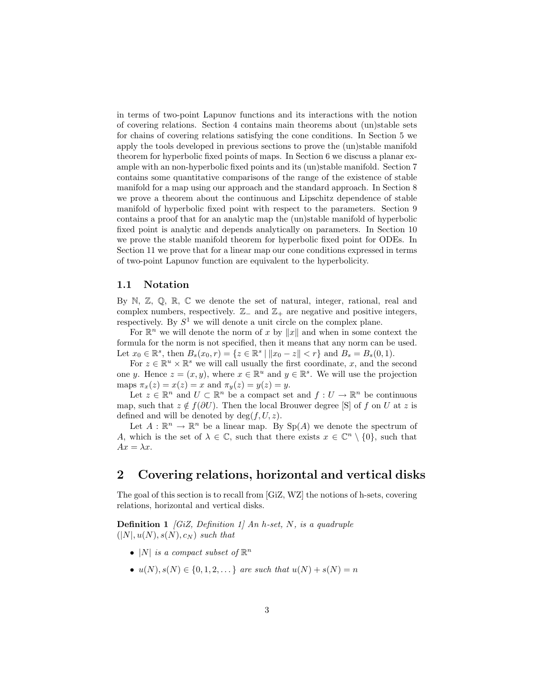in terms of two-point Lapunov functions and its interactions with the notion of covering relations. Section 4 contains main theorems about (un)stable sets for chains of covering relations satisfying the cone conditions. In Section 5 we apply the tools developed in previous sections to prove the (un)stable manifold theorem for hyperbolic fixed points of maps. In Section 6 we discuss a planar example with an non-hyperbolic fixed points and its (un)stable manifold. Section 7 contains some quantitative comparisons of the range of the existence of stable manifold for a map using our approach and the standard approach. In Section 8 we prove a theorem about the continuous and Lipschitz dependence of stable manifold of hyperbolic fixed point with respect to the parameters. Section 9 contains a proof that for an analytic map the (un)stable manifold of hyperbolic fixed point is analytic and depends analytically on parameters. In Section 10 we prove the stable manifold theorem for hyperbolic fixed point for ODEs. In Section 11 we prove that for a linear map our cone conditions expressed in terms of two-point Lapunov function are equivalent to the hyperbolicity.

#### 1.1 Notation

By N, Z, Q, R, C we denote the set of natural, integer, rational, real and complex numbers, respectively.  $\mathbb{Z}_-$  and  $\mathbb{Z}_+$  are negative and positive integers, respectively. By  $S^1$  we will denote a unit circle on the complex plane.

For  $\mathbb{R}^n$  we will denote the norm of x by ||x|| and when in some context the formula for the norm is not specified, then it means that any norm can be used. Let  $x_0 \in \mathbb{R}^s$ , then  $B_s(x_0, r) = \{z \in \mathbb{R}^s \mid ||x_0 - z|| < r\}$  and  $B_s = B_s(0, 1)$ .

For  $z \in \mathbb{R}^u \times \mathbb{R}^s$  we will call usually the first coordinate, x, and the second one y. Hence  $z = (x, y)$ , where  $x \in \mathbb{R}^u$  and  $y \in \mathbb{R}^s$ . We will use the projection maps  $\pi_x(z) = x(z) = x$  and  $\pi_y(z) = y(z) = y$ .

Let  $z \in \mathbb{R}^n$  and  $U \subset \mathbb{R}^n$  be a compact set and  $f: U \to \mathbb{R}^n$  be continuous map, such that  $z \notin f(\partial U)$ . Then the local Brouwer degree [S] of f on U at z is defined and will be denoted by  $deg(f, U, z)$ .

Let  $A: \mathbb{R}^n \to \mathbb{R}^n$  be a linear map. By  $Sp(A)$  we denote the spectrum of A, which is the set of  $\lambda \in \mathbb{C}$ , such that there exists  $x \in \mathbb{C}^n \setminus \{0\}$ , such that  $Ax = \lambda x$ .

### 2 Covering relations, horizontal and vertical disks

The goal of this section is to recall from [GiZ, WZ] the notions of h-sets, covering relations, horizontal and vertical disks.

**Definition 1** [GiZ, Definition 1] An h-set, N, is a quadruple  $(|N|, u(N), s(N), c_N)$  such that

- |N| is a compact subset of  $\mathbb{R}^n$
- $u(N), s(N) \in \{0, 1, 2, \dots\}$  are such that  $u(N) + s(N) = n$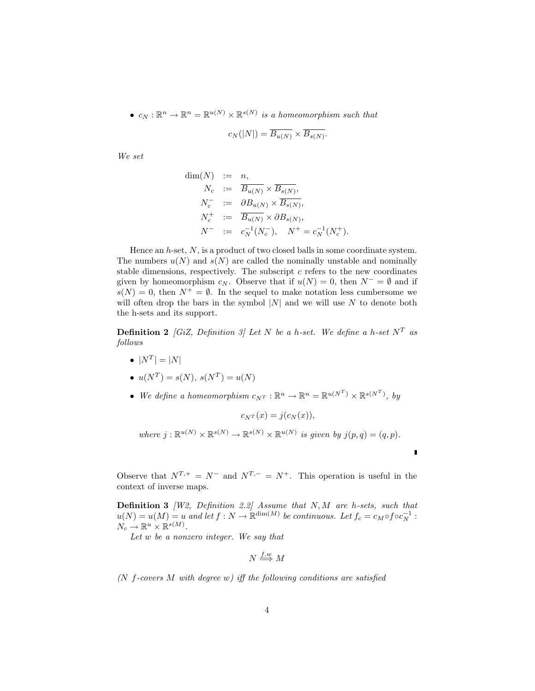•  $c_N : \mathbb{R}^n \to \mathbb{R}^n = \mathbb{R}^{u(N)} \times \mathbb{R}^{s(N)}$  is a homeomorphism such that

$$
c_N(|N|) = \overline{B_{u(N)}} \times \overline{B_{s(N)}}.
$$

We set

$$
\dim(N) := n,
$$
  
\n
$$
N_c := \overline{B_{u(N)}} \times \overline{B_{s(N)}},
$$
  
\n
$$
N_c^- := \partial B_{u(N)} \times \overline{B_{s(N)}},
$$
  
\n
$$
N_c^+ := \overline{B_{u(N)}} \times \partial B_{s(N)},
$$
  
\n
$$
N^- := c_N^{-1}(N_c^-), \quad N^+ = c_N^{-1}(N_c^+).
$$

Hence an  $h$ -set,  $N$ , is a product of two closed balls in some coordinate system. The numbers  $u(N)$  and  $s(N)$  are called the nominally unstable and nominally stable dimensions, respectively. The subscript  $c$  refers to the new coordinates given by homeomorphism  $c_N$ . Observe that if  $u(N) = 0$ , then  $N^- = \emptyset$  and if  $s(N) = 0$ , then  $N^+ = \emptyset$ . In the sequel to make notation less cumbersome we will often drop the bars in the symbol  $|N|$  and we will use N to denote both the h-sets and its support.

**Definition 2** [GiZ, Definition 3] Let N be a h-set. We define a h-set  $N^T$  as follows

•  $|N^T| = |N|$ 

• 
$$
u(N^T) = s(N), s(N^T) = u(N)
$$

• We define a homeomorphism  $c_{N^T}: \mathbb{R}^n \to \mathbb{R}^n = \mathbb{R}^{u(N^T)} \times \mathbb{R}^{s(N^T)}$ , by

 $c_{N^{T}}(x) = j(c_{N}(x)),$ 

where  $j : \mathbb{R}^{u(N)} \times \mathbb{R}^{s(N)} \to \mathbb{R}^{s(N)} \times \mathbb{R}^{u(N)}$  is given by  $j(p,q) = (q,p)$ .

П

Observe that  $N^{T,+} = N^-$  and  $N^{T,-} = N^+$ . This operation is useful in the context of inverse maps.

**Definition 3** *[W2, Definition 2.2]* Assume that  $N$ ,  $M$  are h-sets, such that  $u(N) = u(M) = u$  and let  $f: N \to \mathbb{R}^{\dim(M)}$  be continuous. Let  $f_c = c_M \circ f \circ c_N^{-1}$ :  $N_c \to \mathbb{R}^u \times \mathbb{R}^{s(M)}$ .

Let w be a nonzero integer. We say that

$$
N \stackrel{f,w}{\Longrightarrow} M
$$

( $N$  f-covers  $M$  with degree  $w$ ) iff the following conditions are satisfied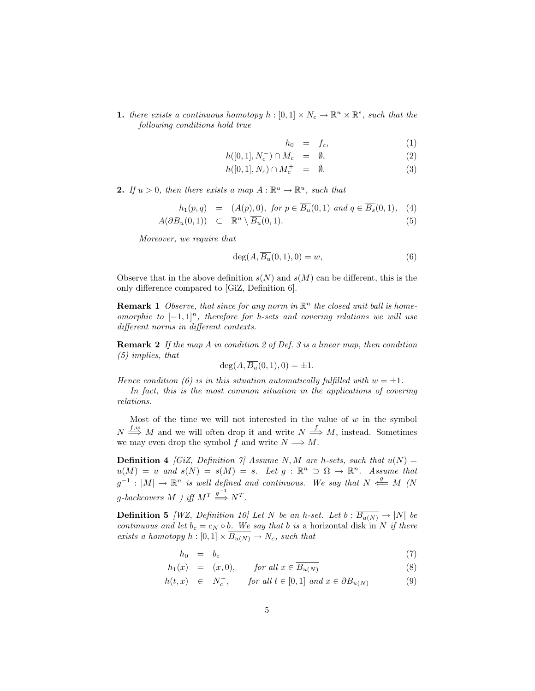**1.** there exists a continuous homotopy  $h : [0,1] \times N_c \to \mathbb{R}^u \times \mathbb{R}^s$ , such that the following conditions hold true

$$
h_0 = f_c, \tag{1}
$$

$$
h([0,1], N_c^-) \cap M_c = \emptyset, \qquad (2)
$$

$$
h([0,1], N_c) \cap M_c^+ = \emptyset. \tag{3}
$$

**2.** If  $u > 0$ , then there exists a map  $A : \mathbb{R}^u \to \mathbb{R}^u$ , such that

$$
h_1(p,q) = (A(p),0), \text{ for } p \in \overline{B_u}(0,1) \text{ and } q \in \overline{B_s}(0,1), \quad (4)
$$

$$
A(\partial B_u(0,1)) \quad \subset \quad \mathbb{R}^u \setminus \overline{B_u}(0,1). \tag{5}
$$

Moreover, we require that

$$
\deg(A, \overline{B_u}(0,1), 0) = w,\tag{6}
$$

Observe that in the above definition  $s(N)$  and  $s(M)$  can be different, this is the only difference compared to [GiZ, Definition 6].

**Remark 1** Observe, that since for any norm in  $\mathbb{R}^n$  the closed unit ball is homeomorphic to  $[-1, 1]^n$ , therefore for h-sets and covering relations we will use different norms in different contexts.

**Remark 2** If the map A in condition 2 of Def. 3 is a linear map, then condition (5) implies, that

$$
\deg(A, \overline{B_u}(0,1), 0) = \pm 1.
$$

Hence condition (6) is in this situation automatically fulfilled with  $w = \pm 1$ .

In fact, this is the most common situation in the applications of covering relations.

Most of the time we will not interested in the value of  $w$  in the symbol  $N \stackrel{f,w}{\Longrightarrow} M$  and we will often drop it and write  $N \stackrel{f}{\Longrightarrow} M$ , instead. Sometimes we may even drop the symbol f and write  $N \Longrightarrow M$ .

**Definition 4** [GiZ, Definition 7] Assume N, M are h-sets, such that  $u(N) =$  $u(M) = u$  and  $s(N) = s(M) = s$ . Let  $g : \mathbb{R}^n \supset \Omega \to \mathbb{R}^n$ . Assume that  $g^{-1}: |M| \to \mathbb{R}^n$  is well defined and continuous. We say that  $N \stackrel{g}{\iff} M$  (N  $g\text{-}back covers\ M$  ) iff  $M^T \stackrel{g^{-1}}{\Longrightarrow} N^T$ .

**Definition 5** [WZ, Definition 10] Let N be an h-set. Let b :  $\overline{B_{u(N)}} \to |N|$  be continuous and let  $b_c = c_N \circ b$ . We say that b is a horizontal disk in N if there exists a homotopy  $h : [0,1] \times \overline{B_{u(N)}} \to N_c$ , such that

$$
h_0 = b_c \tag{7}
$$

$$
h_1(x) = (x, 0), \qquad \text{for all } x \in \overline{B_{u(N)}} \tag{8}
$$

$$
h(t,x) \in N_c^-, \quad \text{for all } t \in [0,1] \text{ and } x \in \partial B_{u(N)} \tag{9}
$$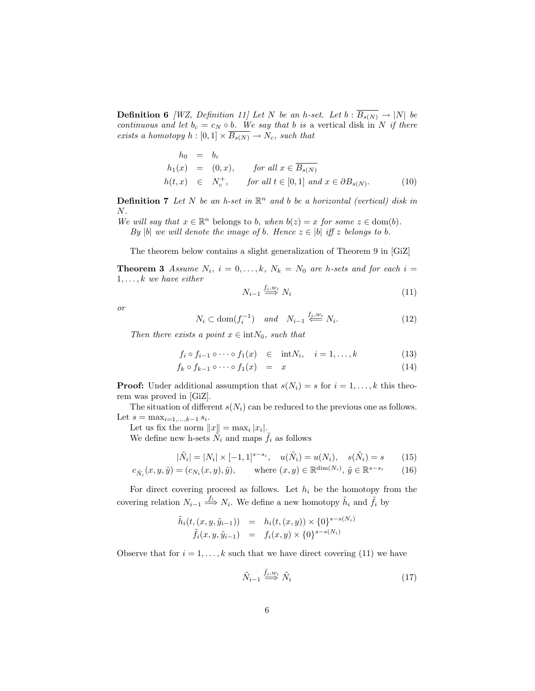**Definition 6** [WZ, Definition 11] Let N be an h-set. Let  $b : \overline{B_{s(N)}} \to |N|$  be continuous and let  $b_c = c_N \circ b$ . We say that b is a vertical disk in N if there exists a homotopy  $h : [0,1] \times B_{s(N)} \to N_c$ , such that

$$
h_0 = b_c
$$
  
\n
$$
h_1(x) = (0, x), \quad \text{for all } x \in \overline{B_{s(N)}}
$$
  
\n
$$
h(t, x) \in N_c^+, \quad \text{for all } t \in [0, 1] \text{ and } x \in \partial B_{s(N)}.
$$
  
\n(10)

**Definition 7** Let N be an h-set in  $\mathbb{R}^n$  and b be a horizontal (vertical) disk in N.

We will say that  $x \in \mathbb{R}^n$  belongs to b, when  $b(z) = x$  for some  $z \in \text{dom}(b)$ . By |b| we will denote the image of b. Hence  $z \in |b|$  iff z belongs to b.

The theorem below contains a slight generalization of Theorem 9 in [GiZ]

**Theorem 3** Assume  $N_i$ ,  $i = 0, \ldots, k$ ,  $N_k = N_0$  are h-sets and for each  $i =$  $1, \ldots, k$  we have either

$$
N_{i-1} \stackrel{f_i, w_i}{\Longrightarrow} N_i \tag{11}
$$

or

$$
N_i \subset \text{dom}(f_i^{-1}) \quad \text{and} \quad N_{i-1} \stackrel{f_i, w_i}{\Longleftarrow} N_i. \tag{12}
$$

Then there exists a point  $x \in \text{int}N_0$ , such that

$$
f_i \circ f_{i-1} \circ \cdots \circ f_1(x) \quad \in \quad \text{int}N_i, \quad i = 1, \dots, k \tag{13}
$$

$$
f_k \circ f_{k-1} \circ \cdots \circ f_1(x) = x \tag{14}
$$

**Proof:** Under additional assumption that  $s(N_i) = s$  for  $i = 1, ..., k$  this theorem was proved in [GiZ].

The situation of different  $s(N_i)$  can be reduced to the previous one as follows. Let  $s = \max_{i=1,...,k-1} s_i$ .

Let us fix the norm  $||x|| = \max_i |x_i|$ .

We define new h-sets  $N_i$  and maps  $\tilde{f}_i$  as follows

$$
|\tilde{N}_i| = |N_i| \times [-1, 1]^{s - s_i}, \quad u(\tilde{N}_i) = u(N_i), \quad s(\tilde{N}_i) = s \tag{15}
$$

$$
c_{\tilde{N}_i}(x, y, \tilde{y}) = (c_{N_i}(x, y), \tilde{y}), \qquad \text{where } (x, y) \in \mathbb{R}^{\dim(N_i)}, \tilde{y} \in \mathbb{R}^{s - s_i}
$$
 (16)

For direct covering proceed as follows. Let  $h_i$  be the homotopy from the covering relation  $N_{i-1} \stackrel{f_i}{\Longrightarrow} N_i$ . We define a new homotopy  $\tilde{h}_i$  and  $\tilde{f}_i$  by

$$
\tilde{h}_i(t, (x, y, \tilde{y}_{i-1})) = h_i(t, (x, y)) \times \{0\}^{s - s(N_i)}
$$
  

$$
\tilde{f}_i(x, y, \tilde{y}_{i-1}) = f_i(x, y) \times \{0\}^{s - s(N_i)}
$$

Observe that for  $i = 1, ..., k$  such that we have direct covering (11) we have

$$
\tilde{N}_{i-1} \stackrel{\tilde{f}_i, w_i}{\Longrightarrow} \tilde{N}_i \tag{17}
$$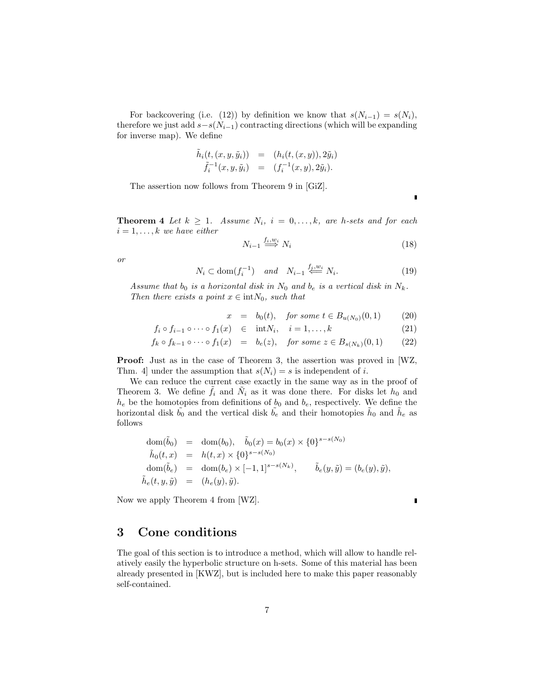For backcovering (i.e. (12)) by definition we know that  $s(N_{i-1}) = s(N_i)$ , therefore we just add  $s-s(N_{i-1})$  contracting directions (which will be expanding for inverse map). We define

$$
\tilde{h}_i(t,(x,y,\tilde{y}_i)) = (h_i(t,(x,y)), 2\tilde{y}_i) \n\tilde{f}_i^{-1}(x,y,\tilde{y}_i) = (f_i^{-1}(x,y), 2\tilde{y}_i).
$$

The assertion now follows from Theorem 9 in [GiZ].

**Theorem 4** Let  $k \geq 1$ . Assume  $N_i$ ,  $i = 0, \ldots, k$ , are h-sets and for each  $i = 1, \ldots, k$  we have either

$$
N_{i-1} \stackrel{f_i, w_i}{\Longrightarrow} N_i \tag{18}
$$

or

$$
N_i \subset \text{dom}(f_i^{-1}) \quad \text{and} \quad N_{i-1} \stackrel{f_j, w_i}{\Longleftarrow} N_i. \tag{19}
$$

Assume that  $b_0$  is a horizontal disk in  $N_0$  and  $b_e$  is a vertical disk in  $N_k$ . Then there exists a point  $x \in \text{int}N_0$ , such that

$$
x = b_0(t)
$$
, for some  $t \in B_{u(N_0)}(0, 1)$  (20)

$$
f_i \circ f_{i-1} \circ \cdots \circ f_1(x) \quad \in \quad \text{int}N_i, \quad i = 1, \dots, k \tag{21}
$$

$$
f_k \circ f_{k-1} \circ \cdots \circ f_1(x) = b_e(z), \quad \text{for some } z \in B_{s(N_k)}(0,1) \tag{22}
$$

Proof: Just as in the case of Theorem 3, the assertion was proved in [WZ, Thm. 4] under the assumption that  $s(N_i) = s$  is independent of i.

We can reduce the current case exactly in the same way as in the proof of Theorem 3. We define  $\tilde{f}_i$  and  $\tilde{N}_i$  as it was done there. For disks let  $h_0$  and  $h_e$  be the homotopies from definitions of  $b_0$  and  $b_e$ , respectively. We define the horizontal disk  $\tilde{b}_0$  and the vertical disk  $\tilde{b}_e$  and their homotopies  $\tilde{h}_0$  and  $\tilde{h}_e$  as follows

$$
\begin{array}{rcl}\n\text{dom}(\tilde{b}_0) & = & \text{dom}(b_0), \quad \tilde{b}_0(x) = b_0(x) \times \{0\}^{s-s(N_0)} \\
\tilde{h}_0(t, x) & = & h(t, x) \times \{0\}^{s-s(N_0)} \\
\text{dom}(\tilde{b}_e) & = & \text{dom}(b_e) \times [-1, 1]^{s-s(N_k)}, \qquad \tilde{b}_e(y, \tilde{y}) = (b_e(y), \tilde{y}), \\
\tilde{h}_e(t, y, \tilde{y}) & = & (h_e(y), \tilde{y}).\n\end{array}
$$

Now we apply Theorem 4 from [WZ].

# 3 Cone conditions

The goal of this section is to introduce a method, which will allow to handle relatively easily the hyperbolic structure on h-sets. Some of this material has been already presented in [KWZ], but is included here to make this paper reasonably self-contained.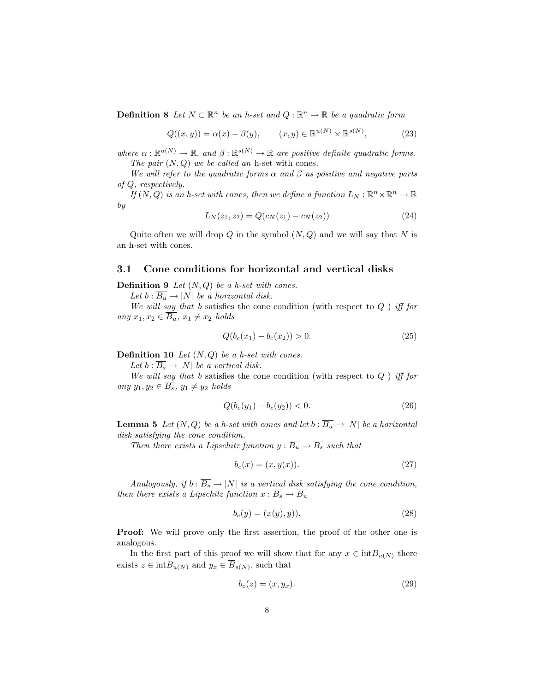**Definition 8** Let  $N \subset \mathbb{R}^n$  be an h-set and  $Q : \mathbb{R}^n \to \mathbb{R}$  be a quadratic form

$$
Q((x,y)) = \alpha(x) - \beta(y), \qquad (x,y) \in \mathbb{R}^{u(N)} \times \mathbb{R}^{s(N)}, \tag{23}
$$

where  $\alpha : \mathbb{R}^{u(N)} \to \mathbb{R}$ , and  $\beta : \mathbb{R}^{s(N)} \to \mathbb{R}$  are positive definite quadratic forms. The pair  $(N, Q)$  we be called an h-set with cones.

We will refer to the quadratic forms  $\alpha$  and  $\beta$  as positive and negative parts of Q, respectively.

If  $(N, Q)$  is an h-set with cones, then we define a function  $L_N : \mathbb{R}^n \times \mathbb{R}^n \to \mathbb{R}$ by

$$
L_N(z_1, z_2) = Q(c_N(z_1) - c_N(z_2))
$$
\n(24)

Quite often we will drop  $Q$  in the symbol  $(N, Q)$  and we will say that N is an h-set with cones.

#### 3.1 Cone conditions for horizontal and vertical disks

**Definition 9** Let  $(N, Q)$  be a h-set with cones.

Let  $b : B_u \to |N|$  be a horizontal disk.

We will say that b satisfies the cone condition (with respect to  $Q$  ) iff for any  $x_1, x_2 \in \overline{B_u}$ ,  $x_1 \neq x_2$  holds

$$
Q(b_c(x_1) - b_c(x_2)) > 0.
$$
\n(25)

**Definition 10** Let  $(N, Q)$  be a h-set with cones.

Let  $b : \overline{B_s} \to |N|$  be a vertical disk.

We will say that b satisfies the cone condition (with respect to  $Q$  ) iff for any  $y_1, y_2 \in \overline{B_s}$ ,  $y_1 \neq y_2$  holds

$$
Q(b_c(y_1) - b_c(y_2)) < 0. \tag{26}
$$

**Lemma 5** Let  $(N, Q)$  be a h-set with cones and let  $b : \overline{B_u} \to |N|$  be a horizontal disk satisfying the cone condition.

Then there exists a Lipschitz function  $y : \overline{B_u} \to \overline{B_s}$  such that

$$
b_c(x) = (x, y(x)).
$$
\n<sup>(27)</sup>

Analogously, if  $b : \overline{B_s} \to |N|$  is a vertical disk satisfying the cone condition, then there exists a Lipschitz function  $x : \overline{B_s} \to \overline{B_u}$ 

$$
b_c(y) = (x(y), y)).
$$
\n(28)

**Proof:** We will prove only the first assertion, the proof of the other one is analogous.

In the first part of this proof we will show that for any  $x \in intB_{u(N)}$  there exists  $z \in \text{int}B_{u(N)}$  and  $y_x \in \overline{B}_{s(N)}$ , such that

$$
b_c(z) = (x, y_x). \tag{29}
$$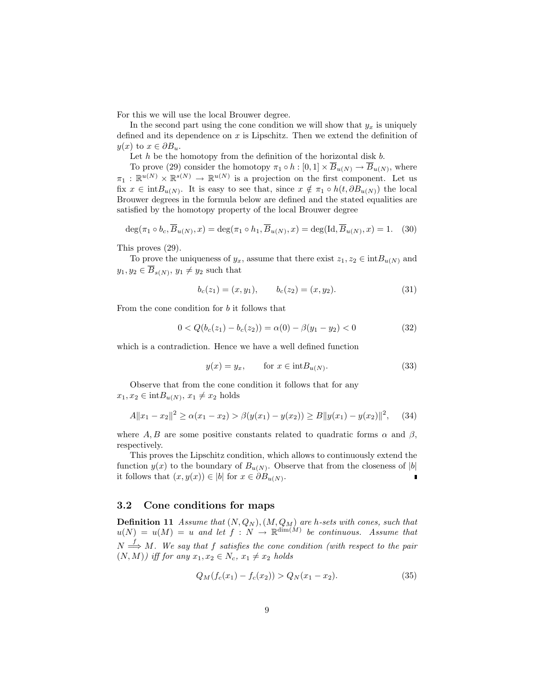For this we will use the local Brouwer degree.

In the second part using the cone condition we will show that  $y_x$  is uniquely defined and its dependence on  $x$  is Lipschitz. Then we extend the definition of  $y(x)$  to  $x \in \partial B_u$ .

Let  $h$  be the homotopy from the definition of the horizontal disk  $b$ .

To prove (29) consider the homotopy  $\pi_1 \circ h : [0,1] \times \overline{B}_{u(N)} \to \overline{B}_{u(N)}$ , where  $\pi_1 : \mathbb{R}^{u(N)} \times \mathbb{R}^{s(N)} \to \mathbb{R}^{u(N)}$  is a projection on the first component. Let us fix  $x \in \text{int}B_{u(N)}$ . It is easy to see that, since  $x \notin \pi_1 \circ h(t, \partial B_{u(N)})$  the local Brouwer degrees in the formula below are defined and the stated equalities are satisfied by the homotopy property of the local Brouwer degree

$$
\deg(\pi_1 \circ b_c, \overline{B}_{u(N)}, x) = \deg(\pi_1 \circ h_1, \overline{B}_{u(N)}, x) = \deg(\mathrm{Id}, \overline{B}_{u(N)}, x) = 1. \quad (30)
$$

This proves (29).

To prove the uniqueness of  $y_x$ , assume that there exist  $z_1, z_2 \in \text{int}B_{u(N)}$  and  $y_1, y_2 \in \overline{B}_{s(N)}, y_1 \neq y_2$  such that

$$
b_c(z_1) = (x, y_1), \qquad b_c(z_2) = (x, y_2). \tag{31}
$$

From the cone condition for b it follows that

$$
0 < Q(b_c(z_1) - b_c(z_2)) = \alpha(0) - \beta(y_1 - y_2) < 0
$$
\n(32)

which is a contradiction. Hence we have a well defined function

$$
y(x) = y_x, \qquad \text{for } x \in \text{int}B_{u(N)}.\tag{33}
$$

Observe that from the cone condition it follows that for any  $x_1, x_2 \in \text{int}B_{u(N)}, x_1 \neq x_2 \text{ holds}$ 

$$
A||x_1 - x_2||^2 \ge \alpha(x_1 - x_2) > \beta(y(x_1) - y(x_2)) \ge B||y(x_1) - y(x_2)||^2, \quad (34)
$$

where A, B are some positive constants related to quadratic forms  $\alpha$  and  $\beta$ , respectively.

This proves the Lipschitz condition, which allows to continuously extend the function  $y(x)$  to the boundary of  $B_{u(N)}$ . Observe that from the closeness of |b| it follows that  $(x, y(x)) \in |b|$  for  $x \in \partial B_{u(N)}$ .

#### 3.2 Cone conditions for maps

**Definition 11** Assume that  $(N, Q_N)$ ,  $(M, Q_M)$  are h-sets with cones, such that  $u(N) = u(M) = u$  and let  $f: N \to \mathbb{R}^{\dim(M)}$  be continuous. Assume that  $N \stackrel{f}{\Longrightarrow} M$ . We say that f satisfies the cone condition (with respect to the pair  $(N, M)$ ) iff for any  $x_1, x_2 \in N_c$ ,  $x_1 \neq x_2$  holds

$$
Q_M(f_c(x_1) - f_c(x_2)) > Q_N(x_1 - x_2). \tag{35}
$$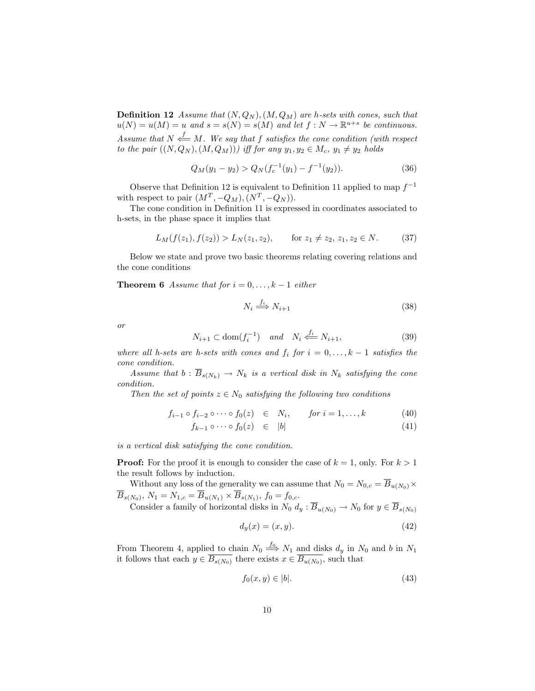**Definition 12** Assume that  $(N, Q_N)$ ,  $(M, Q_M)$  are h-sets with cones, such that  $u(N) = u(M) = u$  and  $s = s(N) = s(M)$  and let  $f: N \to \mathbb{R}^{u+s}$  be continuous. Assume that  $N \stackrel{f}{\Longleftarrow} M$ . We say that f satisfies the cone condition (with respect to the pair  $((N, Q_N), (M, Q_M))$  iff for any  $y_1, y_2 \in M_c$ ,  $y_1 \neq y_2$  holds

$$
Q_M(y_1 - y_2) > Q_N(f_c^{-1}(y_1) - f^{-1}(y_2)).
$$
\n(36)

Observe that Definition 12 is equivalent to Definition 11 applied to map  $f^{-1}$ with respect to pair  $(M^T, -Q_M), (N^T, -Q_N)$ .

The cone condition in Definition 11 is expressed in coordinates associated to h-sets, in the phase space it implies that

$$
L_M(f(z_1), f(z_2)) > L_N(z_1, z_2), \qquad \text{for } z_1 \neq z_2, z_1, z_2 \in N. \tag{37}
$$

Below we state and prove two basic theorems relating covering relations and the cone conditions

**Theorem 6** Assume that for  $i = 0, \ldots, k - 1$  either

$$
N_i \stackrel{f_i}{\Longrightarrow} N_{i+1} \tag{38}
$$

or

$$
N_{i+1} \subset \text{dom}(f_i^{-1}) \quad \text{and} \quad N_i \stackrel{f_i}{\iff} N_{i+1},\tag{39}
$$

where all h-sets are h-sets with cones and  $f_i$  for  $i = 0, \ldots, k - 1$  satisfies the cone condition.

Assume that  $b : \overline{B}_{s(N_k)} \to N_k$  is a vertical disk in  $N_k$  satisfying the cone condition.

Then the set of points  $z \in N_0$  satisfying the following two conditions

$$
f_{i-1} \circ f_{i-2} \circ \cdots \circ f_0(z) \quad \in \quad N_i, \qquad \text{for } i = 1, \dots, k \tag{40}
$$

$$
f_{k-1} \circ \cdots \circ f_0(z) \quad \in \quad |b| \tag{41}
$$

is a vertical disk satisfying the cone condition.

**Proof:** For the proof it is enough to consider the case of  $k = 1$ , only. For  $k > 1$ the result follows by induction.

Without any loss of the generality we can assume that  $N_0 = N_{0,c} = \overline{B}_{u(N_0)} \times$  $\overline{B}_{s(N_0)}, N_1 = N_{1,c} = \overline{B}_{u(N_1)} \times \overline{B}_{s(N_1)}, f_0 = f_{0,c}.$ 

Consider a family of horizontal disks in  $N_0$   $d_y$  :  $\overline{B}_{u(N_0)} \to N_0$  for  $y \in \overline{B}_{s(N_0)}$ 

$$
d_y(x) = (x, y). \tag{42}
$$

From Theorem 4, applied to chain  $N_0 \stackrel{f_0}{\Longrightarrow} N_1$  and disks  $d_y$  in  $N_0$  and b in  $N_1$ it follows that each  $y \in \overline{B_{s(N_0)}}$  there exists  $x \in \overline{B_{u(N_0)}}$ , such that

$$
f_0(x,y) \in |b|.\tag{43}
$$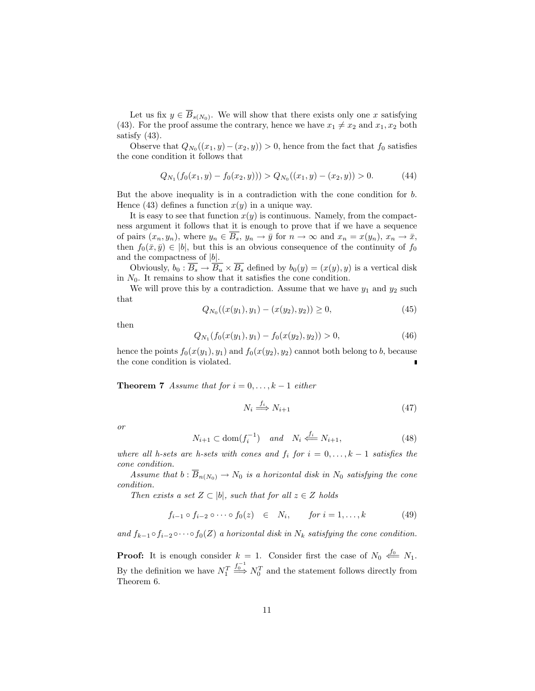Let us fix  $y \in \overline{B}_{s(N_0)}$ . We will show that there exists only one x satisfying (43). For the proof assume the contrary, hence we have  $x_1 \neq x_2$  and  $x_1, x_2$  both satisfy (43).

Observe that  $Q_{N_0}((x_1, y) - (x_2, y)) > 0$ , hence from the fact that  $f_0$  satisfies the cone condition it follows that

$$
Q_{N_1}(f_0(x_1, y) - f_0(x_2, y))) > Q_{N_0}((x_1, y) - (x_2, y)) > 0.
$$
 (44)

But the above inequality is in a contradiction with the cone condition for b. Hence (43) defines a function  $x(y)$  in a unique way.

It is easy to see that function  $x(y)$  is continuous. Namely, from the compactness argument it follows that it is enough to prove that if we have a sequence of pairs  $(x_n, y_n)$ , where  $y_n \in \overline{B_s}$ ,  $y_n \to \overline{y}$  for  $n \to \infty$  and  $x_n = x(y_n)$ ,  $x_n \to \overline{x}$ , then  $f_0(\bar{x}, \bar{y}) \in |b|$ , but this is an obvious consequence of the continuity of  $f_0$ and the compactness of  $|b|$ .

Obviously,  $b_0 : \overline{B_s} \to \overline{B_u} \times \overline{B_s}$  defined by  $b_0(y) = (x(y), y)$  is a vertical disk in  $N_0$ . It remains to show that it satisfies the cone condition.

We will prove this by a contradiction. Assume that we have  $y_1$  and  $y_2$  such that

$$
Q_{N_0}((x(y_1), y_1) - (x(y_2), y_2)) \ge 0,
$$
\n(45)

then

$$
Q_{N_1}(f_0(x(y_1), y_1) - f_0(x(y_2), y_2)) > 0,
$$
\n(46)

hence the points  $f_0(x(y_1), y_1)$  and  $f_0(x(y_2), y_2)$  cannot both belong to b, because the cone condition is violated.

**Theorem 7** Assume that for  $i = 0, \ldots, k - 1$  either

$$
N_i \stackrel{f_i}{\Longrightarrow} N_{i+1} \tag{47}
$$

or

$$
N_{i+1} \subset \text{dom}(f_i^{-1}) \quad \text{and} \quad N_i \stackrel{f_i}{\iff} N_{i+1},\tag{48}
$$

where all h-sets are h-sets with cones and  $f_i$  for  $i = 0, \ldots, k - 1$  satisfies the cone condition.

Assume that  $b : \overline{B}_{n(N_0)} \to N_0$  is a horizontal disk in  $N_0$  satisfying the cone condition.

Then exists a set  $Z \subset |b|$ , such that for all  $z \in Z$  holds

$$
f_{i-1} \circ f_{i-2} \circ \cdots \circ f_0(z) \quad \in \quad N_i, \qquad \text{for } i = 1, \ldots, k \tag{49}
$$

and  $f_{k-1} \circ f_{i-2} \circ \cdots \circ f_0(Z)$  a horizontal disk in  $N_k$  satisfying the cone condition.

**Proof:** It is enough consider  $k = 1$ . Consider first the case of  $N_0 \stackrel{f_0}{\iff} N_1$ . By the definition we have  $N_1^T$  $\stackrel{f_0^{-1}}{\Longrightarrow} N_0^T$  and the statement follows directly from Theorem 6.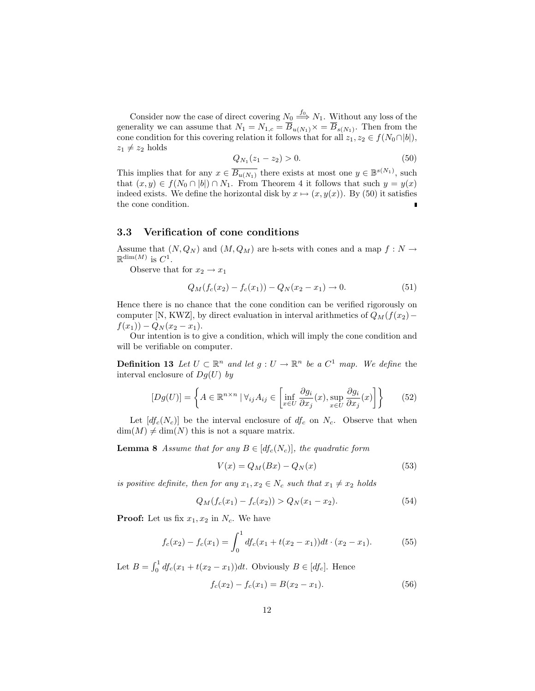Consider now the case of direct covering  $N_0 \stackrel{f_0}{\Longrightarrow} N_1$ . Without any loss of the generality we can assume that  $N_1 = N_{1,c} = \overline{B}_{u(N_1)} \times \overline{B}_{s(N_1)}$ . Then from the cone condition for this covering relation it follows that for all  $z_1, z_2 \in f(N_0 \cap |b|)$ ,  $z_1 \neq z_2$  holds

$$
Q_{N_1}(z_1 - z_2) > 0. \t\t(50)
$$

This implies that for any  $x \in \overline{B_{u(N_1)}}$  there exists at most one  $y \in \mathbb{B}^{s(N_1)}$ , such that  $(x, y) \in f(N_0 \cap |b|) \cap N_1$ . From Theorem 4 it follows that such  $y = y(x)$ indeed exists. We define the horizontal disk by  $x \mapsto (x, y(x))$ . By (50) it satisfies the cone condition.

#### 3.3 Verification of cone conditions

Assume that  $(N, Q_N)$  and  $(M, Q_M)$  are h-sets with cones and a map  $f : N \to$  $\mathbb{R}^{\dim(M)}$  is  $C^1$ .

Observe that for  $x_2 \rightarrow x_1$ 

$$
Q_M(f_c(x_2) - f_c(x_1)) - Q_N(x_2 - x_1) \to 0.
$$
\n(51)

Hence there is no chance that the cone condition can be verified rigorously on computer [N, KWZ], by direct evaluation in interval arithmetics of  $Q_M(f(x_2)$ −  $f(x_1)$ ) –  $Q_N(x_2 - x_1)$ .

Our intention is to give a condition, which will imply the cone condition and will be verifiable on computer.

**Definition 13** Let  $U \subset \mathbb{R}^n$  and let  $g: U \to \mathbb{R}^n$  be a  $C^1$  map. We define the interval enclosure of  $Dg(U)$  by

$$
[Dg(U)] = \left\{ A \in \mathbb{R}^{n \times n} \mid \forall_{ij} A_{ij} \in \left[ \inf_{x \in U} \frac{\partial g_i}{\partial x_j}(x), \sup_{x \in U} \frac{\partial g_i}{\partial x_j}(x) \right] \right\}
$$
(52)

Let  $[d_0c(N_c)]$  be the interval enclosure of  $df_c$  on  $N_c$ . Observe that when  $\dim(M) \neq \dim(N)$  this is not a square matrix.

**Lemma 8** Assume that for any  $B \in [df_c(N_c)]$ , the quadratic form

$$
V(x) = Q_M(Bx) - Q_N(x)
$$
\n(53)

is positive definite, then for any  $x_1, x_2 \in N_c$  such that  $x_1 \neq x_2$  holds

$$
Q_M(f_c(x_1) - f_c(x_2)) > Q_N(x_1 - x_2). \tag{54}
$$

**Proof:** Let us fix  $x_1, x_2$  in  $N_c$ . We have

$$
f_c(x_2) - f_c(x_1) = \int_0^1 df_c(x_1 + t(x_2 - x_1))dt \cdot (x_2 - x_1). \tag{55}
$$

Let  $B = \int_0^1$  $\int_0^1 df_c(x_1 + t(x_2 - x_1)) dt$ . Obviously  $B \in [df_c]$ . Hence

$$
f_c(x_2) - f_c(x_1) = B(x_2 - x_1). \tag{56}
$$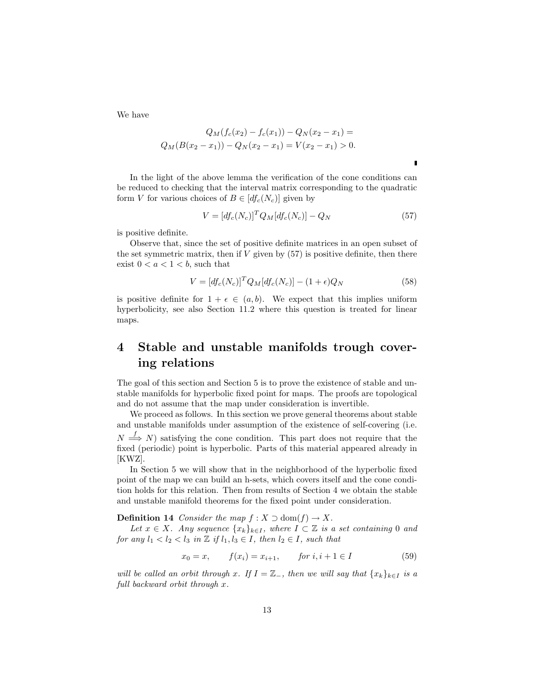We have

$$
Q_M(f_c(x_2) - f_c(x_1)) - Q_N(x_2 - x_1) =
$$
  

$$
Q_M(B(x_2 - x_1)) - Q_N(x_2 - x_1) = V(x_2 - x_1) > 0.
$$

In the light of the above lemma the verification of the cone conditions can be reduced to checking that the interval matrix corresponding to the quadratic form V for various choices of  $B \in [df_c(N_c)]$  given by

$$
V = [df_c(N_c)]^T Q_M [df_c(N_c)] - Q_N \tag{57}
$$

is positive definite.

Observe that, since the set of positive definite matrices in an open subset of the set symmetric matrix, then if  $V$  given by  $(57)$  is positive definite, then there exist  $0 < a < 1 < b$ , such that

$$
V = [df_c(N_c)]^T Q_M [df_c(N_c)] - (1 + \epsilon)Q_N
$$
\n(58)

is positive definite for  $1 + \epsilon \in (a, b)$ . We expect that this implies uniform hyperbolicity, see also Section 11.2 where this question is treated for linear maps.

## 4 Stable and unstable manifolds trough covering relations

The goal of this section and Section 5 is to prove the existence of stable and unstable manifolds for hyperbolic fixed point for maps. The proofs are topological and do not assume that the map under consideration is invertible.

We proceed as follows. In this section we prove general theorems about stable and unstable manifolds under assumption of the existence of self-covering (i.e.  $N \stackrel{f}{\Longrightarrow} N$ ) satisfying the cone condition. This part does not require that the fixed (periodic) point is hyperbolic. Parts of this material appeared already in [KWZ].

In Section 5 we will show that in the neighborhood of the hyperbolic fixed point of the map we can build an h-sets, which covers itself and the cone condition holds for this relation. Then from results of Section 4 we obtain the stable and unstable manifold theorems for the fixed point under consideration.

**Definition 14** Consider the map  $f : X \supset \text{dom}(f) \to X$ .

Let  $x \in X$ . Any sequence  $\{x_k\}_{k \in I}$ , where  $I \subset \mathbb{Z}$  is a set containing 0 and for any  $l_1 < l_2 < l_3$  in  $\mathbb{Z}$  if  $l_1, l_3 \in I$ , then  $l_2 \in I$ , such that

$$
x_0 = x, \t f(x_i) = x_{i+1}, \t for i, i+1 \in I \t (59)
$$

will be called an orbit through x. If  $I = \mathbb{Z}_-$ , then we will say that  $\{x_k\}_{k\in I}$  is a full backward orbit through x.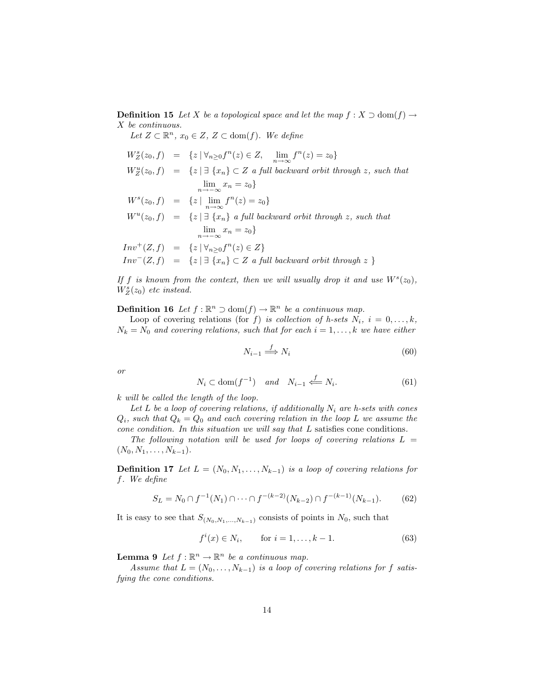**Definition 15** Let X be a topological space and let the map  $f : X \supset \text{dom}(f) \rightarrow$ X be continuous.

Let  $Z \subset \mathbb{R}^n$ ,  $x_0 \in Z$ ,  $Z \subset \text{dom}(f)$ . We define

$$
W_Z^s(z_0, f) = \{z \mid \forall_{n \geq 0} f^n(z) \in Z, \lim_{n \to \infty} f^n(z) = z_0\}
$$
  
\n
$$
W_Z^u(z_0, f) = \{z \mid \exists \{x_n\} \subset Z \text{ a full backward orbit through } z, \text{ such that}
$$
  
\n
$$
\lim_{n \to \infty} x_n = z_0\}
$$
  
\n
$$
W^s(z_0, f) = \{z \mid \lim_{n \to \infty} f^n(z) = z_0\}
$$
  
\n
$$
W^u(z_0, f) = \{z \mid \exists \{x_n\} \text{ a full backward orbit through } z, \text{ such that}
$$
  
\n
$$
\lim_{n \to \infty} x_n = z_0\}
$$
  
\n
$$
Inv^+(Z, f) = \{z \mid \forall_{n \geq 0} f^n(z) \in Z\}
$$
  
\n
$$
Inv^-(Z, f) = \{z \mid \exists \{x_n\} \subset Z \text{ a full backward orbit through } z \}
$$

If f is known from the context, then we will usually drop it and use  $W^s(z_0)$ ,  $W_Z^s(z_0)$  etc instead.

**Definition 16** Let  $f : \mathbb{R}^n \supset \text{dom}(f) \to \mathbb{R}^n$  be a continuous map.

Loop of covering relations (for f) is collection of h-sets  $N_i$ ,  $i = 0, \ldots, k$ ,  $N_k = N_0$  and covering relations, such that for each  $i = 1, ..., k$  we have either

$$
N_{i-1} \stackrel{f}{\Longrightarrow} N_i \tag{60}
$$

or

$$
N_i \subset \text{dom}(f^{-1}) \quad \text{and} \quad N_{i-1} \stackrel{f}{\Longleftarrow} N_i. \tag{61}
$$

k will be called the length of the loop.

Let L be a loop of covering relations, if additionally  $N_i$  are h-sets with cones  $Q_i$ , such that  $Q_k = Q_0$  and each covering relation in the loop L we assume the cone condition. In this situation we will say that L satisfies cone conditions.

The following notation will be used for loops of covering relations  $L =$  $(N_0, N_1, \ldots, N_{k-1}).$ 

**Definition 17** Let  $L = (N_0, N_1, \ldots, N_{k-1})$  is a loop of covering relations for f. We define

$$
S_L = N_0 \cap f^{-1}(N_1) \cap \dots \cap f^{-(k-2)}(N_{k-2}) \cap f^{-(k-1)}(N_{k-1}).
$$
 (62)

It is easy to see that  $S_{(N_0,N_1,...,N_{k-1})}$  consists of points in  $N_0$ , such that

$$
f^{i}(x) \in N_{i}, \qquad \text{for } i = 1, ..., k - 1.
$$
 (63)

**Lemma 9** Let  $f : \mathbb{R}^n \to \mathbb{R}^n$  be a continuous map.

Assume that  $L = (N_0, \ldots, N_{k-1})$  is a loop of covering relations for f satisfying the cone conditions.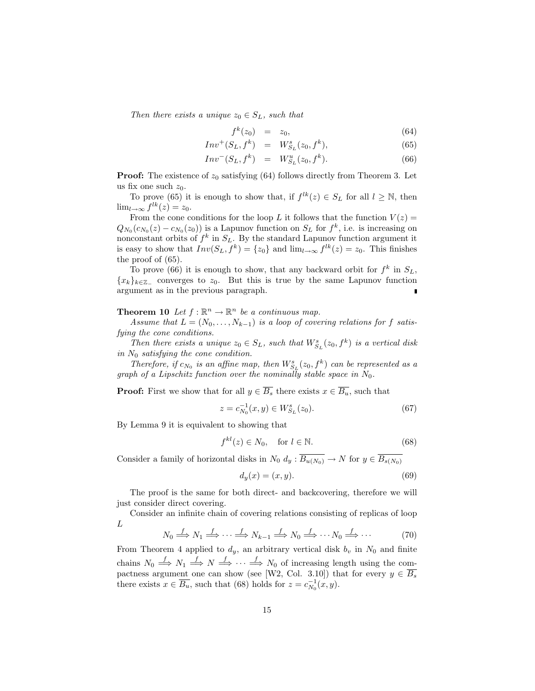Then there exists a unique  $z_0 \in S_L$ , such that

$$
f^k(z_0) = z_0, \tag{64}
$$

$$
Inv^{+}(S_{L}, f^{k}) = W_{S_{L}}^{s}(z_{0}, f^{k}), \qquad (65)
$$

$$
Inv^{-}(S_{L}, f^{k}) = W_{S_{L}}^{u}(z_{0}, f^{k}). \qquad (66)
$$

**Proof:** The existence of  $z_0$  satisfying (64) follows directly from Theorem 3. Let us fix one such  $z_0$ .

To prove (65) it is enough to show that, if  $f^{lk}(z) \in S_L$  for all  $l \geq \mathbb{N}$ , then  $\lim_{l\to\infty} f^{lk}(z) = z_0.$ 

From the cone conditions for the loop L it follows that the function  $V(z)$  =  $Q_{N_0}(c_{N_0}(z) - c_{N_0}(z_0))$  is a Lapunov function on  $S_L$  for  $f^k$ , i.e. is increasing on nonconstant orbits of  $f^k$  in  $S_L$ . By the standard Lapunov function argument it is easy to show that  $Inv(S_L, f^k) = \{z_0\}$  and  $\lim_{l\to\infty} f^{lk}(z) = z_0$ . This finishes the proof of (65).

To prove (66) it is enough to show, that any backward orbit for  $f^k$  in  $S_L$ ,  ${x_k}_{k \in \mathbb{Z}}$  converges to  $z_0$ . But this is true by the same Lapunov function argument as in the previous paragraph. п

**Theorem 10** Let  $f : \mathbb{R}^n \to \mathbb{R}^n$  be a continuous map.

Assume that  $L = (N_0, \ldots, N_{k-1})$  is a loop of covering relations for f satisfying the cone conditions.

Then there exists a unique  $z_0 \in S_L$ , such that  $W_{S_L}^s(z_0, f^k)$  is a vertical disk in  $N_0$  satisfying the cone condition.

Therefore, if  $c_{N_0}$  is an affine map, then  $W_{S_L}^s(z_0, f^k)$  can be represented as a graph of a Lipschitz function over the nominally stable space in  $N_0$ .

**Proof:** First we show that for all  $y \in \overline{B_s}$  there exists  $x \in \overline{B_u}$ , such that

$$
z = c_{N_0}^{-1}(x, y) \in W_{S_L}^s(z_0). \tag{67}
$$

By Lemma 9 it is equivalent to showing that

$$
f^{kl}(z) \in N_0, \quad \text{for } l \in \mathbb{N}.
$$
 (68)

Consider a family of horizontal disks in  $N_0 d_y : \overline{B_{u(N_0)}} \to N$  for  $y \in \overline{B_{s(N_0)}}$ 

$$
d_y(x) = (x, y). \tag{69}
$$

The proof is the same for both direct- and backcovering, therefore we will just consider direct covering.

Consider an infinite chain of covering relations consisting of replicas of loop L

$$
N_0 \stackrel{f}{\Longrightarrow} N_1 \stackrel{f}{\Longrightarrow} \cdots \stackrel{f}{\Longrightarrow} N_{k-1} \stackrel{f}{\Longrightarrow} N_0 \stackrel{f}{\Longrightarrow} \cdots N_0 \stackrel{f}{\Longrightarrow} \cdots \tag{70}
$$

From Theorem 4 applied to  $d_y$ , an arbitrary vertical disk  $b_y$  in  $N_0$  and finite chains  $N_0 \stackrel{f}{\Longrightarrow} N_1 \stackrel{f}{\Longrightarrow} N \stackrel{f}{\Longrightarrow} \cdots \stackrel{f}{\Longrightarrow} N_0$  of increasing length using the compactness argument one can show (see [W2, Col. 3.10]) that for every  $y \in \overline{B_s}$ there exists  $x \in \overline{B_u}$ , such that (68) holds for  $z = c_{N_0}^{-1}(x, y)$ .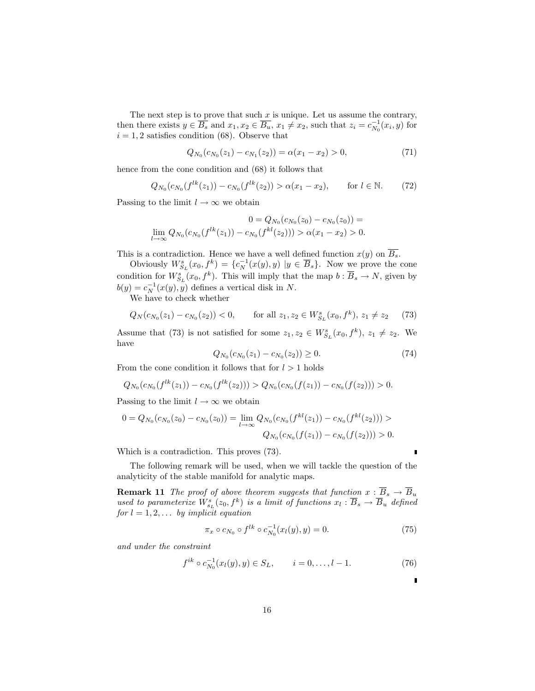The next step is to prove that such  $x$  is unique. Let us assume the contrary, then there exists  $y \in \overline{B_s}$  and  $x_1, x_2 \in \overline{B_u}$ ,  $x_1 \neq x_2$ , such that  $z_i = c_{N_0}^{-1}(x_i, y)$  for  $i = 1, 2$  satisfies condition (68). Observe that

$$
Q_{N_0}(c_{N_0}(z_1) - c_{N_1}(z_2)) = \alpha(x_1 - x_2) > 0,
$$
\n(71)

hence from the cone condition and (68) it follows that

$$
Q_{N_0}(c_{N_0}(f^{lk}(z_1)) - c_{N_0}(f^{lk}(z_2)) > \alpha(x_1 - x_2), \quad \text{for } l \in \mathbb{N}.
$$
 (72)

Passing to the limit  $l \to \infty$  we obtain

$$
0 = Q_{N_0}(c_{N_0}(z_0) - c_{N_0}(z_0)) =
$$
  

$$
\lim_{l \to \infty} Q_{N_0}(c_{N_0}(f^{lk}(z_1)) - c_{N_0}(f^{kl}(z_2))) > \alpha(x_1 - x_2) > 0.
$$

This is a contradiction. Hence we have a well defined function  $x(y)$  on  $\overline{B_s}$ .

Obviously  $W_{S_L}^s(x_0, f^k) = \{c_N^{-1}(x(y), y) | y \in \overline{B}_s\}$ . Now we prove the cone condition for  $W^s_{S_L}(x_0, f^k)$ . This will imply that the map  $b : \overline{B}_s \to N$ , given by  $b(y) = c_N^{-1}(x(y), y)$  defines a vertical disk in N.

We have to check whether

$$
Q_N(c_{N_0}(z_1) - c_{N_0}(z_2)) < 0, \qquad \text{for all } z_1, z_2 \in W^s_{S_L}(x_0, f^k), \ z_1 \neq z_2 \tag{73}
$$

Assume that (73) is not satisfied for some  $z_1, z_2 \in W_{S_L}^s(x_0, f^k), z_1 \neq z_2$ . We have

$$
Q_{N_0}(c_{N_0}(z_1) - c_{N_0}(z_2)) \ge 0. \tag{74}
$$

From the cone condition it follows that for  $l > 1$  holds

$$
Q_{N_0}(c_{N_0}(f^{lk}(z_1)) - c_{N_0}(f^{lk}(z_2))) > Q_{N_0}(c_{N_0}(f(z_1)) - c_{N_0}(f(z_2))) > 0.
$$

Passing to the limit  $l \to \infty$  we obtain

$$
0 = Q_{N_0}(c_{N_0}(z_0) - c_{N_0}(z_0)) = \lim_{l \to \infty} Q_{N_0}(c_{N_0}(f^{kl}(z_1)) - c_{N_0}(f^{kl}(z_2))) >
$$
  

$$
Q_{N_0}(c_{N_0}(f(z_1)) - c_{N_0}(f(z_2))) > 0.
$$

Which is a contradiction. This proves (73).

The following remark will be used, when we will tackle the question of the analyticity of the stable manifold for analytic maps.

**Remark 11** The proof of above theorem suggests that function  $x : \overline{B}_s \to \overline{B}_u$ used to parameterize  $W_{s_L}^s(z_0, f^k)$  is a limit of functions  $x_l : \overline{B}_s \to \overline{B}_u$  defined for  $l = 1, 2, \ldots$  by implicit equation

$$
\pi_x \circ c_{N_0} \circ f^{lk} \circ c_{N_0}^{-1}(x_l(y), y) = 0. \tag{75}
$$

П

and under the constraint

$$
f^{ik} \circ c_{N_0}^{-1}(x_l(y), y) \in S_L, \qquad i = 0, \dots, l - 1.
$$
 (76)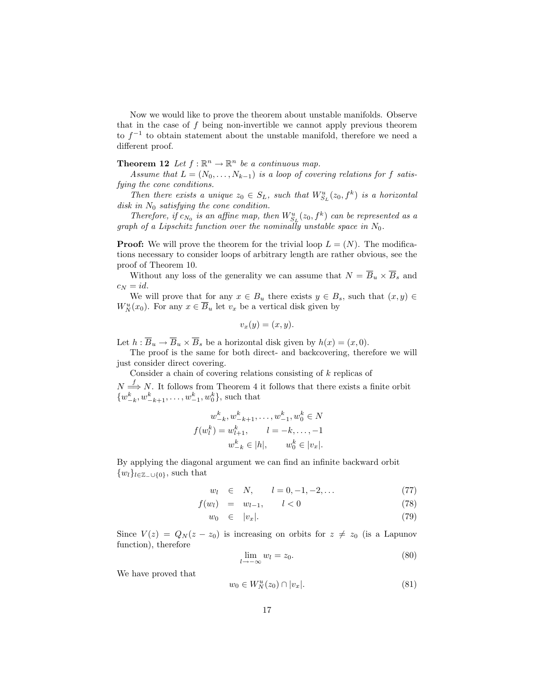Now we would like to prove the theorem about unstable manifolds. Observe that in the case of  $f$  being non-invertible we cannot apply previous theorem to  $f^{-1}$  to obtain statement about the unstable manifold, therefore we need a different proof.

**Theorem 12** Let  $f : \mathbb{R}^n \to \mathbb{R}^n$  be a continuous map.

Assume that  $L = (N_0, \ldots, N_{k-1})$  is a loop of covering relations for f satisfying the cone conditions.

Then there exists a unique  $z_0 \in S_L$ , such that  $W_{S_L}^u(z_0, f^k)$  is a horizontal disk in  $N_0$  satisfying the cone condition.

Therefore, if  $c_{N_0}$  is an affine map, then  $W_{S_L}^u(z_0, f^k)$  can be represented as a graph of a Lipschitz function over the nominally unstable space in  $N_0$ .

**Proof:** We will prove the theorem for the trivial loop  $L = (N)$ . The modifications necessary to consider loops of arbitrary length are rather obvious, see the proof of Theorem 10.

Without any loss of the generality we can assume that  $N = \overline{B}_u \times \overline{B}_s$  and  $c_N = id$ .

We will prove that for any  $x \in B_u$  there exists  $y \in B_s$ , such that  $(x, y) \in$  $W_N^u(x_0)$ . For any  $x \in \overline{B}_u$  let  $v_x$  be a vertical disk given by

$$
v_x(y) = (x, y).
$$

Let  $h: \overline{B}_u \to \overline{B}_u \times \overline{B}_s$  be a horizontal disk given by  $h(x) = (x, 0)$ .

The proof is the same for both direct- and backcovering, therefore we will just consider direct covering.

Consider a chain of covering relations consisting of  $k$  replicas of

 $N \stackrel{f}{\Longrightarrow} N$ . It follows from Theorem 4 it follows that there exists a finite orbit  $\{w_{-k}^k, w_{-k+1}^k, \ldots, w_{-1}^k, w_0^k\}$ , such that

$$
w_{-k}^{k}, w_{-k+1}^{k}, \dots, w_{-1}^{k}, w_{0}^{k} \in N
$$
  

$$
f(w_{l}^{k}) = w_{l+1}^{k}, \qquad l = -k, \dots, -1
$$
  

$$
w_{-k}^{k} \in |h|, \qquad w_{0}^{k} \in |v_{x}|.
$$

By applying the diagonal argument we can find an infinite backward orbit  $\{w_l\}_{l\in\mathbb{Z}_-\cup\{0\}}$ , such that

$$
w_l \in N, \qquad l = 0, -1, -2, \dots \tag{77}
$$

$$
f(w_l) = w_{l-1}, \qquad l < 0 \tag{78}
$$

$$
w_0 \in |v_x|. \tag{79}
$$

Since  $V(z) = Q_N(z - z_0)$  is increasing on orbits for  $z \neq z_0$  (is a Lapunov function), therefore

$$
\lim_{l \to -\infty} w_l = z_0. \tag{80}
$$

We have proved that

$$
w_0 \in W_N^u(z_0) \cap |v_x|.\tag{81}
$$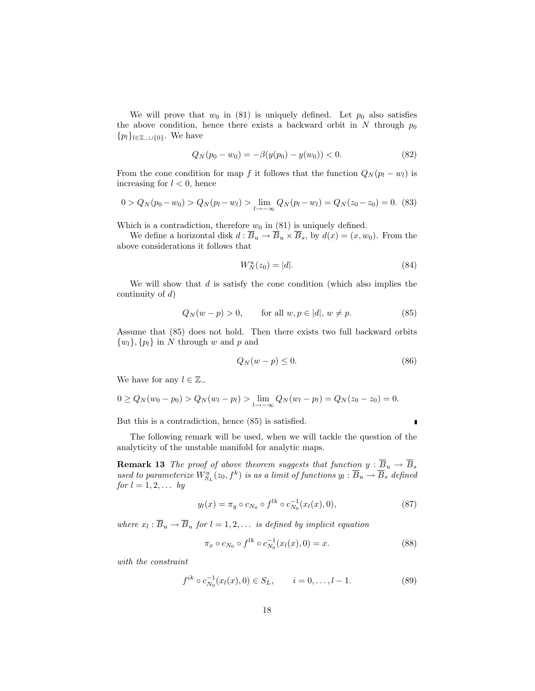We will prove that  $w_0$  in (81) is uniquely defined. Let  $p_0$  also satisfies the above condition, hence there exists a backward orbit in  $N$  through  $p_0$  ${p_l}_{l \in \mathbb{Z}_-\cup\{0\}}$ . We have

$$
Q_N(p_0 - w_0) = -\beta(y(p_0) - y(w_0)) < 0. \tag{82}
$$

From the cone condition for map f it follows that the function  $Q_N (p_l - w_l)$  is increasing for  $l < 0$ , hence

$$
0 > Q_N(p_0 - w_0) > Q_N(p_l - w_l) > \lim_{l \to -\infty} Q_N(p_l - w_l) = Q_N(z_0 - z_0) = 0.
$$
 (83)

Which is a contradiction, therefore  $w_0$  in (81) is uniquely defined.

We define a horizontal disk  $d : \overline{B}_u \to \overline{B}_u \times \overline{B}_s$ , by  $d(x) = (x, w_0)$ . From the above considerations it follows that

$$
W_N^u(z_0) = |d|.\t\t(84)
$$

We will show that  $d$  is satisfy the cone condition (which also implies the continuity of  $d$ )

$$
Q_N(w - p) > 0, \qquad \text{for all } w, p \in |d|, w \neq p. \tag{85}
$$

Assume that (85) does not hold. Then there exists two full backward orbits  $\{w_l\}, \{p_l\}$  in N through w and p and

$$
Q_N(w - p) \le 0. \tag{86}
$$

We have for any  $l \in \mathbb{Z}$ 

$$
0 \ge Q_N(w_0 - p_0) > Q_N(w_l - p_l) > \lim_{l \to -\infty} Q_N(w_l - p_l) = Q_N(z_0 - z_0) = 0.
$$

But this is a contradiction, hence (85) is satisfied.

The following remark will be used, when we will tackle the question of the analyticity of the unstable manifold for analytic maps.

**Remark 13** The proof of above theorem suggests that function  $y : \overline{B}_u \to \overline{B}_s$ used to parameterize  $W^u_{S_L}(z_0, f^k)$  is as a limit of functions  $y_l : \overline{B}_u \to \overline{B}_s$  defined for  $l = 1, 2, \ldots$  by

$$
y_l(x) = \pi_y \circ c_{N_0} \circ f^{lk} \circ c_{N_0}^{-1}(x_l(x), 0), \tag{87}
$$

where  $x_l : \overline{B}_u \to \overline{B}_u$  for  $l = 1, 2, \ldots$  is defined by implicit equation

$$
\pi_x \circ c_{N_0} \circ f^{lk} \circ c_{N_0}^{-1}(x_l(x), 0) = x.
$$
\n(88)

with the constraint

$$
f^{ik} \circ c_{N_0}^{-1}(x_l(x), 0) \in S_L, \qquad i = 0, \dots, l - 1.
$$
 (89)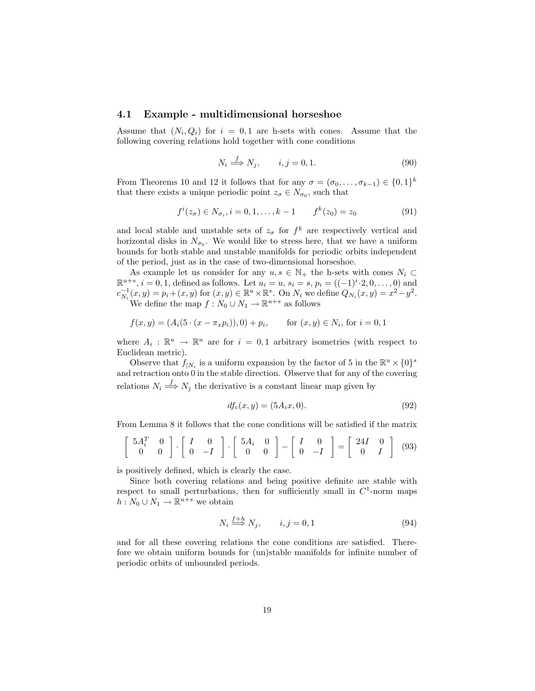#### 4.1 Example - multidimensional horseshoe

Assume that  $(N_i, Q_i)$  for  $i = 0, 1$  are h-sets with cones. Assume that the following covering relations hold together with cone conditions

$$
N_i \stackrel{f}{\Longrightarrow} N_j, \qquad i, j = 0, 1. \tag{90}
$$

From Theorems 10 and 12 it follows that for any  $\sigma = (\sigma_0, \ldots, \sigma_{k-1}) \in \{0,1\}^k$ that there exists a unique periodic point  $z_{\sigma} \in N_{\sigma_0}$ , such that

$$
f^{i}(z_{\sigma}) \in N_{\sigma_{i}}, i = 0, 1, ..., k - 1 \qquad f^{k}(z_{0}) = z_{0}
$$
 (91)

and local stable and unstable sets of  $z_{\sigma}$  for  $f^{k}$  are respectively vertical and horizontal disks in  $N_{\sigma_0}$ . We would like to stress here, that we have a uniform bounds for both stable and unstable manifolds for periodic orbits independent of the period, just as in the case of two-dimensional horseshoe.

As example let us consider for any  $u, s \in \mathbb{N}_+$  the h-sets with cones  $N_i \subset$  $\mathbb{R}^{u+s}$ ,  $i = 0, 1$ , defined as follows. Let  $u_i = u$ ,  $s_i = s$ ,  $p_i = ((-1)^i \cdot 2, 0, \dots, 0)$  and  $c_{N_i}^{-1}(x, y) = p_i + (x, y)$  for  $(x, y) \in \mathbb{R}^u \times \mathbb{R}^s$ . On  $N_i$  we define  $Q_{N_i}(x, y) = x^2 - y^2$ . We define the map  $f: N_0 \cup N_1 \to \mathbb{R}^{u+s}$  as follows

$$
f(x, y) = (Ai(5 \cdot (x - \pi_x p_i)), 0) + p_i, \quad \text{for } (x, y) \in N_i, \text{ for } i = 0, 1
$$

where  $A_i : \mathbb{R}^u \to \mathbb{R}^u$  are for  $i = 0, 1$  arbitrary isometries (with respect to Euclidean metric).

Observe that  $f_{|N_i}$  is a uniform expansion by the factor of 5 in the  $\mathbb{R}^u \times \{0\}^s$ and retraction onto 0 in the stable direction. Observe that for any of the covering relations  $N_i \stackrel{f}{\Longrightarrow} N_j$  the derivative is a constant linear map given by

$$
df_c(x, y) = (5A_i x, 0). \t(92)
$$

From Lemma 8 it follows that the cone conditions will be satisfied if the matrix

$$
\left[\begin{array}{cc} 5A_i^T & 0 \\ 0 & 0 \end{array}\right] \cdot \left[\begin{array}{cc} I & 0 \\ 0 & -I \end{array}\right] \cdot \left[\begin{array}{cc} 5A_i & 0 \\ 0 & 0 \end{array}\right] - \left[\begin{array}{cc} I & 0 \\ 0 & -I \end{array}\right] = \left[\begin{array}{cc} 24I & 0 \\ 0 & I \end{array}\right] \tag{93}
$$

is positively defined, which is clearly the case.

Since both covering relations and being positive definite are stable with respect to small perturbations, then for sufficiently small in  $C^1$ -norm maps  $h: N_0 \cup N_1 \to \mathbb{R}^{u+s}$  we obtain

 $f+1$ 

$$
N_i \stackrel{j+h}{\Longrightarrow} N_j, \qquad i, j = 0, 1 \tag{94}
$$

and for all these covering relations the cone conditions are satisfied. Therefore we obtain uniform bounds for (un)stable manifolds for infinite number of periodic orbits of unbounded periods.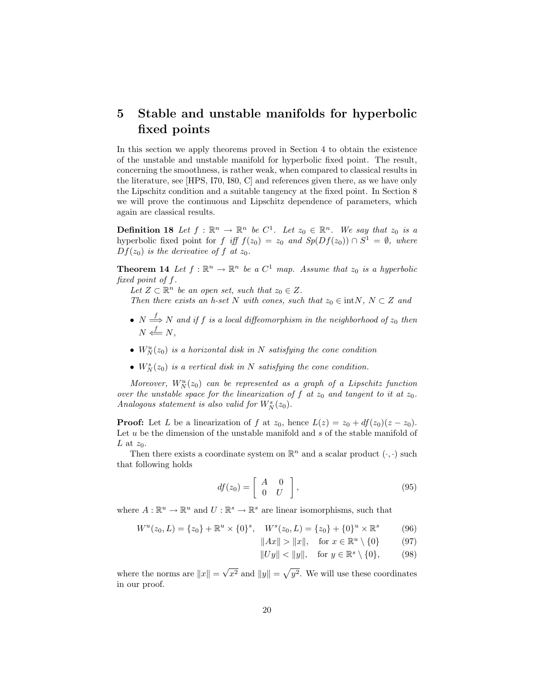## 5 Stable and unstable manifolds for hyperbolic fixed points

In this section we apply theorems proved in Section 4 to obtain the existence of the unstable and unstable manifold for hyperbolic fixed point. The result, concerning the smoothness, is rather weak, when compared to classical results in the literature, see [HPS, I70, I80, C] and references given there, as we have only the Lipschitz condition and a suitable tangency at the fixed point. In Section 8 we will prove the continuous and Lipschitz dependence of parameters, which again are classical results.

**Definition 18** Let  $f : \mathbb{R}^n \to \mathbb{R}^n$  be  $C^1$ . Let  $z_0 \in \mathbb{R}^n$ . We say that  $z_0$  is a hyperbolic fixed point for f iff  $f(z_0) = z_0$  and  $Sp(Df(z_0)) \cap S^1 = \emptyset$ , where  $Df(z_0)$  is the derivative of f at  $z_0$ .

**Theorem 14** Let  $f : \mathbb{R}^n \to \mathbb{R}^n$  be a  $C^1$  map. Assume that  $z_0$  is a hyperbolic fixed point of f.

Let  $Z \subset \mathbb{R}^n$  be an open set, such that  $z_0 \in Z$ .

Then there exists an h-set N with cones, such that  $z_0 \in \text{int}N$ ,  $N \subset Z$  and

- $N \stackrel{f}{\Longrightarrow} N$  and if f is a local diffeomorphism in the neighborhood of  $z_0$  then  $N \stackrel{f}{\longleftarrow} N,$
- $W_N^u(z_0)$  is a horizontal disk in N satisfying the cone condition
- $W_N^s(z_0)$  is a vertical disk in N satisfying the cone condition.

Moreover,  $W_N^u(z_0)$  can be represented as a graph of a Lipschitz function over the unstable space for the linearization of f at  $z_0$  and tangent to it at  $z_0$ . Analogous statement is also valid for  $W_N^s(z_0)$ .

**Proof:** Let L be a linearization of f at  $z_0$ , hence  $L(z) = z_0 + df(z_0)(z - z_0)$ . Let  $u$  be the dimension of the unstable manifold and  $s$  of the stable manifold of L at  $z_0$ .

Then there exists a coordinate system on  $\mathbb{R}^n$  and a scalar product  $(\cdot, \cdot)$  such that following holds

$$
df(z_0) = \left[ \begin{array}{cc} A & 0 \\ 0 & U \end{array} \right],\tag{95}
$$

where  $A: \mathbb{R}^u \to \mathbb{R}^u$  and  $U: \mathbb{R}^s \to \mathbb{R}^s$  are linear isomorphisms, such that

$$
W^{u}(z_0, L) = \{z_0\} + \mathbb{R}^{u} \times \{0\}^{s}, \quad W^{s}(z_0, L) = \{z_0\} + \{0\}^{u} \times \mathbb{R}^{s}
$$
(96)

$$
||Ax|| > ||x||, \quad \text{for } x \in \mathbb{R}^u \setminus \{0\} \tag{97}
$$

$$
||Uy|| < ||y||, \quad \text{for } y \in \mathbb{R}^s \setminus \{0\}, \tag{98}
$$

where the norms are  $||x|| =$ √  $x^2$  and  $||y|| =$ p  $y^2$ . We will use these coordinates in our proof.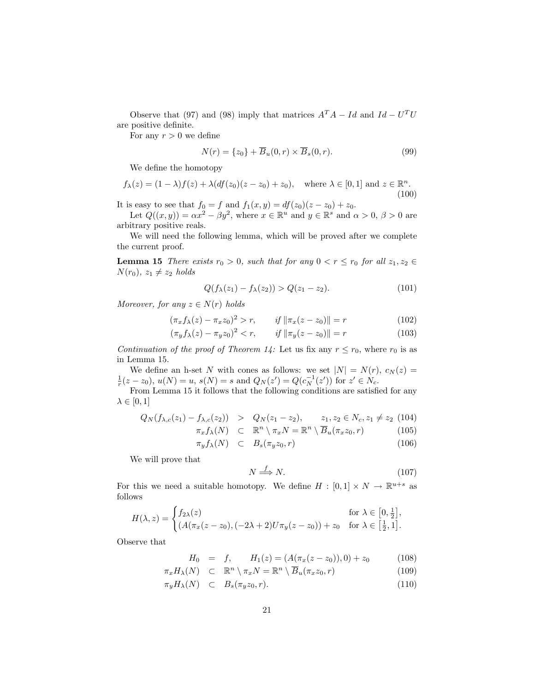Observe that (97) and (98) imply that matrices  $A^T A - Id$  and  $Id - U^T U$ are positive definite.

For any  $r > 0$  we define

$$
N(r) = \{z_0\} + \overline{B}_u(0, r) \times \overline{B}_s(0, r).
$$
 (99)

We define the homotopy

$$
f_{\lambda}(z) = (1 - \lambda)f(z) + \lambda(df(z_0)(z - z_0) + z_0), \quad \text{where } \lambda \in [0, 1] \text{ and } z \in \mathbb{R}^n. \tag{100}
$$

It is easy to see that  $f_0 = f$  and  $f_1(x, y) = df(z_0)(z - z_0) + z_0$ .

Let  $Q((x, y)) = \alpha x^2 - \beta y^2$ , where  $x \in \mathbb{R}^u$  and  $y \in \mathbb{R}^s$  and  $\alpha > 0$ ,  $\beta > 0$  are arbitrary positive reals.

We will need the following lemma, which will be proved after we complete the current proof.

**Lemma 15** There exists  $r_0 > 0$ , such that for any  $0 < r \le r_0$  for all  $z_1, z_2 \in$  $N(r_0), z_1 \neq z_2$  holds

$$
Q(f_{\lambda}(z_1) - f_{\lambda}(z_2)) > Q(z_1 - z_2). \tag{101}
$$

Moreover, for any  $z \in N(r)$  holds

$$
(\pi_x f_\lambda(z) - \pi_x z_0)^2 > r, \qquad \text{if } \|\pi_x(z - z_0)\| = r \tag{102}
$$

$$
(\pi_y f_\lambda(z) - \pi_y z_0)^2 < r, \qquad \text{if } \|\pi_y(z - z_0)\| = r \tag{103}
$$

Continuation of the proof of Theorem 14: Let us fix any  $r \leq r_0$ , where  $r_0$  is as in Lemma 15.

We define an h-set N with cones as follows: we set  $|N| = N(r)$ ,  $c_N(z) =$  $\frac{1}{r}(z-z_0), u(N) = u, s(N) = s \text{ and } Q_N(z') = Q(c_N^{-1}(z')) \text{ for } z' \in N_c.$ 

From Lemma 15 it follows that the following conditions are satisfied for any  $\lambda \in [0,1]$ 

$$
Q_N(f_{\lambda,c}(z_1) - f_{\lambda,c}(z_2)) > Q_N(z_1 - z_2), \qquad z_1, z_2 \in N_c, z_1 \neq z_2 \tag{104}
$$

$$
\pi_x f_{\lambda}(N) \subset \mathbb{R}^n \setminus \pi_x N = \mathbb{R}^n \setminus \overline{B}_u(\pi_x z_0, r) \tag{105}
$$

$$
\pi(f_{\lambda}(N)) \subset B(\pi, z_0, r) \tag{106}
$$

$$
\pi_y f_\lambda(N) \quad \subset \quad B_s(\pi_y z_0, r) \tag{106}
$$

We will prove that

$$
N \stackrel{f}{\Longrightarrow} N. \tag{107}
$$

For this we need a suitable homotopy. We define  $H : [0,1] \times N \to \mathbb{R}^{u+s}$  as follows

$$
H(\lambda, z) = \begin{cases} f_{2\lambda}(z) & \text{for } \lambda \in [0, \frac{1}{2}], \\ (A(\pi_x(z - z_0), (-2\lambda + 2)U\pi_y(z - z_0)) + z_0 & \text{for } \lambda \in [\frac{1}{2}, 1]. \end{cases}
$$

Observe that

$$
H_0 = f, \qquad H_1(z) = (A(\pi_x(z - z_0)), 0) + z_0 \tag{108}
$$

$$
\pi_x H_\lambda(N) \quad \subset \quad \mathbb{R}^n \setminus \pi_x N = \mathbb{R}^n \setminus \overline{B}_u(\pi_x z_0, r) \tag{109}
$$

$$
\pi_y H_\lambda(N) \quad \subset \quad B_s(\pi_y z_0, r). \tag{110}
$$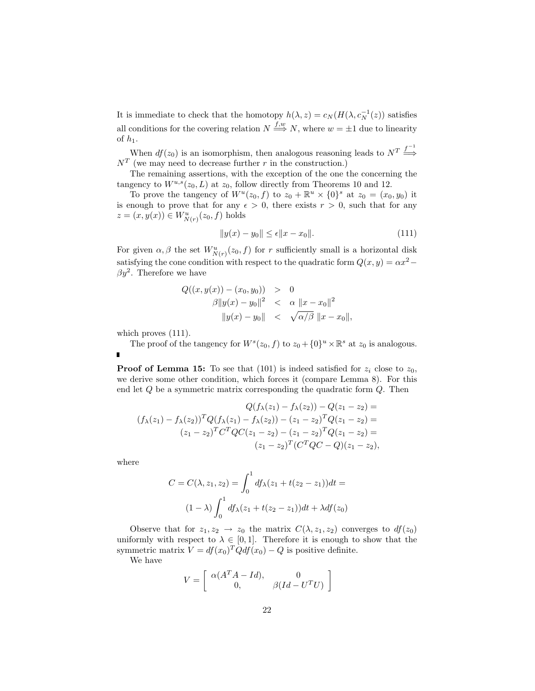It is immediate to check that the homotopy  $h(\lambda, z) = c_N(H(\lambda, c_N^{-1}(z))$  satisfies all conditions for the covering relation  $N \stackrel{f,w}{\Longrightarrow} N$ , where  $w = \pm 1$  due to linearity of  $h_1$ .

When  $df(z_0)$  is an isomorphism, then analogous reasoning leads to  $N^T \stackrel{f^{-1}}{\Longrightarrow}$  $N<sup>T</sup>$  (we may need to decrease further r in the construction.)

The remaining assertions, with the exception of the one the concerning the tangency to  $W^{u,s}(z_0, L)$  at  $z_0$ , follow directly from Theorems 10 and 12.

To prove the tangency of  $W^u(z_0, f)$  to  $z_0 + \mathbb{R}^u \times \{0\}^s$  at  $z_0 = (x_0, y_0)$  it is enough to prove that for any  $\epsilon > 0$ , there exists  $r > 0$ , such that for any  $z = (x, y(x)) \in W^u_{N(r)}(z_0, f)$  holds

$$
||y(x) - y_0|| \le \epsilon ||x - x_0||. \tag{111}
$$

For given  $\alpha, \beta$  the set  $W^u_{N(r)}(z_0, f)$  for r sufficiently small is a horizontal disk satisfying the cone condition with respect to the quadratic form  $Q(x, y) = \alpha x^2 \beta y^2$ . Therefore we have

$$
Q((x, y(x)) - (x_0, y_0)) > 0
$$
  

$$
\beta ||y(x) - y_0||^2 < \alpha ||x - x_0||^2
$$
  

$$
||y(x) - y_0|| < \sqrt{\alpha/\beta} ||x - x_0||,
$$

which proves  $(111)$ .

The proof of the tangency for  $W^s(z_0, f)$  to  $z_0 + \{0\}^u \times \mathbb{R}^s$  at  $z_0$  is analogous.  $\blacksquare$ 

**Proof of Lemma 15:** To see that (101) is indeed satisfied for  $z_i$  close to  $z_0$ , we derive some other condition, which forces it (compare Lemma 8). For this end let  $Q$  be a symmetric matrix corresponding the quadratic form  $Q$ . Then

$$
Q(f_{\lambda}(z_1) - f_{\lambda}(z_2)) - Q(z_1 - z_2) =
$$
  
\n
$$
(f_{\lambda}(z_1) - f_{\lambda}(z_2))^T Q(f_{\lambda}(z_1) - f_{\lambda}(z_2)) - (z_1 - z_2)^T Q(z_1 - z_2) =
$$
  
\n
$$
(z_1 - z_2)^T C^T Q C(z_1 - z_2) - (z_1 - z_2)^T Q(z_1 - z_2) =
$$
  
\n
$$
(z_1 - z_2)^T (C^T Q C - Q)(z_1 - z_2),
$$

where

$$
C = C(\lambda, z_1, z_2) = \int_0^1 df_{\lambda}(z_1 + t(z_2 - z_1))dt =
$$
  

$$
(1 - \lambda) \int_0^1 df_{\lambda}(z_1 + t(z_2 - z_1))dt + \lambda df(z_0)
$$

Observe that for  $z_1, z_2 \rightarrow z_0$  the matrix  $C(\lambda, z_1, z_2)$  converges to  $df(z_0)$ uniformly with respect to  $\lambda \in [0,1]$ . Therefore it is enough to show that the symmetric matrix  $V = df(x_0)^T Q df(x_0) - Q$  is positive definite.

We have

$$
V = \left[ \begin{array}{cc} \alpha (A^T A - Id), & 0 \\ 0, & \beta (Id - U^T U) \end{array} \right]
$$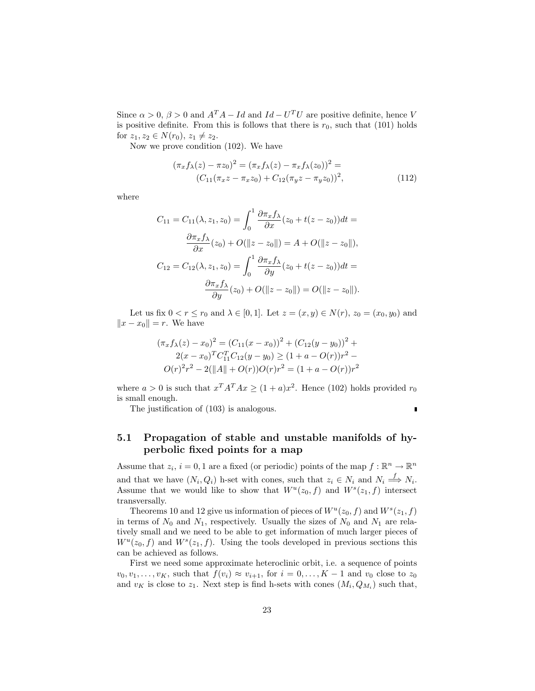Since  $\alpha > 0$ ,  $\beta > 0$  and  $A^T A - Id$  and  $Id - U^T U$  are positive definite, hence V is positive definite. From this is follows that there is  $r_0$ , such that (101) holds for  $z_1, z_2 \in N(r_0), z_1 \neq z_2$ .

Now we prove condition (102). We have

$$
(\pi_x f_\lambda(z) - \pi z_0)^2 = (\pi_x f_\lambda(z) - \pi_x f_\lambda(z_0))^2 =
$$
  

$$
(C_{11}(\pi_x z - \pi_x z_0) + C_{12}(\pi_y z - \pi_y z_0))^2,
$$
 (112)

where

$$
C_{11} = C_{11}(\lambda, z_1, z_0) = \int_0^1 \frac{\partial \pi_x f_\lambda}{\partial x} (z_0 + t(z - z_0)) dt =
$$
  

$$
\frac{\partial \pi_x f_\lambda}{\partial x} (z_0) + O(\|z - z_0\|) = A + O(\|z - z_0\|),
$$
  

$$
C_{12} = C_{12}(\lambda, z_1, z_0) = \int_0^1 \frac{\partial \pi_x f_\lambda}{\partial y} (z_0 + t(z - z_0)) dt =
$$
  

$$
\frac{\partial \pi_x f_\lambda}{\partial y} (z_0) + O(\|z - z_0\|) = O(\|z - z_0\|).
$$

Let us fix  $0 < r \le r_0$  and  $\lambda \in [0, 1]$ . Let  $z = (x, y) \in N(r)$ ,  $z_0 = (x_0, y_0)$  and  $||x - x_0|| = r$ . We have

$$
(\pi_x f_\lambda(z) - x_0)^2 = (C_{11}(x - x_0))^2 + (C_{12}(y - y_0))^2 + 2(x - x_0)^T C_{11}^T C_{12}(y - y_0) \ge (1 + a - O(r))r^2 - O(r)^2 r^2 - 2(\|A\| + O(r))O(r)r^2 = (1 + a - O(r))r^2
$$

where  $a > 0$  is such that  $x^T A^T A x \ge (1 + a)x^2$ . Hence (102) holds provided  $r_0$ is small enough.

The justification of (103) is analogous.

r

### 5.1 Propagation of stable and unstable manifolds of hyperbolic fixed points for a map

Assume that  $z_i$ ,  $i = 0, 1$  are a fixed (or periodic) points of the map  $f : \mathbb{R}^n \to \mathbb{R}^n$ and that we have  $(N_i, Q_i)$  h-set with cones, such that  $z_i \in N_i$  and  $N_i \stackrel{f}{\Longrightarrow} N_i$ . Assume that we would like to show that  $W^u(z_0, f)$  and  $W^s(z_1, f)$  intersect transversally.

Theorems 10 and 12 give us information of pieces of  $W^u(z_0, f)$  and  $W^s(z_1, f)$ in terms of  $N_0$  and  $N_1$ , respectively. Usually the sizes of  $N_0$  and  $N_1$  are relatively small and we need to be able to get information of much larger pieces of  $W^u(z_0, f)$  and  $W^s(z_1, f)$ . Using the tools developed in previous sections this can be achieved as follows.

First we need some approximate heteroclinic orbit, i.e. a sequence of points  $v_0, v_1, \ldots, v_K$ , such that  $f(v_i) \approx v_{i+1}$ , for  $i = 0, \ldots, K-1$  and  $v_0$  close to  $z_0$ and  $v_K$  is close to  $z_1$ . Next step is find h-sets with cones  $(M_i, Q_{M_i})$  such that,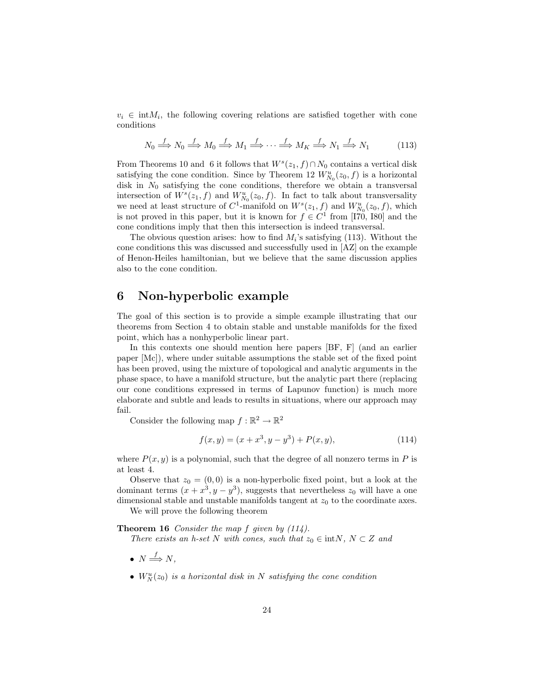$v_i \in \text{int}M_i$ , the following covering relations are satisfied together with cone conditions

$$
N_0 \xrightarrow{f} N_0 \xrightarrow{f} M_0 \xrightarrow{f} M_1 \xrightarrow{f} \cdots \xrightarrow{f} M_K \xrightarrow{f} N_1 \xrightarrow{f} N_1 \tag{113}
$$

From Theorems 10 and 6 it follows that  $W<sup>s</sup>(z<sub>1</sub>, f) \cap N<sub>0</sub>$  contains a vertical disk satisfying the cone condition. Since by Theorem 12  $W^u_{N_0}(z_0, f)$  is a horizontal disk in  $N_0$  satisfying the cone conditions, therefore we obtain a transversal intersection of  $W^s(z_1, f)$  and  $W^u_{N_0}(z_0, f)$ . In fact to talk about transversality we need at least structure of  $C^1$ -manifold on  $W^s(z_1, f)$  and  $W^u_{N_0}(z_0, f)$ , which is not proved in this paper, but it is known for  $f \in C^1$  from [170, 180] and the cone conditions imply that then this intersection is indeed transversal.

The obvious question arises: how to find  $M_i$ 's satisfying (113). Without the cone conditions this was discussed and successfully used in [AZ] on the example of Henon-Heiles hamiltonian, but we believe that the same discussion applies also to the cone condition.

### 6 Non-hyperbolic example

The goal of this section is to provide a simple example illustrating that our theorems from Section 4 to obtain stable and unstable manifolds for the fixed point, which has a nonhyperbolic linear part.

In this contexts one should mention here papers [BF, F] (and an earlier paper [Mc]), where under suitable assumptions the stable set of the fixed point has been proved, using the mixture of topological and analytic arguments in the phase space, to have a manifold structure, but the analytic part there (replacing our cone conditions expressed in terms of Lapunov function) is much more elaborate and subtle and leads to results in situations, where our approach may fail.

Consider the following map  $f : \mathbb{R}^2 \to \mathbb{R}^2$ 

$$
f(x,y) = (x + x^3, y - y^3) + P(x, y),
$$
\n(114)

where  $P(x, y)$  is a polynomial, such that the degree of all nonzero terms in P is at least 4.

Observe that  $z_0 = (0, 0)$  is a non-hyperbolic fixed point, but a look at the dominant terms  $(x + x^3, y - y^3)$ , suggests that nevertheless  $z_0$  will have a one dimensional stable and unstable manifolds tangent at  $z_0$  to the coordinate axes.

We will prove the following theorem

#### **Theorem 16** Consider the map  $f$  given by  $(114)$ .

There exists an h-set N with cones, such that  $z_0 \in \text{int}N$ ,  $N \subset Z$  and

- $N \stackrel{f}{\Longrightarrow} N$ ,
- $W_N^u(z_0)$  is a horizontal disk in N satisfying the cone condition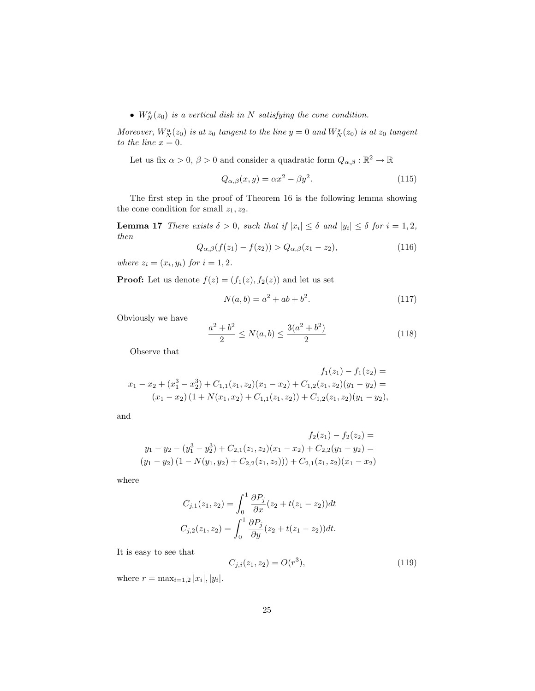•  $W_N^s(z_0)$  is a vertical disk in N satisfying the cone condition.

Moreover,  $W_N^u(z_0)$  is at  $z_0$  tangent to the line  $y = 0$  and  $W_N^s(z_0)$  is at  $z_0$  tangent to the line  $x = 0$ .

Let us fix  $\alpha > 0$ ,  $\beta > 0$  and consider a quadratic form  $Q_{\alpha,\beta} : \mathbb{R}^2 \to \mathbb{R}$ 

$$
Q_{\alpha,\beta}(x,y) = \alpha x^2 - \beta y^2. \tag{115}
$$

The first step in the proof of Theorem 16 is the following lemma showing the cone condition for small  $z_1, z_2$ .

**Lemma 17** There exists  $\delta > 0$ , such that if  $|x_i| \leq \delta$  and  $|y_i| \leq \delta$  for  $i = 1, 2$ , then

$$
Q_{\alpha,\beta}(f(z_1) - f(z_2)) > Q_{\alpha,\beta}(z_1 - z_2),
$$
\n(116)

where  $z_i = (x_i, y_i)$  for  $i = 1, 2$ .

**Proof:** Let us denote  $f(z) = (f_1(z), f_2(z))$  and let us set

$$
N(a,b) = a^2 + ab + b^2.
$$
 (117)

Obviously we have

$$
\frac{a^2 + b^2}{2} \le N(a, b) \le \frac{3(a^2 + b^2)}{2} \tag{118}
$$

Observe that

$$
f_1(z_1) - f_1(z_2) =
$$
  
\n
$$
x_1 - x_2 + (x_1^3 - x_2^3) + C_{1,1}(z_1, z_2)(x_1 - x_2) + C_{1,2}(z_1, z_2)(y_1 - y_2) =
$$
  
\n
$$
(x_1 - x_2)(1 + N(x_1, x_2) + C_{1,1}(z_1, z_2)) + C_{1,2}(z_1, z_2)(y_1 - y_2),
$$

and

$$
f_2(z_1) - f_2(z_2) =
$$
  
\n
$$
y_1 - y_2 - (y_1^3 - y_2^3) + C_{2,1}(z_1, z_2)(x_1 - x_2) + C_{2,2}(y_1 - y_2) =
$$
  
\n
$$
(y_1 - y_2)(1 - N(y_1, y_2) + C_{2,2}(z_1, z_2))) + C_{2,1}(z_1, z_2)(x_1 - x_2)
$$

where

$$
C_{j,1}(z_1, z_2) = \int_0^1 \frac{\partial P_j}{\partial x} (z_2 + t(z_1 - z_2)) dt
$$
  

$$
C_{j,2}(z_1, z_2) = \int_0^1 \frac{\partial P_j}{\partial y} (z_2 + t(z_1 - z_2)) dt.
$$

It is easy to see that

$$
C_{j,i}(z_1, z_2) = O(r^3),\tag{119}
$$

where  $r = \max_{i=1,2} |x_i|, |y_i|$ .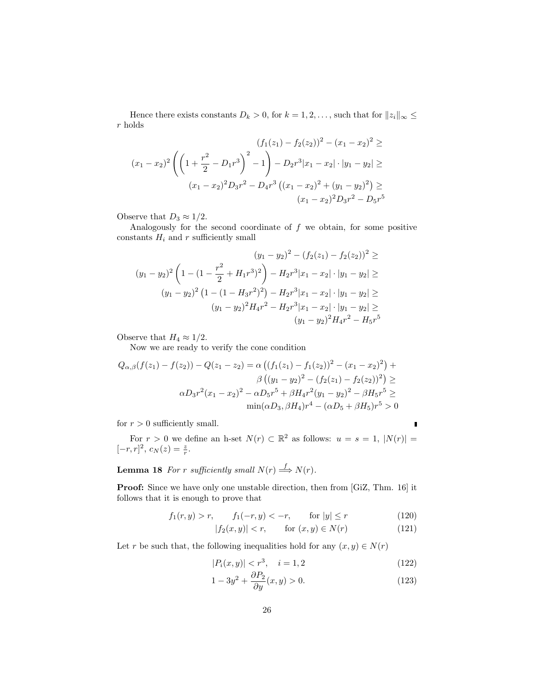Hence there exists constants  $D_k > 0$ , for  $k = 1, 2, \ldots$ , such that for  $||z_i||_{\infty} \le$ r holds

$$
(f_1(z_1) - f_2(z_2))^2 - (x_1 - x_2)^2 \ge
$$
  

$$
(x_1 - x_2)^2 \left( \left( 1 + \frac{r^2}{2} - D_1 r^3 \right)^2 - 1 \right) - D_2 r^3 |x_1 - x_2| \cdot |y_1 - y_2| \ge
$$
  

$$
(x_1 - x_2)^2 D_3 r^2 - D_4 r^3 \left( (x_1 - x_2)^2 + (y_1 - y_2)^2 \right) \ge
$$
  

$$
(x_1 - x_2)^2 D_3 r^2 - D_5 r^5
$$

Observe that  $D_3 \approx 1/2$ .

Analogously for the second coordinate of  $f$  we obtain, for some positive constants  $H_i$  and r sufficiently small

$$
(y_1 - y_2)^2 - (f_2(z_1) - f_2(z_2))^2 \ge
$$
  
\n
$$
(y_1 - y_2)^2 \left(1 - (1 - \frac{r^2}{2} + H_1 r^3)^2\right) - H_2 r^3 |x_1 - x_2| \cdot |y_1 - y_2| \ge
$$
  
\n
$$
(y_1 - y_2)^2 \left(1 - (1 - H_3 r^2)^2\right) - H_2 r^3 |x_1 - x_2| \cdot |y_1 - y_2| \ge
$$
  
\n
$$
(y_1 - y_2)^2 H_4 r^2 - H_2 r^3 |x_1 - x_2| \cdot |y_1 - y_2| \ge
$$
  
\n
$$
(y_1 - y_2)^2 H_4 r^2 - H_5 r^5
$$

Observe that  $H_4 \approx 1/2$ .

Now we are ready to verify the cone condition

$$
Q_{\alpha,\beta}(f(z_1) - f(z_2)) - Q(z_1 - z_2) = \alpha ((f_1(z_1) - f_1(z_2))^2 - (x_1 - x_2)^2) +
$$
  

$$
\beta ((y_1 - y_2)^2 - (f_2(z_1) - f_2(z_2))^2) \ge
$$
  

$$
\alpha D_3 r^2 (x_1 - x_2)^2 - \alpha D_5 r^5 + \beta H_4 r^2 (y_1 - y_2)^2 - \beta H_5 r^5 \ge
$$
  

$$
\min(\alpha D_3, \beta H_4) r^4 - (\alpha D_5 + \beta H_5) r^5 > 0
$$

for  $r > 0$  sufficiently small.

For  $r > 0$  we define an h-set  $N(r) \subset \mathbb{R}^2$  as follows:  $u = s = 1, |N(r)| =$  $[-r, r]^2$ ,  $c_N(z) = \frac{z}{r}$ .

**Lemma 18** For r sufficiently small  $N(r) \stackrel{f}{\Longrightarrow} N(r)$ .

Proof: Since we have only one unstable direction, then from [GiZ, Thm. 16] it follows that it is enough to prove that

$$
f_1(r, y) > r, \qquad f_1(-r, y) < -r, \qquad \text{for } |y| \le r \tag{120}
$$

$$
|f_2(x,y)| < r, \qquad \text{for } (x,y) \in N(r) \tag{121}
$$

Let r be such that, the following inequalities hold for any  $(x, y) \in N(r)$ 

$$
|P_i(x,y)| < r^3, \quad i = 1,2 \tag{122}
$$

 $\blacksquare$ 

$$
1 - 3y^2 + \frac{\partial P_2}{\partial y}(x, y) > 0.
$$
\n
$$
(123)
$$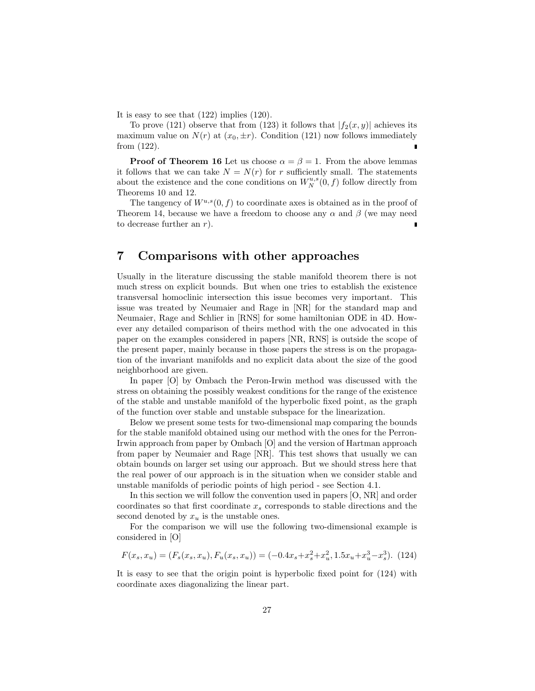It is easy to see that (122) implies (120).

To prove (121) observe that from (123) it follows that  $|f_2(x, y)|$  achieves its maximum value on  $N(r)$  at  $(x_0, \pm r)$ . Condition (121) now follows immediately from (122).

**Proof of Theorem 16** Let us choose  $\alpha = \beta = 1$ . From the above lemmas it follows that we can take  $N = N(r)$  for r sufficiently small. The statements about the existence and the cone conditions on  $W_N^{u,s}(0, f)$  follow directly from Theorems 10 and 12.

The tangency of  $W^{u,s}(0, f)$  to coordinate axes is obtained as in the proof of Theorem 14, because we have a freedom to choose any  $\alpha$  and  $\beta$  (we may need to decrease further an r).

### 7 Comparisons with other approaches

Usually in the literature discussing the stable manifold theorem there is not much stress on explicit bounds. But when one tries to establish the existence transversal homoclinic intersection this issue becomes very important. This issue was treated by Neumaier and Rage in [NR] for the standard map and Neumaier, Rage and Schlier in [RNS] for some hamiltonian ODE in 4D. However any detailed comparison of theirs method with the one advocated in this paper on the examples considered in papers [NR, RNS] is outside the scope of the present paper, mainly because in those papers the stress is on the propagation of the invariant manifolds and no explicit data about the size of the good neighborhood are given.

In paper [O] by Ombach the Peron-Irwin method was discussed with the stress on obtaining the possibly weakest conditions for the range of the existence of the stable and unstable manifold of the hyperbolic fixed point, as the graph of the function over stable and unstable subspace for the linearization.

Below we present some tests for two-dimensional map comparing the bounds for the stable manifold obtained using our method with the ones for the Perron-Irwin approach from paper by Ombach [O] and the version of Hartman approach from paper by Neumaier and Rage [NR]. This test shows that usually we can obtain bounds on larger set using our approach. But we should stress here that the real power of our approach is in the situation when we consider stable and unstable manifolds of periodic points of high period - see Section 4.1.

In this section we will follow the convention used in papers [O, NR] and order coordinates so that first coordinate  $x_s$  corresponds to stable directions and the second denoted by  $x_u$  is the unstable ones.

For the comparison we will use the following two-dimensional example is considered in [O]

$$
F(x_s, x_u) = (F_s(x_s, x_u), F_u(x_s, x_u)) = (-0.4x_s + x_s^2 + x_u^2, 1.5x_u + x_u^3 - x_s^3). (124)
$$

It is easy to see that the origin point is hyperbolic fixed point for (124) with coordinate axes diagonalizing the linear part.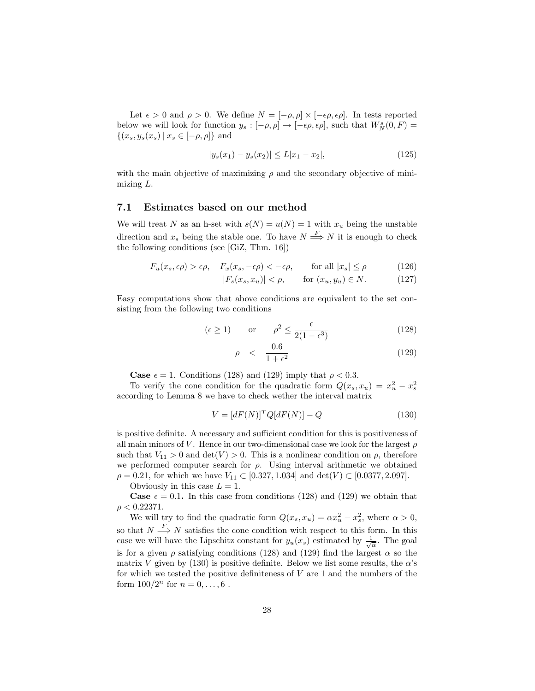Let  $\epsilon > 0$  and  $\rho > 0$ . We define  $N = [-\rho, \rho] \times [-\epsilon \rho, \epsilon \rho]$ . In tests reported below we will look for function  $y_s: [-\rho, \rho] \to [-\epsilon \rho, \epsilon \rho]$ , such that  $W^s_N(0, F) =$  $\{(x_s, y_s(x_s) \,|\, x_s \in [-\rho, \rho]\}\)$ 

$$
|y_s(x_1) - y_s(x_2)| \le L|x_1 - x_2|,\tag{125}
$$

with the main objective of maximizing  $\rho$  and the secondary objective of minimizing L.

#### 7.1 Estimates based on our method

We will treat N as an h-set with  $s(N) = u(N) = 1$  with  $x_u$  being the unstable direction and  $x_s$  being the stable one. To have  $N \stackrel{F}{\Longrightarrow} N$  it is enough to check the following conditions (see [GiZ, Thm. 16])

$$
F_u(x_s, \epsilon \rho) > \epsilon \rho, \quad F_x(x_s, -\epsilon \rho) < -\epsilon \rho, \quad \text{for all } |x_s| \le \rho \tag{126}
$$

 $|F_s(x_s, x_u)| < \rho, \quad \text{for } (x_u, y_u) \in N.$  (127)

Easy computations show that above conditions are equivalent to the set consisting from the following two conditions

$$
(\epsilon \ge 1)
$$
 or  $\rho^2 \le \frac{\epsilon}{2(1 - \epsilon^3)}$  (128)

$$
\rho \quad < \quad \frac{0.6}{1 + \epsilon^2} \tag{129}
$$

**Case**  $\epsilon = 1$ . Conditions (128) and (129) imply that  $\rho < 0.3$ .

To verify the cone condition for the quadratic form  $Q(x_s, x_u) = x_u^2 - x_s^2$ according to Lemma 8 we have to check wether the interval matrix

$$
V = [dF(N)]^T Q[dF(N)] - Q \qquad (130)
$$

is positive definite. A necessary and sufficient condition for this is positiveness of all main minors of V. Hence in our two-dimensional case we look for the largest  $\rho$ such that  $V_{11} > 0$  and  $\det(V) > 0$ . This is a nonlinear condition on  $\rho$ , therefore we performed computer search for  $\rho$ . Using interval arithmetic we obtained  $\rho = 0.21$ , for which we have  $V_{11} \subset [0.327, 1.034]$  and  $\det(V) \subset [0.0377, 2.097]$ .

Obviously in this case  $L = 1$ .

**Case**  $\epsilon = 0.1$ . In this case from conditions (128) and (129) we obtain that  $\rho < 0.22371$ .

We will try to find the quadratic form  $Q(x_s, x_u) = \alpha x_u^2 - x_s^2$ , where  $\alpha > 0$ , so that  $N \stackrel{F}{\Longrightarrow} N$  satisfies the cone condition with respect to this form. In this case we will have the Lipschitz constant for  $y_u(x_s)$  estimated by  $\frac{1}{\sqrt{\alpha}}$ . The goal is for a given  $\rho$  satisfying conditions (128) and (129) find the largest  $\alpha$  so the matrix V given by (130) is positive definite. Below we list some results, the  $\alpha$ 's for which we tested the positive definiteness of  $V$  are 1 and the numbers of the form  $100/2^n$  for  $n = 0, ..., 6$ .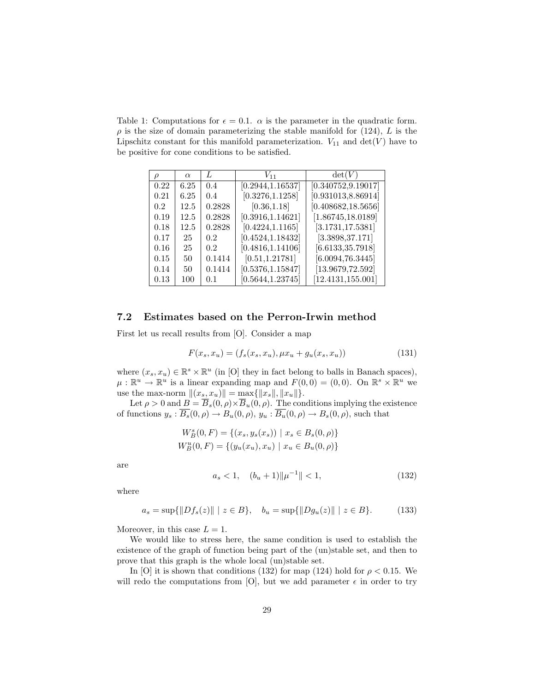Table 1: Computations for  $\epsilon = 0.1$ .  $\alpha$  is the parameter in the quadratic form.  $\rho$  is the size of domain parameterizing the stable manifold for (124), L is the Lipschitz constant for this manifold parameterization.  $V_{11}$  and  $\det(V)$  have to be positive for cone conditions to be satisfied.

| $\mathcal{D}$ | $\alpha$ | L                | $V_{11}$          | $\det(V)$           |
|---------------|----------|------------------|-------------------|---------------------|
| 0.22          | 6.25     | 0.4              | [0.2944, 1.16537] | [0.340752, 9.19017] |
| 0.21          | 6.25     | 0.4              | [0.3276, 1.1258]  | [0.931013, 8.86914] |
| 0.2           | 12.5     | 0.2828           | [0.36, 1.18]      | [0.408682, 18.5656] |
| 0.19          | 12.5     | 0.2828           | [0.3916, 1.14621] | [1.86745, 18.0189]  |
| 0.18          | 12.5     | 0.2828           | [0.4224, 1.1165]  | [3.1731, 17.5381]   |
| 0.17          | 25       | 0.2              | [0.4524, 1.18432] | [3.3898, 37.171]    |
| 0.16          | 25       | 0.2 <sub>1</sub> | [0.4816, 1.14106] | [6.6133, 35.7918]   |
| 0.15          | 50       | 0.1414           | [0.51, 1.21781]   | [6.0094, 76.3445]   |
| 0.14          | 50       | 0.1414           | [0.5376, 1.15847] | [13.9679, 72.592]   |
| 0.13          | 100      | 0.1              | [0.5644, 1.23745] | [12.4131, 155.001]  |

#### 7.2 Estimates based on the Perron-Irwin method

First let us recall results from [O]. Consider a map

$$
F(x_s, x_u) = (f_s(x_s, x_u), \mu x_u + g_u(x_s, x_u))
$$
\n(131)

where  $(x_s, x_u) \in \mathbb{R}^s \times \mathbb{R}^u$  (in [O] they in fact belong to balls in Banach spaces),  $\mu : \mathbb{R}^u \to \mathbb{R}^u$  is a linear expanding map and  $F(0,0) = (0,0)$ . On  $\mathbb{R}^s \times \mathbb{R}^u$  we use the max-norm  $||(x_s, x_u)|| = \max{||x_s||, ||x_u||}.$ 

Let  $\rho > 0$  and  $B = \overline{B}_s(0, \rho) \times \overline{B}_u(0, \rho)$ . The conditions implying the existence of functions  $y_s : \overline{B_s}(0, \rho) \to B_u(0, \rho), y_u : \overline{B_u}(0, \rho) \to B_s(0, \rho)$ , such that

$$
W_B^s(0, F) = \{(x_s, y_s(x_s)) \mid x_s \in B_s(0, \rho)\}
$$
  

$$
W_B^u(0, F) = \{(y_u(x_u), x_u) \mid x_u \in B_u(0, \rho)\}
$$

are

$$
a_s < 1, \quad (b_u + 1) \|\mu^{-1}\| < 1,\tag{132}
$$

where

$$
a_s = \sup\{\|Df_s(z)\| \mid z \in B\}, \quad b_u = \sup\{\|Dg_u(z)\| \mid z \in B\}.\tag{133}
$$

Moreover, in this case  $L = 1$ .

We would like to stress here, the same condition is used to establish the existence of the graph of function being part of the (un)stable set, and then to prove that this graph is the whole local (un)stable set.

In [O] it is shown that conditions (132) for map (124) hold for  $\rho < 0.15$ . We will redo the computations from [O], but we add parameter  $\epsilon$  in order to try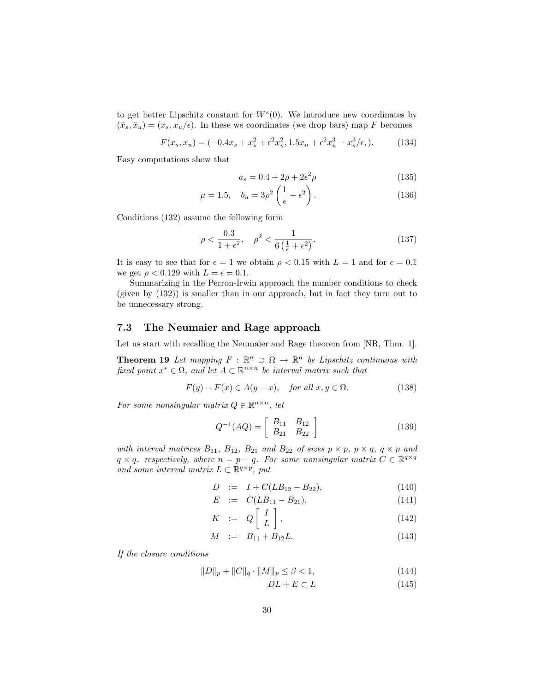to get better Lipschitz constant for  $W<sup>s</sup>(0)$ . We introduce new coordinates by  $(\bar{x}_s, \bar{x}_u) = (x_s, x_u/\epsilon)$ . In these we coordinates (we drop bars) map F becomes

$$
F(x_s, x_u) = (-0.4x_s + x_s^2 + \epsilon^2 x_u^2, 1.5x_u + \epsilon^2 x_u^3 - x_s^3/\epsilon, ).
$$
 (134)

Easy computations show that

$$
a_s = 0.4 + 2\rho + 2\epsilon^2 \rho \tag{135}
$$

$$
\mu = 1.5, \quad b_u = 3\rho^2 \left(\frac{1}{\epsilon} + \epsilon^2\right). \tag{136}
$$

Conditions (132) assume the following form

$$
\rho < \frac{0.3}{1 + \epsilon^2}, \quad \rho^2 < \frac{1}{6\left(\frac{1}{\epsilon} + \epsilon^2\right)}.\tag{137}
$$

It is easy to see that for  $\epsilon = 1$  we obtain  $\rho < 0.15$  with  $L = 1$  and for  $\epsilon = 0.1$ we get  $\rho < 0.129$  with  $L = \epsilon = 0.1$ .

Summarizing in the Perron-Irwin approach the number conditions to check (given by (132)) is smaller than in our approach, but in fact they turn out to be unnecessary strong.

#### 7.3 The Neumaier and Rage approach

Let us start with recalling the Neumaier and Rage theorem from [NR, Thm. 1].

**Theorem 19** Let mapping  $F : \mathbb{R}^n \supset \Omega \to \mathbb{R}^n$  be Lipschitz continuous with fixed point  $x^* \in \Omega$ , and let  $A \subset \mathbb{R}^{n \times n}$  be interval matrix such that

$$
F(y) - F(x) \in A(y - x), \quad \text{for all } x, y \in \Omega. \tag{138}
$$

For some nonsingular matrix  $Q \in \mathbb{R}^{n \times n}$ , let

$$
Q^{-1}(AQ) = \begin{bmatrix} B_{11} & B_{12} \\ B_{21} & B_{22} \end{bmatrix}
$$
 (139)

with interval matrices  $B_{11}$ ,  $B_{12}$ ,  $B_{21}$  and  $B_{22}$  of sizes  $p \times p$ ,  $p \times q$ ,  $q \times p$  and  $q \times q$ . respectively, where  $n = p + q$ . For some nonsingular matrix  $C \in \mathbb{R}^{q \times q}$ and some interval matrix  $L \subset \mathbb{R}^{q \times p}$ , put

$$
D := I + C(LB_{12} - B_{22}), \qquad (140)
$$

$$
E := C(LB_{11} - B_{21}), \tag{141}
$$

$$
K := Q\left[\begin{array}{c} I \\ L \end{array}\right], \tag{142}
$$

$$
M \quad := \quad B_{11} + B_{12}L. \tag{143}
$$

If the closure conditions

$$
||D||_p + ||C||_q \cdot ||M||_p \le \beta < 1,\tag{144}
$$

$$
DL + E \subset L \tag{145}
$$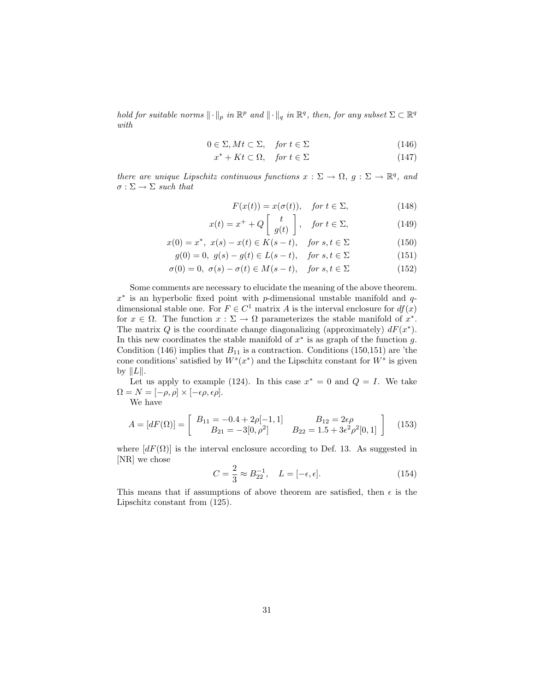hold for suitable norms  $\|\cdot\|_p$  in  $\mathbb{R}^p$  and  $\|\cdot\|_q$  in  $\mathbb{R}^q$ , then, for any subset  $\Sigma \subset \mathbb{R}^q$ with

$$
0 \in \Sigma, Mt \subset \Sigma, \quad \text{for } t \in \Sigma \tag{146}
$$

$$
x^* + Kt \subset \Omega, \quad \text{for } t \in \Sigma \tag{147}
$$

there are unique Lipschitz continuous functions  $x : \Sigma \to \Omega$ ,  $g : \Sigma \to \mathbb{R}^q$ , and  $\sigma : \Sigma \rightarrow \Sigma$  such that

$$
F(x(t)) = x(\sigma(t)), \quad \text{for } t \in \Sigma,
$$
\n(148)

$$
x(t) = x^{+} + Q\left[\begin{array}{c} t \\ g(t) \end{array}\right], \quad \text{for } t \in \Sigma,
$$
 (149)

$$
x(0) = x^*, \ x(s) - x(t) \in K(s - t), \quad \text{for } s, t \in \Sigma \tag{150}
$$

$$
g(0) = 0, \ g(s) - g(t) \in L(s - t), \quad \text{for } s, t \in \Sigma \tag{151}
$$

$$
\sigma(0) = 0, \ \sigma(s) - \sigma(t) \in M(s - t), \quad \text{for } s, t \in \Sigma \tag{152}
$$

Some comments are necessary to elucidate the meaning of the above theorem.  $x^*$  is an hyperbolic fixed point with p-dimensional unstable manifold and qdimensional stable one. For  $F \in C^1$  matrix A is the interval enclosure for  $df(x)$ for  $x \in \Omega$ . The function  $x : \Sigma \to \Omega$  parameterizes the stable manifold of  $x^*$ . The matrix Q is the coordinate change diagonalizing (approximately)  $dF(x^*)$ . In this new coordinates the stable manifold of  $x^*$  is as graph of the function g. Condition (146) implies that  $B_{11}$  is a contraction. Conditions (150,151) are 'the cone conditions' satisfied by  $W^s(x^*)$  and the Lipschitz constant for  $W^s$  is given by  $||L||$ .

Let us apply to example (124). In this case  $x^* = 0$  and  $Q = I$ . We take  $\Omega = N = [-\rho, \rho] \times [-\epsilon \rho, \epsilon \rho].$ 

We have

$$
A = [dF(\Omega)] = \begin{bmatrix} B_{11} = -0.4 + 2\rho[-1, 1] & B_{12} = 2\epsilon\rho \\ B_{21} = -3[0, \rho^2] & B_{22} = 1.5 + 3\epsilon^2\rho^2[0, 1] \end{bmatrix}
$$
(153)

where  $[dF(\Omega)]$  is the interval enclosure according to Def. 13. As suggested in [NR] we chose

$$
C = \frac{2}{3} \approx B_{22}^{-1}, \quad L = [-\epsilon, \epsilon]. \tag{154}
$$

This means that if assumptions of above theorem are satisfied, then  $\epsilon$  is the Lipschitz constant from (125).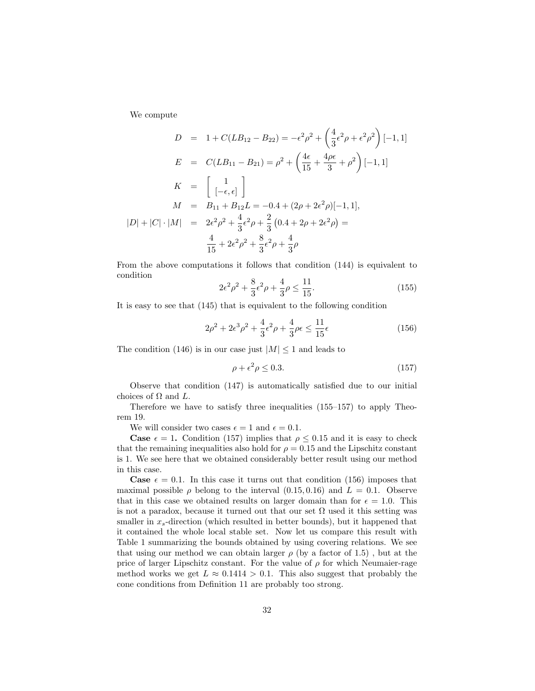We compute

$$
D = 1 + C(LB_{12} - B_{22}) = -\epsilon^2 \rho^2 + \left(\frac{4}{3}\epsilon^2 \rho + \epsilon^2 \rho^2\right)[-1, 1]
$$
  
\n
$$
E = C(LB_{11} - B_{21}) = \rho^2 + \left(\frac{4\epsilon}{15} + \frac{4\rho\epsilon}{3} + \rho^2\right)[-1, 1]
$$
  
\n
$$
K = \begin{bmatrix} 1 \\ [-\epsilon, \epsilon] \end{bmatrix}
$$
  
\n
$$
M = B_{11} + B_{12}L = -0.4 + (2\rho + 2\epsilon^2 \rho)[-1, 1],
$$
  
\n
$$
|D| + |C| \cdot |M| = 2\epsilon^2 \rho^2 + \frac{4}{3}\epsilon^2 \rho + \frac{2}{3}(0.4 + 2\rho + 2\epsilon^2 \rho) = \frac{4}{15} + 2\epsilon^2 \rho^2 + \frac{8}{3}\epsilon^2 \rho + \frac{4}{3}\rho
$$

From the above computations it follows that condition (144) is equivalent to condition

$$
2\epsilon^2 \rho^2 + \frac{8}{3}\epsilon^2 \rho + \frac{4}{3}\rho \le \frac{11}{15}.\tag{155}
$$

It is easy to see that (145) that is equivalent to the following condition

$$
2\rho^2 + 2\epsilon^3 \rho^2 + \frac{4}{3}\epsilon^2 \rho + \frac{4}{3}\rho\epsilon \le \frac{11}{15}\epsilon
$$
 (156)

The condition (146) is in our case just  $|M| \leq 1$  and leads to

$$
\rho + \epsilon^2 \rho \le 0.3. \tag{157}
$$

Observe that condition (147) is automatically satisfied due to our initial choices of  $\Omega$  and  $L$ .

Therefore we have to satisfy three inequalities (155–157) to apply Theorem 19.

We will consider two cases  $\epsilon = 1$  and  $\epsilon = 0.1$ .

**Case**  $\epsilon = 1$ . Condition (157) implies that  $\rho \leq 0.15$  and it is easy to check that the remaining inequalities also hold for  $\rho = 0.15$  and the Lipschitz constant is 1. We see here that we obtained considerably better result using our method in this case.

**Case**  $\epsilon = 0.1$ . In this case it turns out that condition (156) imposes that maximal possible  $\rho$  belong to the interval (0.15, 0.16) and  $L = 0.1$ . Observe that in this case we obtained results on larger domain than for  $\epsilon = 1.0$ . This is not a paradox, because it turned out that our set  $\Omega$  used it this setting was smaller in  $x_s$ -direction (which resulted in better bounds), but it happened that it contained the whole local stable set. Now let us compare this result with Table 1 summarizing the bounds obtained by using covering relations. We see that using our method we can obtain larger  $\rho$  (by a factor of 1.5), but at the price of larger Lipschitz constant. For the value of  $\rho$  for which Neumaier-rage method works we get  $L \approx 0.1414 > 0.1$ . This also suggest that probably the cone conditions from Definition 11 are probably too strong.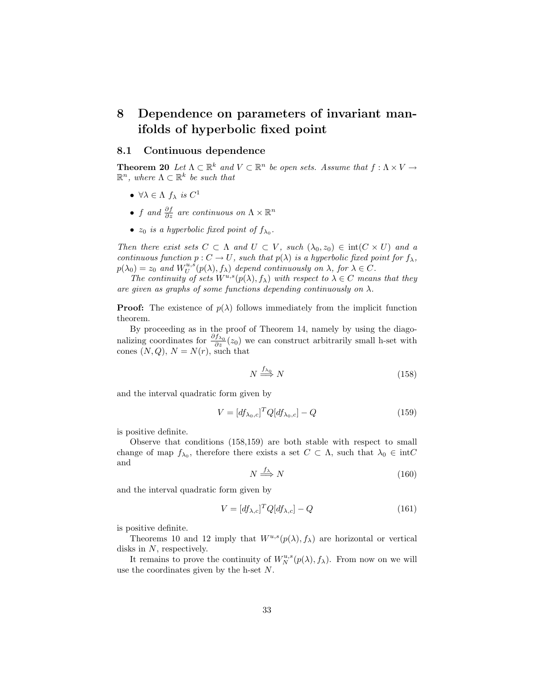## 8 Dependence on parameters of invariant manifolds of hyperbolic fixed point

#### 8.1 Continuous dependence

**Theorem 20** Let  $\Lambda \subset \mathbb{R}^k$  and  $V \subset \mathbb{R}^n$  be open sets. Assume that  $f : \Lambda \times V \to$  $\mathbb{R}^n$ , where  $\Lambda \subset \mathbb{R}^k$  be such that

- $\forall \lambda \in \Lambda$   $f_{\lambda}$  is  $C^1$
- f and  $\frac{\partial f}{\partial z}$  are continuous on  $\Lambda \times \mathbb{R}^n$
- $z_0$  is a hyperbolic fixed point of  $f_{\lambda_0}$ .

Then there exist sets  $C \subset \Lambda$  and  $U \subset V$ , such  $(\lambda_0, z_0) \in \text{int}(C \times U)$  and a continuous function  $p: C \to U$ , such that  $p(\lambda)$  is a hyperbolic fixed point for  $f_{\lambda}$ ,  $p(\lambda_0) = z_0$  and  $W_U^{u,s}(p(\lambda), f_\lambda)$  depend continuously on  $\lambda$ , for  $\lambda \in C$ .

The continuity of sets  $W^{u,s}(p(\lambda), f_\lambda)$  with respect to  $\lambda \in C$  means that they are given as graphs of some functions depending continuously on  $\lambda$ .

**Proof:** The existence of  $p(\lambda)$  follows immediately from the implicit function theorem.

By proceeding as in the proof of Theorem 14, namely by using the diagonalizing coordinates for  $\frac{\partial f_{\lambda_0}}{\partial z}(z_0)$  we can construct arbitrarily small h-set with cones  $(N, Q)$ ,  $N = N(r)$ , such that

$$
N \stackrel{f_{\lambda_0}}{\Longrightarrow} N \tag{158}
$$

and the interval quadratic form given by

$$
V = [df_{\lambda_0,c}]^T Q [df_{\lambda_0,c}] - Q \qquad (159)
$$

is positive definite.

Observe that conditions (158,159) are both stable with respect to small change of map  $f_{\lambda_0}$ , therefore there exists a set  $C \subset \Lambda$ , such that  $\lambda_0 \in \text{int}C$ and

$$
N \stackrel{f_{\lambda}}{\Longrightarrow} N \tag{160}
$$

and the interval quadratic form given by

$$
V = [df_{\lambda,c}]^T Q [df_{\lambda,c}] - Q \qquad (161)
$$

is positive definite.

Theorems 10 and 12 imply that  $W^{u,s}(p(\lambda), f_\lambda)$  are horizontal or vertical disks in  $N$ , respectively.

It remains to prove the continuity of  $W_N^{u,s}(p(\lambda), f_\lambda)$ . From now on we will use the coordinates given by the h-set N.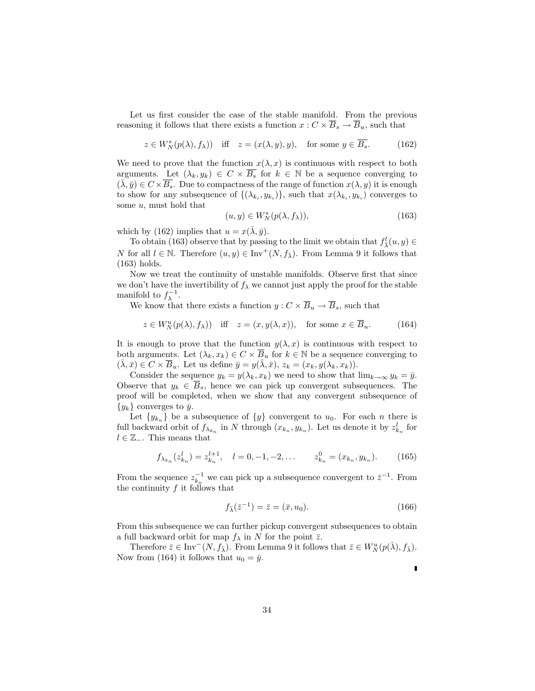Let us first consider the case of the stable manifold. From the previous reasoning it follows that there exists a function  $x: C \times \overline{B}_s \to \overline{B}_u$ , such that

$$
z \in W_N^s(p(\lambda), f_\lambda)) \quad \text{iff} \quad z = (x(\lambda, y), y), \quad \text{for some } y \in \overline{B_s}. \tag{162}
$$

We need to prove that the function  $x(\lambda, x)$  is continuous with respect to both arguments. Let  $(\lambda_k, y_k) \in C \times \overline{B_s}$  for  $k \in \mathbb{N}$  be a sequence converging to  $(\lambda, \bar{y}) \in C \times \overline{B_s}$ . Due to compactness of the range of function  $x(\lambda, y)$  it is enough to show for any subsequence of  $\{(\lambda_{k_i}, y_{k_i})\}$ , such that  $x(\lambda_{k_i}, y_{k_i})$  converges to some  $u$ , must hold that

$$
(u, y) \in W_N^s(p(\lambda, f_\lambda)), \tag{163}
$$

which by (162) implies that  $u = x(\bar{\lambda}, \bar{y})$ .

To obtain (163) observe that by passing to the limit we obtain that  $f^l_{\bar{\lambda}}(u, y) \in$ N for all  $l \in \mathbb{N}$ . Therefore  $(u, y) \in \text{Inv}^+(N, f_{\overline{\lambda}})$ . From Lemma 9 it follows that (163) holds.

Now we treat the continuity of unstable manifolds. Observe first that since we don't have the invertibility of  $f_{\lambda}$  we cannot just apply the proof for the stable manifold to  $f_{\lambda}^{-1}$ .

We know that there exists a function  $y: C \times \overline{B}_u \to \overline{B}_s$ , such that

$$
z \in W_N^u(p(\lambda), f_\lambda)) \quad \text{iff} \quad z = (x, y(\lambda, x)), \quad \text{for some } x \in \overline{B}_u. \tag{164}
$$

It is enough to prove that the function  $y(\lambda, x)$  is continuous with respect to both arguments. Let  $(\lambda_k, x_k) \in C \times \overline{B}_u$  for  $k \in \mathbb{N}$  be a sequence converging to  $(\bar{\lambda}, \bar{x}) \in C \times \overline{B}_u$ . Let us define  $\bar{y} = y(\bar{\lambda}, \bar{x}), z_k = (x_k, y(\lambda_k, x_k)).$ 

Consider the sequence  $y_k = y(\lambda_k, x_k)$  we need to show that  $\lim_{k\to\infty} y_k = \bar{y}$ . Observe that  $y_k \in B_s$ , hence we can pick up convergent subsequences. The proof will be completed, when we show that any convergent subsequence of  $\{y_k\}$  converges to  $\bar{y}$ .

Let  $\{y_{k_n}\}\$ be a subsequence of  $\{y\}$  convergent to  $u_0$ . For each n there is full backward orbit of  $f_{\lambda_{k_n}}$  in N through  $(x_{k_n}, y_{k_n})$ . Let us denote it by  $z_{k_n}^l$  for  $l \in \mathbb{Z}_{-}$ . This means that

$$
f_{\lambda_{k_n}}(z_{k_n}^l) = z_{k_n}^{l+1}, \quad l = 0, -1, -2, \dots \qquad z_{k_n}^0 = (x_{k_n}, y_{k_n}). \tag{165}
$$

From the sequence  $z_{k_n}^{-1}$  we can pick up a subsequence convergent to  $\bar{z}^{-1}$ . From the continuity  $f$  it follows that

$$
f_{\bar{\lambda}}(\bar{z}^{-1}) = \bar{z} = (\bar{x}, u_0). \tag{166}
$$

From this subsequence we can further pickup convergent subsequences to obtain a full backward orbit for map  $f_{\lambda}$  in N for the point  $\bar{z}$ .

Therefore  $\bar{z} \in \text{Inv}^-(N, f_{\bar{\lambda}})$ . From Lemma 9 it follows that  $\bar{z} \in W_N^u(p(\bar{\lambda}), f_{\bar{\lambda}})$ . Now from (164) it follows that  $u_0 = \bar{y}$ .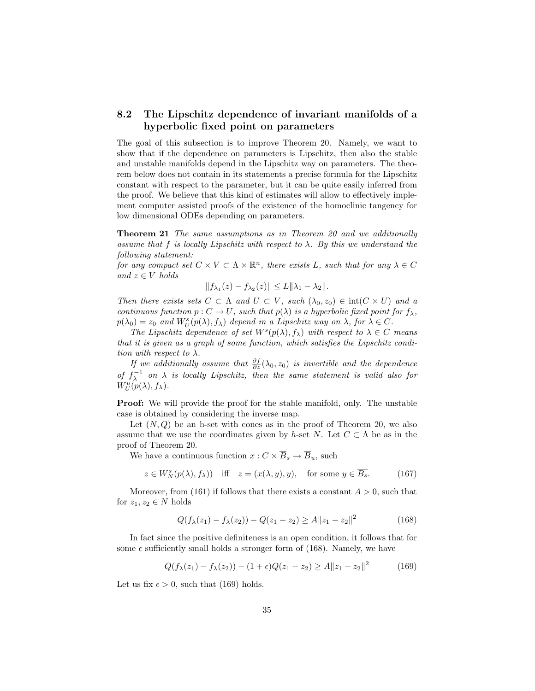#### 8.2 The Lipschitz dependence of invariant manifolds of a hyperbolic fixed point on parameters

The goal of this subsection is to improve Theorem 20. Namely, we want to show that if the dependence on parameters is Lipschitz, then also the stable and unstable manifolds depend in the Lipschitz way on parameters. The theorem below does not contain in its statements a precise formula for the Lipschitz constant with respect to the parameter, but it can be quite easily inferred from the proof. We believe that this kind of estimates will allow to effectively implement computer assisted proofs of the existence of the homoclinic tangency for low dimensional ODEs depending on parameters.

Theorem 21 The same assumptions as in Theorem 20 and we additionally assume that f is locally Lipschitz with respect to  $\lambda$ . By this we understand the following statement:

for any compact set  $C \times V \subset \Lambda \times \mathbb{R}^n$ , there exists L, such that for any  $\lambda \in C$ and  $z \in V$  holds

$$
||f_{\lambda_1}(z) - f_{\lambda_2}(z)|| \le L||\lambda_1 - \lambda_2||.
$$

Then there exists sets  $C \subset \Lambda$  and  $U \subset V$ , such  $(\lambda_0, z_0) \in \text{int}(C \times U)$  and a continuous function  $p: C \to U$ , such that  $p(\lambda)$  is a hyperbolic fixed point for  $f_{\lambda}$ ,  $p(\lambda_0) = z_0$  and  $W_U^s(p(\lambda), f_\lambda)$  depend in a Lipschitz way on  $\lambda$ , for  $\lambda \in C$ .

The Lipschitz dependence of set  $W^s(p(\lambda), f_\lambda)$  with respect to  $\lambda \in C$  means that it is given as a graph of some function, which satisfies the Lipschitz condition with respect to  $\lambda$ .

If we additionally assume that  $\frac{\partial f}{\partial z}(\lambda_0, z_0)$  is invertible and the dependence of  $f_{\lambda}^{-1}$  on  $\lambda$  is locally Lipschitz, then the same statement is valid also for  $W_U^u(p(\lambda),f_\lambda).$ 

Proof: We will provide the proof for the stable manifold, only. The unstable case is obtained by considering the inverse map.

Let  $(N, Q)$  be an h-set with cones as in the proof of Theorem 20, we also assume that we use the coordinates given by h-set N. Let  $C \subset \Lambda$  be as in the proof of Theorem 20.

We have a continuous function  $x: C \times \overline{B}_s \to \overline{B}_u$ , such

$$
z \in W_N^s(p(\lambda), f_\lambda)) \quad \text{iff} \quad z = (x(\lambda, y), y), \quad \text{for some } y \in \overline{B_s}. \tag{167}
$$

Moreover, from (161) if follows that there exists a constant  $A > 0$ , such that for  $z_1, z_2 \in N$  holds

$$
Q(f_{\lambda}(z_1) - f_{\lambda}(z_2)) - Q(z_1 - z_2) \ge A \|z_1 - z_2\|^2
$$
\n(168)

In fact since the positive definiteness is an open condition, it follows that for some  $\epsilon$  sufficiently small holds a stronger form of (168). Namely, we have

$$
Q(f_{\lambda}(z_1) - f_{\lambda}(z_2)) - (1 + \epsilon)Q(z_1 - z_2) \ge A ||z_1 - z_2||^2 \tag{169}
$$

Let us fix  $\epsilon > 0$ , such that (169) holds.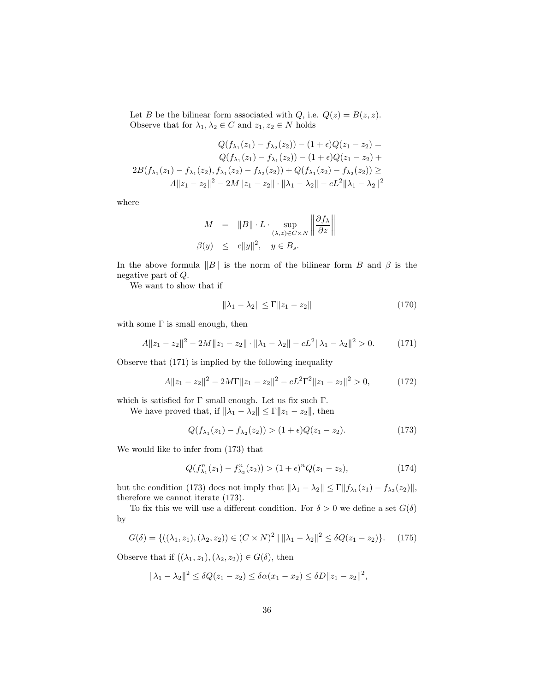Let B be the bilinear form associated with  $Q$ , i.e.  $Q(z) = B(z, z)$ . Observe that for  $\lambda_1, \lambda_2 \in C$  and  $z_1, z_2 \in N$  holds

$$
Q(f_{\lambda_1}(z_1) - f_{\lambda_2}(z_2)) - (1 + \epsilon)Q(z_1 - z_2) =
$$
  
\n
$$
Q(f_{\lambda_1}(z_1) - f_{\lambda_1}(z_2)) - (1 + \epsilon)Q(z_1 - z_2) +
$$
  
\n
$$
2B(f_{\lambda_1}(z_1) - f_{\lambda_1}(z_2), f_{\lambda_1}(z_2) - f_{\lambda_2}(z_2)) + Q(f_{\lambda_1}(z_2) - f_{\lambda_2}(z_2)) \ge
$$
  
\n
$$
A||z_1 - z_2||^2 - 2M||z_1 - z_2|| \cdot ||\lambda_1 - \lambda_2|| - cL^2 ||\lambda_1 - \lambda_2||^2
$$

where

$$
M = \|B\| \cdot L \cdot \sup_{(\lambda, z) \in C \times N} \left\| \frac{\partial f_{\lambda}}{\partial z} \right\|
$$
  

$$
\beta(y) \leq c \|y\|^2, \quad y \in B_s.
$$

In the above formula  $||B||$  is the norm of the bilinear form B and  $\beta$  is the negative part of Q.

We want to show that if

$$
\|\lambda_1 - \lambda_2\| \le \Gamma \|z_1 - z_2\| \tag{170}
$$

with some  $\Gamma$  is small enough, then

$$
A||z_1 - z_2||^2 - 2M||z_1 - z_2|| \cdot ||\lambda_1 - \lambda_2|| - cL^2||\lambda_1 - \lambda_2||^2 > 0.
$$
 (171)

Observe that (171) is implied by the following inequality

$$
A||z_1 - z_2||^2 - 2M\Gamma||z_1 - z_2||^2 - cL^2\Gamma^2||z_1 - z_2||^2 > 0,
$$
 (172)

which is satisfied for  $\Gamma$  small enough. Let us fix such  $\Gamma.$ 

We have proved that, if  $\|\lambda_1 - \lambda_2\| \le \Gamma \|z_1 - z_2\|$ , then

$$
Q(f_{\lambda_1}(z_1) - f_{\lambda_2}(z_2)) > (1 + \epsilon)Q(z_1 - z_2). \tag{173}
$$

We would like to infer from (173) that

$$
Q(f_{\lambda_1}^n(z_1) - f_{\lambda_2}^n(z_2)) > (1 + \epsilon)^n Q(z_1 - z_2),\tag{174}
$$

but the condition (173) does not imply that  $\|\lambda_1 - \lambda_2\| \le \Gamma \|f_{\lambda_1}(z_1) - f_{\lambda_2}(z_2)\|$ , therefore we cannot iterate (173).

To fix this we will use a different condition. For  $\delta > 0$  we define a set  $G(\delta)$ by

$$
G(\delta) = \{ ((\lambda_1, z_1), (\lambda_2, z_2)) \in (C \times N)^2 \mid ||\lambda_1 - \lambda_2||^2 \le \delta Q(z_1 - z_2) \}. \tag{175}
$$

Observe that if  $((\lambda_1, z_1), (\lambda_2, z_2)) \in G(\delta)$ , then

$$
\|\lambda_1 - \lambda_2\|^2 \le \delta Q(z_1 - z_2) \le \delta \alpha (x_1 - x_2) \le \delta D \|z_1 - z_2\|^2,
$$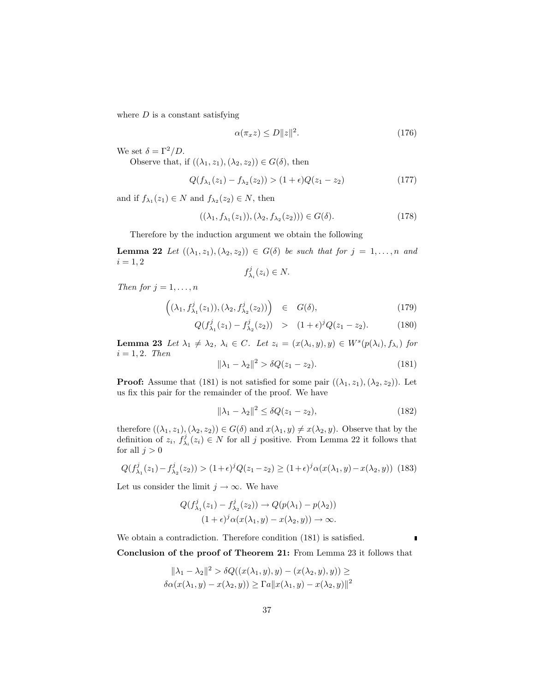where  $D$  is a constant satisfying

$$
\alpha(\pi_x z) \le D \|z\|^2. \tag{176}
$$

We set  $\delta = \Gamma^2/D$ .

Observe that, if  $((\lambda_1, z_1), (\lambda_2, z_2)) \in G(\delta)$ , then

$$
Q(f_{\lambda_1}(z_1) - f_{\lambda_2}(z_2)) > (1 + \epsilon)Q(z_1 - z_2)
$$
\n(177)

and if  $f_{\lambda_1}(z_1) \in N$  and  $f_{\lambda_2}(z_2) \in N$ , then

$$
((\lambda_1, f_{\lambda_1}(z_1)), (\lambda_2, f_{\lambda_2}(z_2))) \in G(\delta).
$$
 (178)

Therefore by the induction argument we obtain the following

**Lemma 22** Let  $((\lambda_1, z_1), (\lambda_2, z_2)) \in G(\delta)$  be such that for  $j = 1, \ldots, n$  and  $i = 1, 2$ 

$$
f_{\lambda_i}^j(z_i) \in N.
$$

Then for  $j = 1, \ldots, n$ 

$$
\left( (\lambda_1, f_{\lambda_1}^j(z_1)), (\lambda_2, f_{\lambda_2}^j(z_2)) \right) \in G(\delta), \tag{179}
$$

$$
Q(f_{\lambda_1}^j(z_1) - f_{\lambda_2}^j(z_2)) > (1+\epsilon)^j Q(z_1 - z_2).
$$
 (180)

**Lemma 23** Let  $\lambda_1 \neq \lambda_2$ ,  $\lambda_i \in C$ . Let  $z_i = (x(\lambda_i, y), y) \in W^s(p(\lambda_i), f_{\lambda_i})$  for  $i = 1, 2$ . Then

$$
\|\lambda_1 - \lambda_2\|^2 > \delta Q(z_1 - z_2). \tag{181}
$$

**Proof:** Assume that (181) is not satisfied for some pair  $((\lambda_1, z_1), (\lambda_2, z_2))$ . Let us fix this pair for the remainder of the proof. We have

$$
\|\lambda_1 - \lambda_2\|^2 \le \delta Q(z_1 - z_2),\tag{182}
$$

therefore  $((\lambda_1, z_1), (\lambda_2, z_2)) \in G(\delta)$  and  $x(\lambda_1, y) \neq x(\lambda_2, y)$ . Observe that by the definition of  $z_i$ ,  $f^j_{\lambda_i}(z_i) \in N$  for all j positive. From Lemma 22 it follows that for all  $j > 0$ 

$$
Q(f_{\lambda_1}^j(z_1) - f_{\lambda_2}^j(z_2)) > (1+\epsilon)^j Q(z_1 - z_2) \ge (1+\epsilon)^j \alpha(x(\lambda_1, y) - x(\lambda_2, y)) \tag{183}
$$

Let us consider the limit  $j \to \infty$ . We have

$$
Q(f_{\lambda_1}^j(z_1) - f_{\lambda_2}^j(z_2)) \to Q(p(\lambda_1) - p(\lambda_2))
$$
  

$$
(1 + \epsilon)^j \alpha(x(\lambda_1, y) - x(\lambda_2, y)) \to \infty.
$$

We obtain a contradiction. Therefore condition (181) is satisfied.

 $\mathbf{r}$ 

Conclusion of the proof of Theorem 21: From Lemma 23 it follows that

$$
\|\lambda_1 - \lambda_2\|^2 > \delta Q((x(\lambda_1, y), y) - (x(\lambda_2, y), y)) \ge
$$
  

$$
\delta \alpha(x(\lambda_1, y) - x(\lambda_2, y)) \ge \Gamma a \|x(\lambda_1, y) - x(\lambda_2, y)\|^2
$$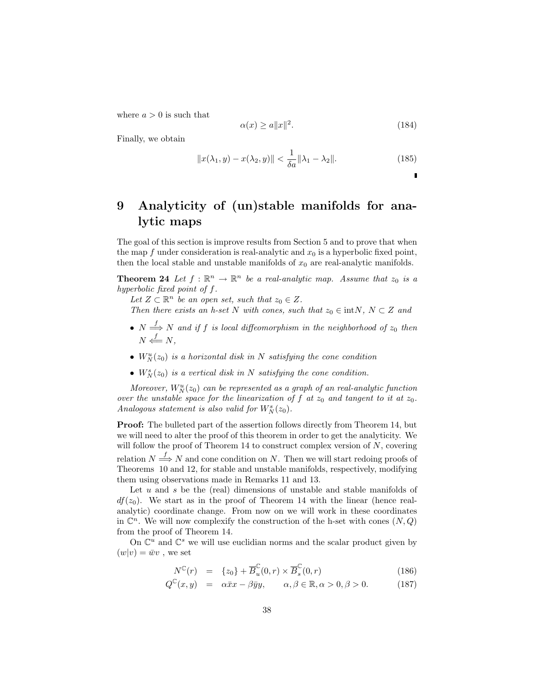where  $a > 0$  is such that

$$
\alpha(x) \ge a \|x\|^2. \tag{184}
$$

Finally, we obtain

$$
||x(\lambda_1, y) - x(\lambda_2, y)|| < \frac{1}{\delta a} ||\lambda_1 - \lambda_2||.
$$
 (185)

# 9 Analyticity of (un)stable manifolds for analytic maps

The goal of this section is improve results from Section 5 and to prove that when the map f under consideration is real-analytic and  $x_0$  is a hyperbolic fixed point, then the local stable and unstable manifolds of  $x_0$  are real-analytic manifolds.

**Theorem 24** Let  $f : \mathbb{R}^n \to \mathbb{R}^n$  be a real-analytic map. Assume that  $z_0$  is a hyperbolic fixed point of f.

Let  $Z \subset \mathbb{R}^n$  be an open set, such that  $z_0 \in Z$ .

Then there exists an h-set N with cones, such that  $z_0 \in \text{int}N$ ,  $N \subset Z$  and

- $N \stackrel{f}{\Longrightarrow} N$  and if f is local diffeomorphism in the neighborhood of  $z_0$  then  $N \stackrel{f}{\longleftarrow} N,$
- $W_N^u(z_0)$  is a horizontal disk in N satisfying the cone condition
- $W_N^s(z_0)$  is a vertical disk in N satisfying the cone condition.

Moreover,  $W_N^u(z_0)$  can be represented as a graph of an real-analytic function over the unstable space for the linearization of f at  $z_0$  and tangent to it at  $z_0$ . Analogous statement is also valid for  $W^s_N(z_0)$ .

**Proof:** The bulleted part of the assertion follows directly from Theorem 14, but we will need to alter the proof of this theorem in order to get the analyticity. We will follow the proof of Theorem 14 to construct complex version of  $N$ , covering relation  $N \stackrel{f}{\Longrightarrow} N$  and cone condition on N. Then we will start redoing proofs of Theorems 10 and 12, for stable and unstable manifolds, respectively, modifying them using observations made in Remarks 11 and 13.

Let  $u$  and  $s$  be the (real) dimensions of unstable and stable manifolds of  $df(z_0)$ . We start as in the proof of Theorem 14 with the linear (hence realanalytic) coordinate change. From now on we will work in these coordinates in  $\mathbb{C}^n$ . We will now complexify the construction of the h-set with cones  $(N, Q)$ from the proof of Theorem 14.

On  $\mathbb{C}^u$  and  $\mathbb{C}^s$  we will use euclidian norms and the scalar product given by  $(w|v) = \bar{w}v$ , we set

$$
N^{\mathbb{C}}(r) = \{z_0\} + \overline{B}_u^{\mathbb{C}}(0,r) \times \overline{B}_s^{\mathbb{C}}(0,r)
$$
\n(186)

$$
Q^{\mathbb{C}}(x,y) = \alpha \bar{x}x - \beta \bar{y}y, \qquad \alpha, \beta \in \mathbb{R}, \alpha > 0, \beta > 0. \tag{187}
$$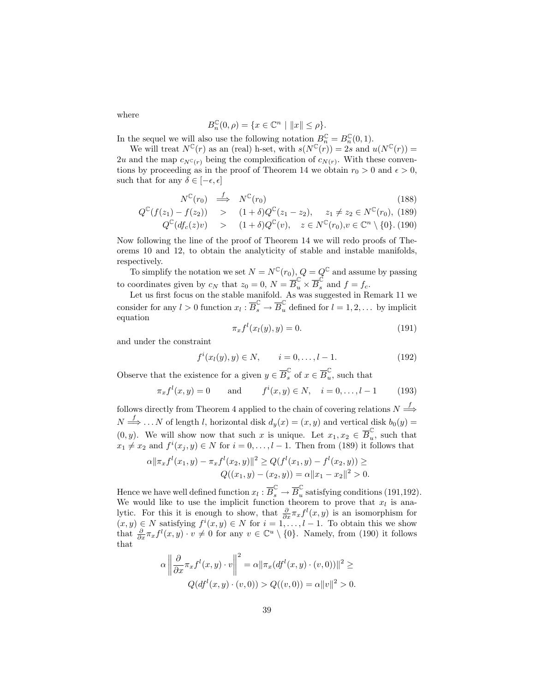where

$$
B_n^{\mathbb{C}}(0,\rho) = \{ x \in \mathbb{C}^n \mid ||x|| \le \rho \}.
$$

In the sequel we will also use the following notation  $B_n^{\mathbb{C}} = B_n^{\mathbb{C}}(0,1)$ .

We will treat  $N^{\mathbb{C}}(r)$  as an (real) h-set, with  $s(N^{\mathbb{C}}(r)) = 2s$  and  $u(N^{\mathbb{C}}(r)) =$ 2u and the map  $c_{N^c(r)}$  being the complexification of  $c_{N(r)}$ . With these conventions by proceeding as in the proof of Theorem 14 we obtain  $r_0 > 0$  and  $\epsilon > 0$ , such that for any  $\delta \in [-\epsilon, \epsilon]$ 

$$
N^{\mathbb{C}}(r_0) \stackrel{f}{\implies} N^{\mathbb{C}}(r_0) \tag{188}
$$

$$
Q^{\mathbb{C}}(f(z_1) - f(z_2)) \quad > \quad (1+\delta)Q^{\mathbb{C}}(z_1 - z_2), \quad z_1 \neq z_2 \in N^{\mathbb{C}}(r_0), \tag{189}
$$

$$
Q^{\mathbb{C}}(df_c(z)v) \quad > \quad (1+\delta)Q^{\mathbb{C}}(v), \quad z \in N^{\mathbb{C}}(r_0), v \in \mathbb{C}^n \setminus \{0\}. \tag{190}
$$

Now following the line of the proof of Theorem 14 we will redo proofs of Theorems 10 and 12, to obtain the analyticity of stable and instable manifolds, respectively.

To simplify the notation we set  $N = N^{\mathbb{C}}(r_0)$ ,  $Q = Q^{\mathbb{C}}$  and assume by passing to coordinates given by  $c_N$  that  $z_0 = 0$ ,  $N = \overline{B}_u^{\mathbb{C}} \times \overline{B}_s^{\mathbb{C}}$  and  $f = f_c$ .

Let us first focus on the stable manifold. As was suggested in Remark 11 we consider for any  $l > 0$  function  $x_l : \overline{B}_s^{\mathbb{C}} \to \overline{B}_u^{\mathbb{C}}$  defined for  $l = 1, 2, \dots$  by implicit equation

$$
\pi_x f^l(x_l(y), y) = 0.
$$
\n(191)

and under the constraint

$$
f^{i}(x_{l}(y), y) \in N, \qquad i = 0, \dots, l - 1.
$$
 (192)

Observe that the existence for a given  $y \in \overline{B}_s^{\mathbb{C}}$  of  $x \in \overline{B}_u^{\mathbb{C}}$  $\mathbf{u}$ , such that

$$
\pi_x f^l(x, y) = 0
$$
 and  $f^i(x, y) \in N, \quad i = 0, \dots, l - 1$  (193)

follows directly from Theorem 4 applied to the chain of covering relations  $N \stackrel{f}{\Longrightarrow}$  $N \stackrel{f}{\Longrightarrow} \ldots N$  of length l, horizontal disk  $d_y(x) = (x, y)$  and vertical disk  $b_0(y) =$  $(0, y)$ . We will show now that such x is unique. Let  $x_1, x_2 \in \overline{B}_u^{\mathbb{C}}$  $\mathbf{u}$ , such that  $x_1 \neq x_2$  and  $f^i(x_j, y) \in N$  for  $i = 0, \ldots, l - 1$ . Then from (189) it follows that

$$
\alpha \|\pi_x f^l(x_1, y) - \pi_x f^l(x_2, y)\|^2 \ge Q(f^l(x_1, y) - f^l(x_2, y)) \ge
$$
  
 
$$
Q((x_1, y) - (x_2, y)) = \alpha \|x_1 - x_2\|^2 > 0.
$$

Hence we have well defined function  $x_l : \overline{B}_s^{\mathbb{C}} \to \overline{B}_u^{\mathbb{C}}$  $\tilde{u}$  satisfying conditions (191,192). We would like to use the implicit function theorem to prove that  $x_l$  is analytic. For this it is enough to show, that  $\frac{\partial}{\partial x}\pi_x f^l(x,y)$  is an isomorphism for  $(x, y) \in N$  satisfying  $f^{i}(x, y) \in N$  for  $i = 1, \ldots, l-1$ . To obtain this we show that  $\frac{\partial}{\partial x}\pi_x f^l(x,y)\cdot v \neq 0$  for any  $v \in \mathbb{C}^u \setminus \{0\}$ . Namely, from (190) it follows that

$$
\alpha \left\| \frac{\partial}{\partial x} \pi_x f^l(x, y) \cdot v \right\|^2 = \alpha \|\pi_x(df^l(x, y) \cdot (v, 0))\|^2 \ge
$$
  

$$
Q(df^l(x, y) \cdot (v, 0)) > Q((v, 0)) = \alpha \|v\|^2 > 0.
$$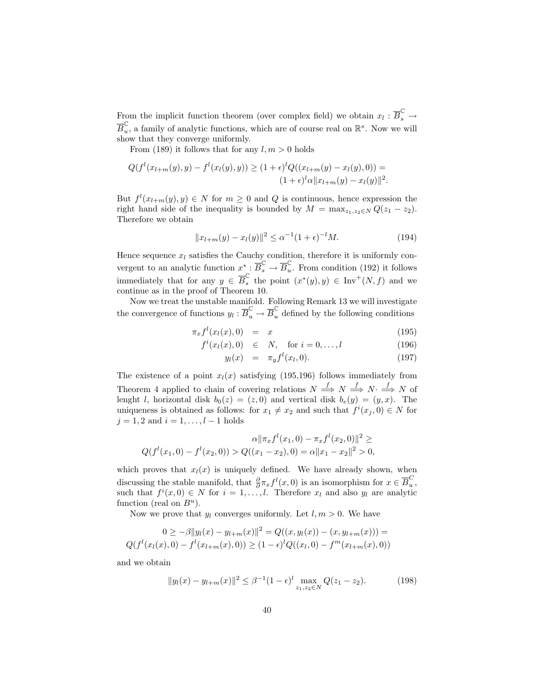From the implicit function theorem (over complex field) we obtain  $x_l : \overline{B}_s^{\mathbb{C}} \to$  $\overline{B}_u^{\mathbb{C}}$  $\mathcal{L}_{u}$ , a family of analytic functions, which are of course real on  $\mathbb{R}^{s}$ . Now we will show that they converge uniformly.

From (189) it follows that for any  $l, m > 0$  holds

$$
Q(f^{l}(x_{l+m}(y), y) - f^{l}(x_{l}(y), y)) \ge (1+\epsilon)^{l} Q((x_{l+m}(y) - x_{l}(y), 0)) =
$$
  

$$
(1+\epsilon)^{l} \alpha ||x_{l+m}(y) - x_{l}(y)||^{2}.
$$

But  $f^l(x_{l+m}(y), y) \in N$  for  $m \geq 0$  and Q is continuous, hence expression the right hand side of the inequality is bounded by  $M = \max_{z_1, z_2 \in N} Q(z_1 - z_2)$ . Therefore we obtain

$$
||x_{l+m}(y) - x_l(y)||^2 \le \alpha^{-1} (1+\epsilon)^{-l} M. \tag{194}
$$

Hence sequence  $x_l$  satisfies the Cauchy condition, therefore it is uniformly convergent to an analytic function  $x^* : \overline{B}_s^{\mathbb{C}} \to \overline{B}_u^{\mathbb{C}}$  $\mathcal{L}_u$ . From condition (192) it follows immediately that for any  $y \in \overline{B}_{s}^{\mathbb{C}}$  $\int_{s}^{\infty}$  the point  $(x^*(y), y) \in \text{Inv}^+(N, f)$  and we continue as in the proof of Theorem 10.

Now we treat the unstable manifold. Following Remark 13 we will investigate the convergence of functions  $y_l : \overline{B}_u^{\mathbb{C}} \to \overline{B}_u^{\mathbb{C}}$  defined by the following conditions

$$
\pi_x f^l(x_l(x),0) = x \tag{195}
$$

$$
f^{i}(x_{l}(x),0) \in N, \text{ for } i = 0,...,l
$$
 (196)

$$
y_l(x) = \pi_y f^l(x_l, 0). \tag{197}
$$

The existence of a point  $x_l(x)$  satisfying (195,196) follows immediately from Theorem 4 applied to chain of covering relations  $N \stackrel{f}{\Longrightarrow} N \stackrel{f}{\Longrightarrow} N \stackrel{f}{\Longrightarrow} N$  of lenght l, horizontal disk  $b_0(z) = (z, 0)$  and vertical disk  $b_e(y) = (y, x)$ . The uniqueness is obtained as follows: for  $x_1 \neq x_2$  and such that  $f^i(x_j, 0) \in N$  for  $j = 1, 2$  and  $i = 1, ..., l - 1$  holds

$$
\alpha \|\pi_x f^l(x_1, 0) - \pi_x f^l(x_2, 0)\|^2 \ge
$$
  
 
$$
Q(f^l(x_1, 0) - f^l(x_2, 0)) > Q((x_1 - x_2), 0) = \alpha \|x_1 - x_2\|^2 > 0,
$$

which proves that  $x_l(x)$  is uniquely defined. We have already shown, when discussing the stable manifold, that  $\frac{\partial}{\partial x} f(x,0)$  is an isomorphism for  $x \in \overline{B}_u^C$  $\frac{0}{u}$ , such that  $f^{i}(x,0) \in N$  for  $i = 1,...,l$ . Therefore  $x_{l}$  and also  $y_{l}$  are analytic function (real on  $B^u$ ).

Now we prove that  $y_l$  converges uniformly. Let  $l, m > 0$ . We have

$$
0 \ge -\beta \|y_l(x) - y_{l+m}(x)\|^2 = Q((x, y_l(x)) - (x, y_{l+m}(x))) =
$$
  

$$
Q(f^l(x_l(x), 0) - f^l(x_{l+m}(x), 0)) \ge (1 - \epsilon)^l Q((x_l, 0) - f^m(x_{l+m}(x), 0))
$$

and we obtain

$$
||y_l(x) - y_{l+m}(x)||^2 \le \beta^{-1} (1 - \epsilon)^l \max_{z_1, z_2 \in N} Q(z_1 - z_2).
$$
 (198)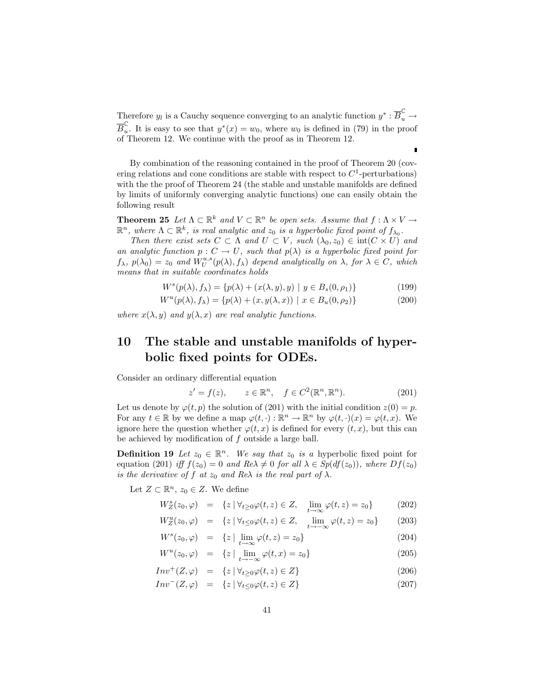Therefore  $y_l$  is a Cauchy sequence converging to an analytic function  $y^* : \overline{B}_u^{\mathbb{C}} \to$  $\overline{B}_u^{\mathbb{C}}$ ↓ It is easy to see that  $y^*(x) = w_0$ , where  $w_0$  is defined in (79) in the proof of Theorem 12. We continue with the proof as in Theorem 12.

By combination of the reasoning contained in the proof of Theorem 20 (covering relations and cone conditions are stable with respect to  $C<sup>1</sup>$ -perturbations) with the the proof of Theorem 24 (the stable and unstable manifolds are defined by limits of uniformly converging analytic functions) one can easily obtain the following result

**Theorem 25** Let  $\Lambda \subset \mathbb{R}^k$  and  $V \subset \mathbb{R}^n$  be open sets. Assume that  $f : \Lambda \times V \to$  $\mathbb{R}^n$ , where  $\Lambda \subset \mathbb{R}^k$ , is real analytic and  $z_0$  is a hyperbolic fixed point of  $f_{\lambda_0}$ .

Then there exist sets  $C \subset \Lambda$  and  $U \subset V$ , such  $(\lambda_0, z_0) \in \text{int}(C \times U)$  and an analytic function  $p: C \to U$ , such that  $p(\lambda)$  is a hyperbolic fixed point for  $f_{\lambda}, p(\lambda_0) = z_0$  and  $W_U^{u,s}(p(\lambda), f_{\lambda})$  depend analytically on  $\lambda$ , for  $\lambda \in C$ , which means that in suitable coordinates holds

$$
W^s(p(\lambda), f_\lambda) = \{p(\lambda) + (x(\lambda, y), y) \mid y \in B_s(0, \rho_1)\}\tag{199}
$$

$$
W^{u}(p(\lambda), f_{\lambda}) = \{p(\lambda) + (x, y(\lambda, x)) \mid x \in B_{u}(0, \rho_{2})\}
$$
\n(200)

where  $x(\lambda, y)$  and  $y(\lambda, x)$  are real analytic functions.

## 10 The stable and unstable manifolds of hyperbolic fixed points for ODEs.

Consider an ordinary differential equation

$$
z' = f(z), \qquad z \in \mathbb{R}^n, \quad f \in C^2(\mathbb{R}^n, \mathbb{R}^n). \tag{201}
$$

Let us denote by  $\varphi(t, p)$  the solution of (201) with the initial condition  $z(0) = p$ . For any  $t \in \mathbb{R}$  by we define a map  $\varphi(t, \cdot) : \mathbb{R}^n \to \mathbb{R}^n$  by  $\varphi(t, \cdot)(x) = \varphi(t, x)$ . We ignore here the question whether  $\varphi(t, x)$  is defined for every  $(t, x)$ , but this can be achieved by modification of f outside a large ball.

**Definition 19** Let  $z_0 \in \mathbb{R}^n$ . We say that  $z_0$  is a hyperbolic fixed point for equation (201) iff  $f(z_0) = 0$  and  $Re\lambda \neq 0$  for all  $\lambda \in Sp(df(z_0))$ , where  $Df(z_0)$ is the derivative of f at  $z_0$  and Re $\lambda$  is the real part of  $\lambda$ .

Let  $Z \subset \mathbb{R}^n$ ,  $z_0 \in Z$ . We define

$$
W_Z^s(z_0, \varphi) = \{ z \mid \forall_{t \ge 0} \varphi(t, z) \in Z, \quad \lim_{t \to \infty} \varphi(t, z) = z_0 \}
$$
 (202)

$$
W_Z^u(z_0, \varphi) = \{ z \mid \forall_{t \le 0} \varphi(t, z) \in Z, \quad \lim_{t \to -\infty} \varphi(t, z) = z_0 \}
$$
 (203)

$$
W^s(z_0, \varphi) = \{ z \mid \lim_{t \to \infty} \varphi(t, z) = z_0 \}
$$
\n(204)

$$
W^{u}(z_0, \varphi) = \{z \mid \lim_{t \to -\infty} \varphi(t, x) = z_0\}
$$
\n
$$
(205)
$$

$$
Inv^{+}(Z,\varphi) = \{ z \mid \forall_{t \ge 0} \varphi(t,z) \in Z \}
$$
\n
$$
(206)
$$

$$
Inv^{-}(Z,\varphi) = \{z \mid \forall_{t \le 0} \varphi(t,z) \in Z\}
$$
\n
$$
(207)
$$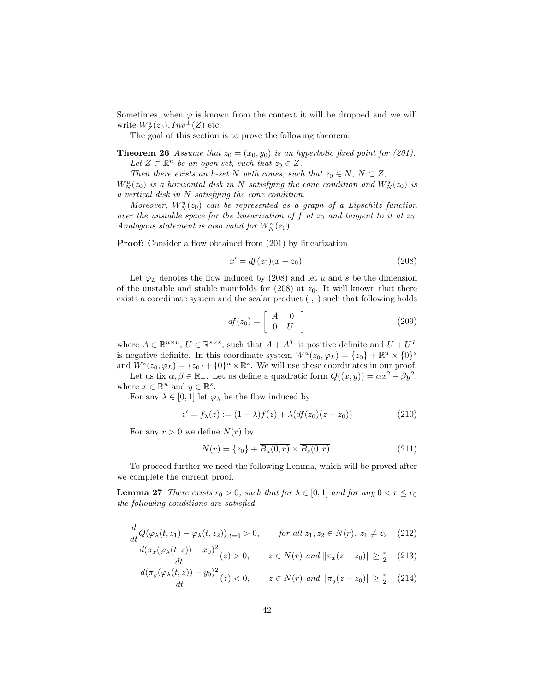Sometimes, when  $\varphi$  is known from the context it will be dropped and we will write  $W_Z^s(z_0), Inv^{\pm}(Z)$  etc.

The goal of this section is to prove the following theorem.

**Theorem 26** Assume that  $z_0 = (x_0, y_0)$  is an hyperbolic fixed point for (201). Let  $Z \subset \mathbb{R}^n$  be an open set, such that  $z_0 \in Z$ .

Then there exists an h-set N with cones, such that  $z_0 \in N$ ,  $N \subset Z$ ,  $W_N^u(z_0)$  is a horizontal disk in N satisfying the cone condition and  $W_N^s(z_0)$  is a vertical disk in N satisfying the cone condition.

Moreover,  $W_N^u(z_0)$  can be represented as a graph of a Lipschitz function over the unstable space for the linearization of  $f$  at  $z_0$  and tangent to it at  $z_0$ . Analogous statement is also valid for  $W_N^s(z_0)$ .

**Proof:** Consider a flow obtained from  $(201)$  by linearization

$$
x' = df(z_0)(x - z_0).
$$
 (208)

Let  $\varphi_L$  denotes the flow induced by (208) and let u and s be the dimension of the unstable and stable manifolds for  $(208)$  at  $z_0$ . It well known that there exists a coordinate system and the scalar product  $(\cdot, \cdot)$  such that following holds

$$
df(z_0) = \left[ \begin{array}{cc} A & 0 \\ 0 & U \end{array} \right] \tag{209}
$$

where  $A \in \mathbb{R}^{u \times u}$ ,  $U \in \mathbb{R}^{s \times s}$ , such that  $A + A<sup>T</sup>$  is positive definite and  $U + U<sup>T</sup>$ is negative definite. In this coordinate system  $W^u(z_0, \varphi_L) = \{z_0\} + \mathbb{R}^u \times \{0\}^s$ and  $W^s(z_0, \varphi_L) = \{z_0\} + \{0\}^u \times \mathbb{R}^s$ . We will use these coordinates in our proof.

Let us fix  $\alpha, \beta \in \mathbb{R}_+$ . Let us define a quadratic form  $Q((x, y)) = \alpha x^2 - \beta y^2$ , where  $x \in \mathbb{R}^u$  and  $y \in \mathbb{R}^s$ .

For any  $\lambda \in [0,1]$  let  $\varphi_{\lambda}$  be the flow induced by

$$
z' = f_{\lambda}(z) := (1 - \lambda)f(z) + \lambda(df(z_0)(z - z_0))
$$
\n(210)

For any  $r > 0$  we define  $N(r)$  by

$$
N(r) = \{z_0\} + \overline{B_u(0, r)} \times \overline{B_s(0, r)}.
$$
 (211)

To proceed further we need the following Lemma, which will be proved after we complete the current proof.

**Lemma 27** There exists  $r_0 > 0$ , such that for  $\lambda \in [0, 1]$  and for any  $0 < r \leq r_0$ the following conditions are satisfied.

$$
\frac{d}{dt}Q(\varphi_{\lambda}(t,z_1) - \varphi_{\lambda}(t,z_2))_{|t=0} > 0, \quad \text{for all } z_1, z_2 \in N(r), \ z_1 \neq z_2 \quad (212)
$$

$$
\frac{d(\pi_x(\varphi_\lambda(t,z)) - x_0)^2}{dt}(z) > 0, \qquad z \in N(r) \text{ and } ||\pi_x(z - z_0)|| \ge \frac{r}{2} \quad (213)
$$

$$
\frac{d(\pi_y(\varphi_\lambda(t,z)) - y_0)^2}{dt}(z) < 0, \qquad z \in N(r) \text{ and } \|\pi_y(z - z_0)\| \ge \frac{r}{2} \tag{214}
$$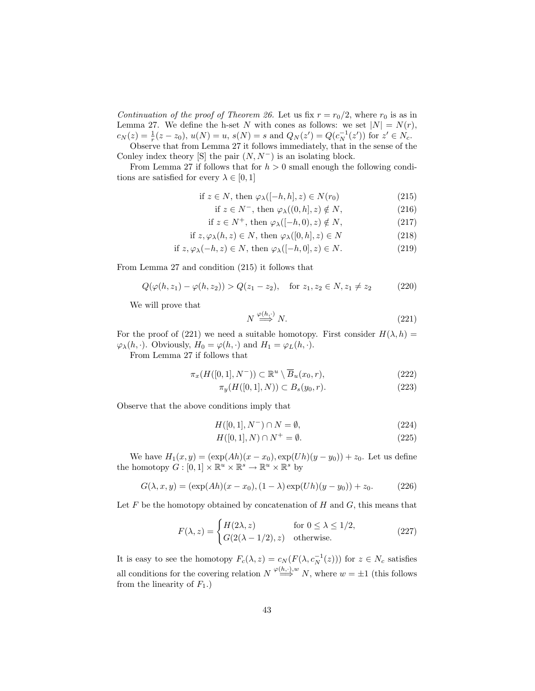Continuation of the proof of Theorem 26. Let us fix  $r = r_0/2$ , where  $r_0$  is as in Lemma 27. We define the h-set N with cones as follows: we set  $|N| = N(r)$ ,  $c_N(z) = \frac{1}{r}(z - z_0), u(N) = u, s(N) = s \text{ and } Q_N(z') = Q(c_N^{-1}(z')) \text{ for } z' \in N_c.$ 

Observe that from Lemma 27 it follows immediately, that in the sense of the Conley index theory [S] the pair  $(N, N^-)$  is an isolating block.

From Lemma 27 if follows that for  $h > 0$  small enough the following conditions are satisfied for every  $\lambda \in [0, 1]$ 

$$
\text{if } z \in N, \text{ then } \varphi_{\lambda}([-h, h], z) \in N(r_0) \tag{215}
$$

- if  $z \in N^-$ , then  $\varphi_{\lambda}((0, h], z) \notin N$ , (216)
- if  $z \in N^+$ , then  $\varphi_{\lambda}([-h, 0), z) \notin N$ , (217)

if 
$$
z, \varphi_{\lambda}(h, z) \in N
$$
, then  $\varphi_{\lambda}([0, h], z) \in N$  (218)

if 
$$
z, \varphi_{\lambda}(-h, z) \in N
$$
, then  $\varphi_{\lambda}([-h, 0], z) \in N$ . (219)

From Lemma 27 and condition (215) it follows that

$$
Q(\varphi(h, z_1) - \varphi(h, z_2)) > Q(z_1 - z_2), \quad \text{for } z_1, z_2 \in N, z_1 \neq z_2 \tag{220}
$$

We will prove that

$$
N \stackrel{\varphi(h,\cdot)}{\Longrightarrow} N. \tag{221}
$$

For the proof of (221) we need a suitable homotopy. First consider  $H(\lambda, h)$  =  $\varphi_{\lambda}(h, \cdot)$ . Obviously,  $H_0 = \varphi(h, \cdot)$  and  $H_1 = \varphi_L(h, \cdot)$ .

From Lemma 27 if follows that

$$
\pi_x(H([0,1], N^-)) \subset \mathbb{R}^u \setminus \overline{B}_u(x_0, r), \tag{222}
$$

$$
\pi_y(H([0, 1], N)) \subset B_s(y_0, r). \tag{223}
$$

Observe that the above conditions imply that

$$
H([0,1], N^-) \cap N = \emptyset,
$$
\n<sup>(224)</sup>

$$
H([0,1],N) \cap N^+ = \emptyset. \tag{225}
$$

We have  $H_1(x, y) = (\exp(Ah)(x - x_0), \exp(Uh)(y - y_0)) + z_0$ . Let us define the homotopy  $G: [0,1] \times \mathbb{R}^u \times \mathbb{R}^s \to \mathbb{R}^u \times \mathbb{R}^s$  by

$$
G(\lambda, x, y) = (\exp(Ah)(x - x_0), (1 - \lambda) \exp(Uh)(y - y_0)) + z_0.
$$
 (226)

Let  $F$  be the homotopy obtained by concatenation of  $H$  and  $G$ , this means that

$$
F(\lambda, z) = \begin{cases} H(2\lambda, z) & \text{for } 0 \le \lambda \le 1/2, \\ G(2(\lambda - 1/2), z) & \text{otherwise.} \end{cases}
$$
 (227)

It is easy to see the homotopy  $F_c(\lambda, z) = c_N(F(\lambda, c_N^{-1}(z)))$  for  $z \in N_c$  satisfies all conditions for the covering relation  $N \stackrel{\varphi(h,\cdot),w}{\Longrightarrow} N$ , where  $w = \pm 1$  (this follows from the linearity of  $F_1$ .)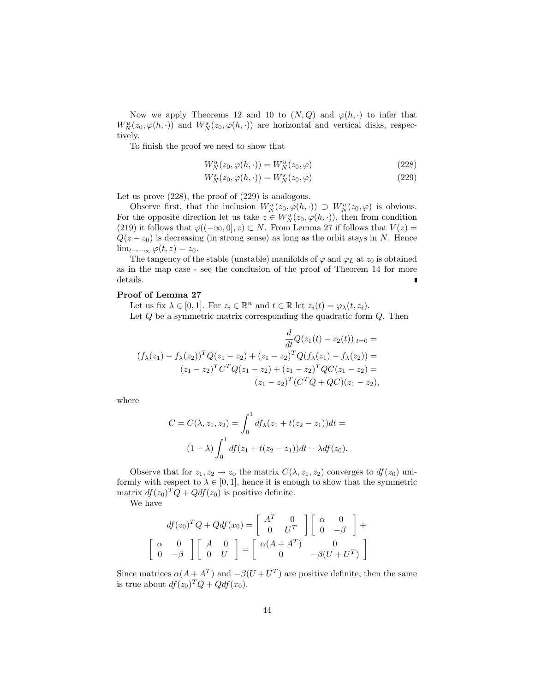Now we apply Theorems 12 and 10 to  $(N, Q)$  and  $\varphi(h, \cdot)$  to infer that  $W_N^u(z_0, \varphi(h, \cdot))$  and  $W_N^s(z_0, \varphi(h, \cdot))$  are horizontal and vertical disks, respectively.

To finish the proof we need to show that

$$
W_N^u(z_0, \varphi(h, \cdot)) = W_N^u(z_0, \varphi)
$$
\n<sup>(228)</sup>

$$
W_N^s(z_0, \varphi(h, \cdot)) = W_N^s(z_0, \varphi)
$$
\n<sup>(229)</sup>

Let us prove (228), the proof of (229) is analogous.

Observe first, that the inclusion  $W_N^u(z_0, \varphi(h, \cdot)) \supset W_N^u(z_0, \varphi)$  is obvious. For the opposite direction let us take  $z \in W_N^u(z_0, \varphi(h, \cdot))$ , then from condition (219) it follows that  $\varphi((-\infty,0],z) \subset N$ . From Lemma 27 if follows that  $V(z)$  =  $Q(z - z_0)$  is decreasing (in strong sense) as long as the orbit stays in N. Hence  $\lim_{t\to-\infty}\varphi(t,z)=z_0.$ 

The tangency of the stable (unstable) manifolds of  $\varphi$  and  $\varphi_L$  at  $z_0$  is obtained as in the map case - see the conclusion of the proof of Theorem 14 for more details.

#### Proof of Lemma 27

Let us fix  $\lambda \in [0,1]$ . For  $z_i \in \mathbb{R}^n$  and  $t \in \mathbb{R}$  let  $z_i(t) = \varphi_\lambda(t, z_i)$ . Let  $Q$  be a symmetric matrix corresponding the quadratic form  $Q$ . Then

$$
\frac{d}{dt}Q(z_1(t) - z_2(t))_{|t=0} =
$$
\n
$$
(f_{\lambda}(z_1) - f_{\lambda}(z_2))^T Q(z_1 - z_2) + (z_1 - z_2)^T Q(f_{\lambda}(z_1) - f_{\lambda}(z_2)) =
$$
\n
$$
(z_1 - z_2)^T C^T Q(z_1 - z_2) + (z_1 - z_2)^T QC(z_1 - z_2) =
$$
\n
$$
(z_1 - z_2)^T (C^T Q + QC)(z_1 - z_2),
$$

where

$$
C = C(\lambda, z_1, z_2) = \int_0^1 df_\lambda(z_1 + t(z_2 - z_1)) dt =
$$
  

$$
(1 - \lambda) \int_0^1 df(z_1 + t(z_2 - z_1)) dt + \lambda df(z_0).
$$

Observe that for  $z_1, z_2 \to z_0$  the matrix  $C(\lambda, z_1, z_2)$  converges to  $df(z_0)$  uniformly with respect to  $\lambda \in [0, 1]$ , hence it is enough to show that the symmetric matrix  $df(z_0)^T Q + Qdf(z_0)$  is positive definite.

We have

$$
df(z_0)^T Q + Qdf(x_0) = \begin{bmatrix} A^T & 0 \\ 0 & U^T \end{bmatrix} \begin{bmatrix} \alpha & 0 \\ 0 & -\beta \end{bmatrix} + \begin{bmatrix} \alpha & 0 \\ 0 & -\beta \end{bmatrix} \begin{bmatrix} A & 0 \\ 0 & U \end{bmatrix} = \begin{bmatrix} \alpha(A + A^T) & 0 \\ 0 & -\beta(U + U^T) \end{bmatrix}
$$

Since matrices  $\alpha(A + A^T)$  and  $-\beta(U + U^T)$  are positive definite, then the same is true about  $df(z_0)^T Q + Q df(x_0)$ .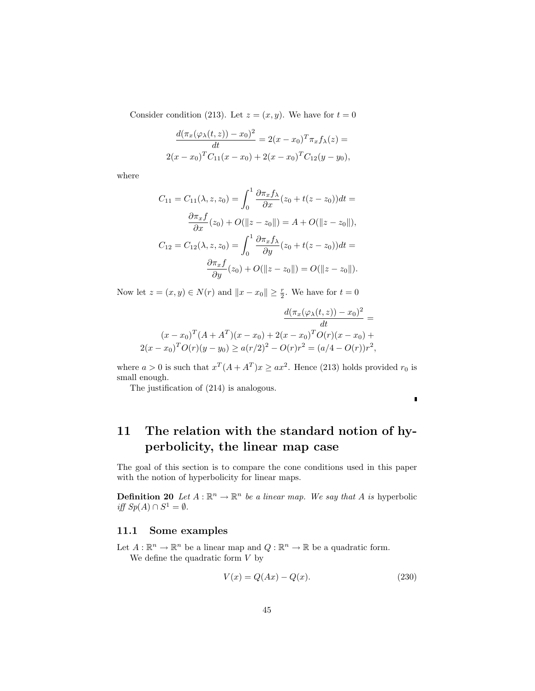Consider condition (213). Let  $z = (x, y)$ . We have for  $t = 0$ 

$$
\frac{d(\pi_x(\varphi_\lambda(t,z))-x_0)^2}{dt} = 2(x-x_0)^T \pi_x f_\lambda(z) =
$$
  
2(x-x\_0)<sup>T</sup>C<sub>11</sub>(x-x\_0) + 2(x-x\_0)<sup>T</sup>C<sub>12</sub>(y-y\_0),

where

$$
C_{11} = C_{11}(\lambda, z, z_0) = \int_0^1 \frac{\partial \pi_x f_\lambda}{\partial x} (z_0 + t(z - z_0)) dt =
$$

$$
\frac{\partial \pi_x f}{\partial x} (z_0) + O(\|z - z_0\|) = A + O(\|z - z_0\|),
$$

$$
C_{12} = C_{12}(\lambda, z, z_0) = \int_0^1 \frac{\partial \pi_x f_\lambda}{\partial y} (z_0 + t(z - z_0)) dt =
$$

$$
\frac{\partial \pi_x f}{\partial y} (z_0) + O(\|z - z_0\|) = O(\|z - z_0\|).
$$

Now let  $z = (x, y) \in N(r)$  and  $||x - x_0|| \geq \frac{r}{2}$ . We have for  $t = 0$ 

$$
\frac{d(\pi_x(\varphi_\lambda(t,z)) - x_0)^2}{dt} =
$$
  
(x - x<sub>0</sub>)<sup>T</sup> (A + A<sup>T</sup>)(x - x<sub>0</sub>) + 2(x - x<sub>0</sub>)<sup>T</sup> O(r)(x - x<sub>0</sub>) +  
2(x - x<sub>0</sub>)<sup>T</sup> O(r)(y - y<sub>0</sub>) \ge a(r/2)<sup>2</sup> - O(r)r<sup>2</sup> = (a/4 - O(r))r<sup>2</sup>,

where  $a > 0$  is such that  $x^T (A + A^T) x \geq ax^2$ . Hence (213) holds provided  $r_0$  is small enough.

The justification of (214) is analogous.

 $\blacksquare$ 

# 11 The relation with the standard notion of hyperbolicity, the linear map case

The goal of this section is to compare the cone conditions used in this paper with the notion of hyperbolicity for linear maps.

**Definition 20** Let  $A : \mathbb{R}^n \to \mathbb{R}^n$  be a linear map. We say that A is hyperbolic iff  $Sp(A) \cap S^1 = \emptyset$ .

#### 11.1 Some examples

Let  $A: \mathbb{R}^n \to \mathbb{R}^n$  be a linear map and  $Q: \mathbb{R}^n \to \mathbb{R}$  be a quadratic form. We define the quadratic form  $V$  by

$$
V(x) = Q(Ax) - Q(x).
$$
 (230)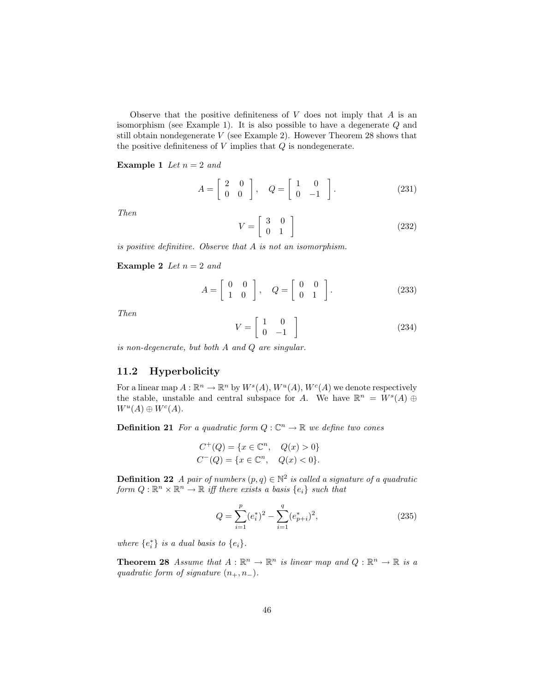Observe that the positive definiteness of  $V$  does not imply that  $A$  is an isomorphism (see Example 1). It is also possible to have a degenerate Q and still obtain nondegenerate  $V$  (see Example 2). However Theorem 28 shows that the positive definiteness of  $V$  implies that  $Q$  is nondegenerate.

**Example 1** Let  $n = 2$  and

$$
A = \begin{bmatrix} 2 & 0 \\ 0 & 0 \end{bmatrix}, \quad Q = \begin{bmatrix} 1 & 0 \\ 0 & -1 \end{bmatrix}.
$$
 (231)

Then

$$
V = \left[ \begin{array}{cc} 3 & 0 \\ 0 & 1 \end{array} \right] \tag{232}
$$

is positive definitive. Observe that A is not an isomorphism.

Example 2 Let  $n = 2$  and

$$
A = \left[ \begin{array}{cc} 0 & 0 \\ 1 & 0 \end{array} \right], \quad Q = \left[ \begin{array}{cc} 0 & 0 \\ 0 & 1 \end{array} \right]. \tag{233}
$$

Then

$$
V = \left[ \begin{array}{cc} 1 & 0 \\ 0 & -1 \end{array} \right] \tag{234}
$$

is non-degenerate, but both A and Q are singular.

#### 11.2 Hyperbolicity

For a linear map  $A: \mathbb{R}^n \to \mathbb{R}^n$  by  $W^s(A)$ ,  $W^u(A)$ ,  $W^c(A)$  we denote respectively the stable, unstable and central subspace for A. We have  $\mathbb{R}^n = W^s(A) \oplus$  $W^u(A) \oplus W^c(A).$ 

**Definition 21** For a quadratic form  $Q: \mathbb{C}^n \to \mathbb{R}$  we define two cones

$$
C^{+}(Q) = \{x \in \mathbb{C}^{n}, \quad Q(x) > 0\}
$$
  

$$
C^{-}(Q) = \{x \in \mathbb{C}^{n}, \quad Q(x) < 0\}.
$$

**Definition 22** A pair of numbers  $(p, q) \in \mathbb{N}^2$  is called a signature of a quadratic form  $Q: \mathbb{R}^n \times \mathbb{R}^n \to \mathbb{R}$  iff there exists a basis  $\{e_i\}$  such that

$$
Q = \sum_{i=1}^{p} (e_i^*)^2 - \sum_{i=1}^{q} (e_{p+i}^*)^2,
$$
\n(235)

where  $\{e_i^*\}$  is a dual basis to  $\{e_i\}.$ 

**Theorem 28** Assume that  $A : \mathbb{R}^n \to \mathbb{R}^n$  is linear map and  $Q : \mathbb{R}^n \to \mathbb{R}$  is a quadratic form of signature  $(n_+, n_-)$ .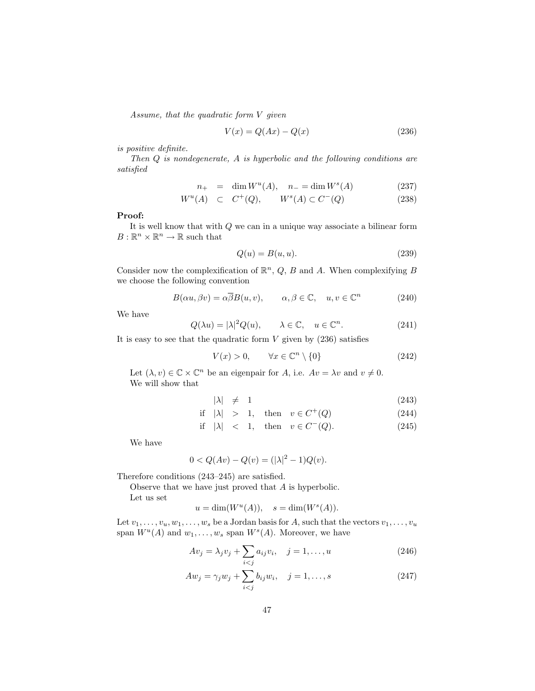Assume, that the quadratic form V given

$$
V(x) = Q(Ax) - Q(x) \tag{236}
$$

is positive definite.

Then Q is nondegenerate, A is hyperbolic and the following conditions are satisfied

$$
n_{+} = \dim W^{u}(A), \quad n_{-} = \dim W^{s}(A) \tag{237}
$$

$$
W^u(A) \quad \subset \quad C^+(Q), \qquad W^s(A) \subset C^-(Q) \tag{238}
$$

#### Proof:

It is well know that with Q we can in a unique way associate a bilinear form  $B: \mathbb{R}^n \times \mathbb{R}^n \to \mathbb{R}$  such that

$$
Q(u) = B(u, u). \tag{239}
$$

Consider now the complexification of  $\mathbb{R}^n$ , Q, B and A. When complexifying B we choose the following convention

$$
B(\alpha u, \beta v) = \alpha \overline{\beta} B(u, v), \qquad \alpha, \beta \in \mathbb{C}, \quad u, v \in \mathbb{C}^n \tag{240}
$$

We have

$$
Q(\lambda u) = |\lambda|^2 Q(u), \qquad \lambda \in \mathbb{C}, \quad u \in \mathbb{C}^n. \tag{241}
$$

It is easy to see that the quadratic form  $V$  given by  $(236)$  satisfies

$$
V(x) > 0, \qquad \forall x \in \mathbb{C}^n \setminus \{0\} \tag{242}
$$

Let  $(\lambda, v) \in \mathbb{C} \times \mathbb{C}^n$  be an eigenpair for A, i.e.  $Av = \lambda v$  and  $v \neq 0$ . We will show that

$$
|\lambda| \neq 1 \tag{243}
$$

$$
\text{if } |\lambda| > 1, \quad \text{then } v \in C^+(Q) \tag{244}
$$

$$
\text{if } |\lambda| < 1, \quad \text{then} \quad v \in C^-(Q). \tag{245}
$$

We have

$$
0 < Q(Av) - Q(v) = (|\lambda|^2 - 1)Q(v).
$$

Therefore conditions (243–245) are satisfied.

Observe that we have just proved that A is hyperbolic.

Let us set

$$
u = \dim(W^u(A)), \quad s = \dim(W^s(A)).
$$

Let  $v_1, \ldots, v_u, w_1, \ldots, w_s$  be a Jordan basis for A, such that the vectors  $v_1, \ldots, v_u$ span  $W^u(A)$  and  $w_1, \ldots, w_s$  span  $W^s(A)$ . Moreover, we have

$$
Av_j = \lambda_j v_j + \sum_{i < j} a_{ij} v_i, \quad j = 1, \dots, u \tag{246}
$$

$$
Aw_j = \gamma_j w_j + \sum_{i < j} b_{ij} w_i, \quad j = 1, \dots, s \tag{247}
$$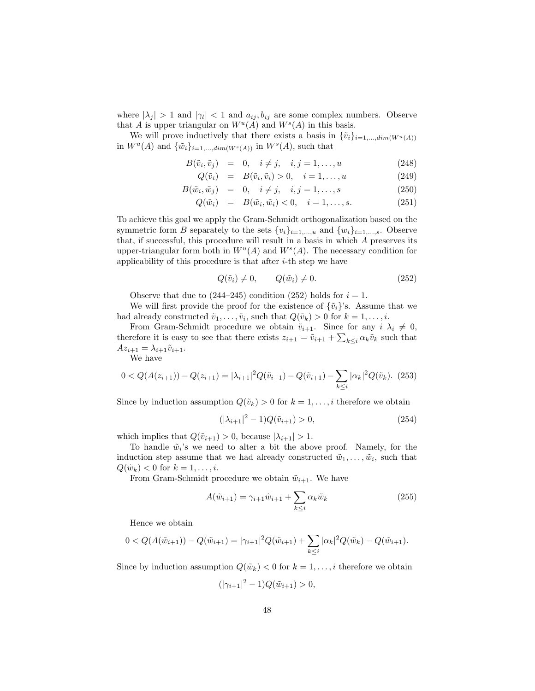where  $|\lambda_j| > 1$  and  $|\gamma_l| < 1$  and  $a_{ij}, b_{ij}$  are some complex numbers. Observe that A is upper triangular on  $W^u(A)$  and  $W^s(A)$  in this basis.

We will prove inductively that there exists a basis in  $\{\tilde{v}_i\}_{i=1,\dots,dim(W^u(A))}$ in  $W^u(A)$  and  $\{\tilde{w}_i\}_{i=1,\dots,dim(W^s(A))}$  in  $W^s(A)$ , such that

$$
B(\tilde{v}_i, \tilde{v}_j) = 0, \quad i \neq j, \quad i, j = 1, \dots, u \tag{248}
$$

$$
Q(\tilde{v}_i) = B(\tilde{v}_i, \tilde{v}_i) > 0, \quad i = 1, \dots, u \tag{249}
$$

$$
B(\tilde{w}_i, \tilde{w}_j) = 0, \quad i \neq j, \quad i, j = 1, \dots, s \tag{250}
$$

$$
Q(\tilde{w}_i) = B(\tilde{w}_i, \tilde{w}_i) < 0, \quad i = 1, \dots, s. \tag{251}
$$

To achieve this goal we apply the Gram-Schmidt orthogonalization based on the symmetric form B separately to the sets  ${v_i}_{i=1,\ldots,u}$  and  ${w_i}_{i=1,\ldots,s}$ . Observe that, if successful, this procedure will result in a basis in which A preserves its upper-triangular form both in  $W^u(A)$  and  $W^s(A)$ . The necessary condition for applicability of this procedure is that after  $i$ -th step we have

$$
Q(\tilde{v}_i) \neq 0, \qquad Q(\tilde{w}_i) \neq 0. \tag{252}
$$

Observe that due to  $(244-245)$  condition  $(252)$  holds for  $i = 1$ .

We will first provide the proof for the existence of  $\{\tilde{v}_i\}$ 's. Assume that we had already constructed  $\tilde{v}_1, \ldots, \tilde{v}_i$ , such that  $Q(\tilde{v}_k) > 0$  for  $k = 1, \ldots, i$ .

From Gram-Schmidt procedure we obtain  $\tilde{v}_{i+1}$ . Since for any  $i \lambda_i \neq 0$ , therefore it is easy to see that there exists  $z_{i+1} = \tilde{v}_{i+1} + \sum_{k \leq i} \alpha_k \tilde{v}_k$  such that  $Az_{i+1} = \lambda_{i+1}\tilde{v}_{i+1}.$ 

We have

$$
0 < Q(A(z_{i+1})) - Q(z_{i+1}) = |\lambda_{i+1}|^2 Q(\tilde{v}_{i+1}) - Q(\tilde{v}_{i+1}) - \sum_{k \le i} |\alpha_k|^2 Q(\tilde{v}_k).
$$
 (253)

Since by induction assumption  $Q(\tilde{v}_k) > 0$  for  $k = 1, ..., i$  therefore we obtain

$$
(|\lambda_{i+1}|^2 - 1)Q(\tilde{v}_{i+1}) > 0,
$$
\n(254)

which implies that  $Q(\tilde{v}_{i+1}) > 0$ , because  $|\lambda_{i+1}| > 1$ .

To handle  $\tilde{w}_i$ 's we need to alter a bit the above proof. Namely, for the induction step assume that we had already constructed  $\tilde{w}_1, \ldots, \tilde{w}_i$ , such that  $Q(\tilde{w}_k) < 0$  for  $k = 1, \ldots, i$ .

From Gram-Schmidt procedure we obtain  $\tilde{w}_{i+1}$ . We have

$$
A(\tilde{w}_{i+1}) = \gamma_{i+1}\tilde{w}_{i+1} + \sum_{k \le i} \alpha_k \tilde{w}_k
$$
\n(255)

Hence we obtain

$$
0 < Q(A(\tilde{w}_{i+1})) - Q(\tilde{w}_{i+1}) = |\gamma_{i+1}|^2 Q(\tilde{w}_{i+1}) + \sum_{k \leq i} |\alpha_k|^2 Q(\tilde{w}_k) - Q(\tilde{w}_{i+1}).
$$

Since by induction assumption  $Q(\tilde{w}_k) < 0$  for  $k = 1, ..., i$  therefore we obtain

$$
(|\gamma_{i+1}|^2 - 1)Q(\tilde{w}_{i+1}) > 0,
$$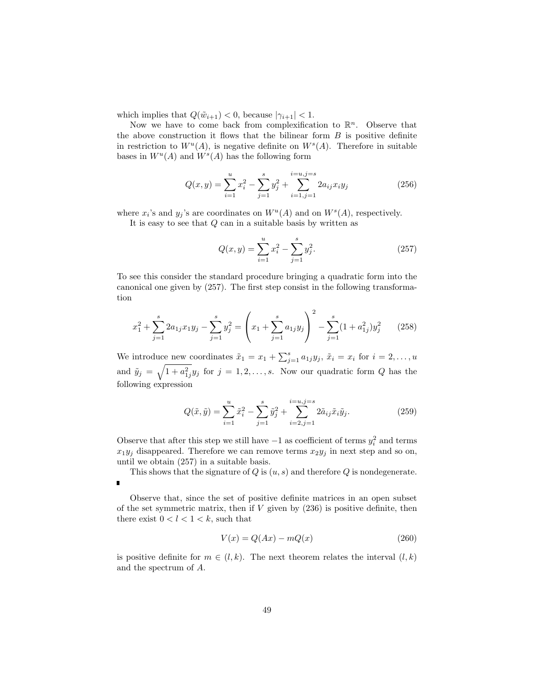which implies that  $Q(\tilde{w}_{i+1}) < 0$ , because  $|\gamma_{i+1}| < 1$ .

Now we have to come back from complexification to  $\mathbb{R}^n$ . Observe that the above construction it flows that the bilinear form  $B$  is positive definite in restriction to  $W^u(A)$ , is negative definite on  $W^s(A)$ . Therefore in suitable bases in  $W^u(A)$  and  $W^s(A)$  has the following form

$$
Q(x,y) = \sum_{i=1}^{u} x_i^2 - \sum_{j=1}^{s} y_j^2 + \sum_{i=1,j=1}^{i=u,j=s} 2a_{ij}x_iy_j
$$
 (256)

where  $x_i$ 's and  $y_j$ 's are coordinates on  $W^u(A)$  and on  $W^s(A)$ , respectively.

It is easy to see that Q can in a suitable basis by written as

$$
Q(x,y) = \sum_{i=1}^{u} x_i^2 - \sum_{j=1}^{s} y_j^2.
$$
 (257)

To see this consider the standard procedure bringing a quadratic form into the canonical one given by (257). The first step consist in the following transformation

$$
x_1^2 + \sum_{j=1}^s 2a_{1j}x_1y_j - \sum_{j=1}^s y_j^2 = \left(x_1 + \sum_{j=1}^s a_{1j}y_j\right)^2 - \sum_{j=1}^s (1 + a_{1j}^2)y_j^2 \tag{258}
$$

We introduce new coordinates  $\tilde{x}_1 = x_1 + \sum_{j=1}^s a_{1j}y_j$ ,  $\tilde{x}_i = x_i$  for  $i = 2, ..., u$ and  $\tilde{y}_j = \sqrt{1 + a_{1j}^2 y_j}$  for  $j = 1, 2, \ldots, s$ . Now our quadratic form Q has the following expression

$$
Q(\tilde{x}, \tilde{y}) = \sum_{i=1}^{u} \tilde{x}_i^2 - \sum_{j=1}^{s} \tilde{y}_j^2 + \sum_{i=2, j=1}^{i=u, j=s} 2\tilde{a}_{ij}\tilde{x}_i\tilde{y}_j.
$$
 (259)

Observe that after this step we still have  $-1$  as coefficient of terms  $y_i^2$  and terms  $x_1y_j$  disappeared. Therefore we can remove terms  $x_2y_j$  in next step and so on, until we obtain (257) in a suitable basis.

This shows that the signature of  $Q$  is  $(u, s)$  and therefore  $Q$  is nondegenerate.  $\blacksquare$ 

Observe that, since the set of positive definite matrices in an open subset of the set symmetric matrix, then if  $V$  given by  $(236)$  is positive definite, then there exist  $0 < l < 1 < k$ , such that

$$
V(x) = Q(Ax) - mQ(x) \tag{260}
$$

is positive definite for  $m \in (l, k)$ . The next theorem relates the interval  $(l, k)$ and the spectrum of A.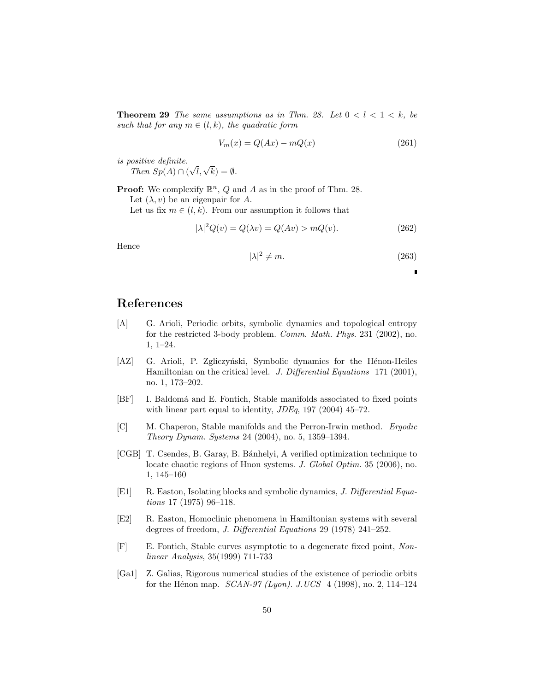**Theorem 29** The same assumptions as in Thm. 28. Let  $0 < l < 1 < k$ , be such that for any  $m \in (l, k)$ , the quadratic form

$$
V_m(x) = Q(Ax) - mQ(x) \tag{261}
$$

is positive definite.

Then  $Sp(A) \cap$  (  $\sqrt{l}, \sqrt{k}$ ) =  $\emptyset$ .

**Proof:** We complexify  $\mathbb{R}^n$ , Q and A as in the proof of Thm. 28.

Let  $(\lambda, v)$  be an eigenpair for A.

Let us fix  $m \in (l, k)$ . From our assumption it follows that

$$
|\lambda|^2 Q(v) = Q(\lambda v) = Q(Av) > mQ(v).
$$
 (262)

Hence

$$
|\lambda|^2 \neq m. \tag{263}
$$

 $\blacksquare$ 

### References

- [A] G. Arioli, Periodic orbits, symbolic dynamics and topological entropy for the restricted 3-body problem. Comm. Math. Phys. 231 (2002), no. 1, 1–24.
- [AZ] G. Arioli, P. Zgliczyński, Symbolic dynamics for the Hénon-Heiles Hamiltonian on the critical level. J. Differential Equations 171 (2001), no. 1, 173–202.
- [BF] I. Baldomá and E. Fontich, Stable manifolds associated to fixed points with linear part equal to identity,  $JDEq$ , 197 (2004) 45–72.
- [C] M. Chaperon, Stable manifolds and the Perron-Irwin method. Ergodic Theory Dynam. Systems 24 (2004), no. 5, 1359–1394.
- [CGB] T. Csendes, B. Garay, B. B´anhelyi, A verified optimization technique to locate chaotic regions of Hnon systems. J. Global Optim. 35 (2006), no. 1, 145–160
- [E1] R. Easton, Isolating blocks and symbolic dynamics, J. Differential Equations 17 (1975) 96–118.
- [E2] R. Easton, Homoclinic phenomena in Hamiltonian systems with several degrees of freedom, J. Differential Equations 29 (1978) 241–252.
- [F] E. Fontich, Stable curves asymptotic to a degenerate fixed point, Nonlinear Analysis, 35(1999) 711-733
- [Ga1] Z. Galias, Rigorous numerical studies of the existence of periodic orbits for the Hénon map.  $SCAN-97 (Lyon)$ . J.UCS 4 (1998), no. 2, 114–124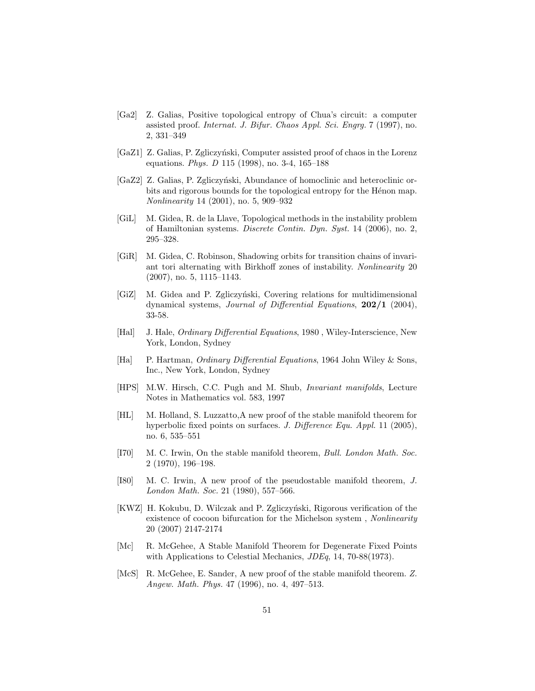- [Ga2] Z. Galias, Positive topological entropy of Chua's circuit: a computer assisted proof. Internat. J. Bifur. Chaos Appl. Sci. Engrg. 7 (1997), no. 2, 331–349
- [GaZ1] Z. Galias, P. Zgliczyński, Computer assisted proof of chaos in the Lorenz equations. Phys. D 115 (1998), no. 3-4, 165–188
- [GaZ2] Z. Galias, P. Zgliczyński, Abundance of homoclinic and heteroclinic orbits and rigorous bounds for the topological entropy for the Hénon map. Nonlinearity 14 (2001), no. 5, 909–932
- [GiL] M. Gidea, R. de la Llave, Topological methods in the instability problem of Hamiltonian systems. Discrete Contin. Dyn. Syst. 14 (2006), no. 2, 295–328.
- [GiR] M. Gidea, C. Robinson, Shadowing orbits for transition chains of invariant tori alternating with Birkhoff zones of instability. Nonlinearity 20 (2007), no. 5, 1115–1143.
- [GiZ] M. Gidea and P. Zgliczyński, Covering relations for multidimensional dynamical systems, *Journal of Differential Equations*, **202/1** (2004), 33-58.
- [Hal] J. Hale, *Ordinary Differential Equations*, 1980, Wiley-Interscience, New York, London, Sydney
- [Ha] P. Hartman, *Ordinary Differential Equations*, 1964 John Wiley & Sons, Inc., New York, London, Sydney
- [HPS] M.W. Hirsch, C.C. Pugh and M. Shub, Invariant manifolds, Lecture Notes in Mathematics vol. 583, 1997
- [HL] M. Holland, S. Luzzatto,A new proof of the stable manifold theorem for hyperbolic fixed points on surfaces. J. Difference Equ. Appl. 11 (2005), no. 6, 535–551
- [I70] M. C. Irwin, On the stable manifold theorem, Bull. London Math. Soc. 2 (1970), 196–198.
- [I80] M. C. Irwin, A new proof of the pseudostable manifold theorem, J. London Math. Soc. 21 (1980), 557–566.
- [KWZ] H. Kokubu, D. Wilczak and P. Zgliczyński, Rigorous verification of the existence of cocoon bifurcation for the Michelson system , Nonlinearity 20 (2007) 2147-2174
- [Mc] R. McGehee, A Stable Manifold Theorem for Degenerate Fixed Points with Applications to Celestial Mechanics, JDEq, 14, 70-88(1973).
- [McS] R. McGehee, E. Sander, A new proof of the stable manifold theorem. Z. Angew. Math. Phys. 47 (1996), no. 4, 497–513.